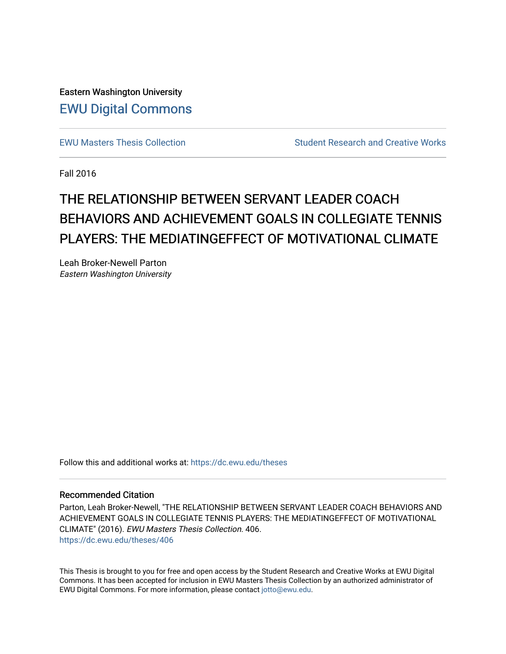Eastern Washington University [EWU Digital Commons](https://dc.ewu.edu/)

[EWU Masters Thesis Collection](https://dc.ewu.edu/theses) **Student Research and Creative Works** Student Research and Creative Works

Fall 2016

# THE RELATIONSHIP BETWEEN SERVANT LEADER COACH BEHAVIORS AND ACHIEVEMENT GOALS IN COLLEGIATE TENNIS PLAYERS: THE MEDIATINGEFFECT OF MOTIVATIONAL CLIMATE

Leah Broker-Newell Parton Eastern Washington University

Follow this and additional works at: [https://dc.ewu.edu/theses](https://dc.ewu.edu/theses?utm_source=dc.ewu.edu%2Ftheses%2F406&utm_medium=PDF&utm_campaign=PDFCoverPages) 

# Recommended Citation

Parton, Leah Broker-Newell, "THE RELATIONSHIP BETWEEN SERVANT LEADER COACH BEHAVIORS AND ACHIEVEMENT GOALS IN COLLEGIATE TENNIS PLAYERS: THE MEDIATINGEFFECT OF MOTIVATIONAL CLIMATE" (2016). EWU Masters Thesis Collection. 406. [https://dc.ewu.edu/theses/406](https://dc.ewu.edu/theses/406?utm_source=dc.ewu.edu%2Ftheses%2F406&utm_medium=PDF&utm_campaign=PDFCoverPages) 

This Thesis is brought to you for free and open access by the Student Research and Creative Works at EWU Digital Commons. It has been accepted for inclusion in EWU Masters Thesis Collection by an authorized administrator of EWU Digital Commons. For more information, please contact [jotto@ewu.edu.](mailto:jotto@ewu.edu)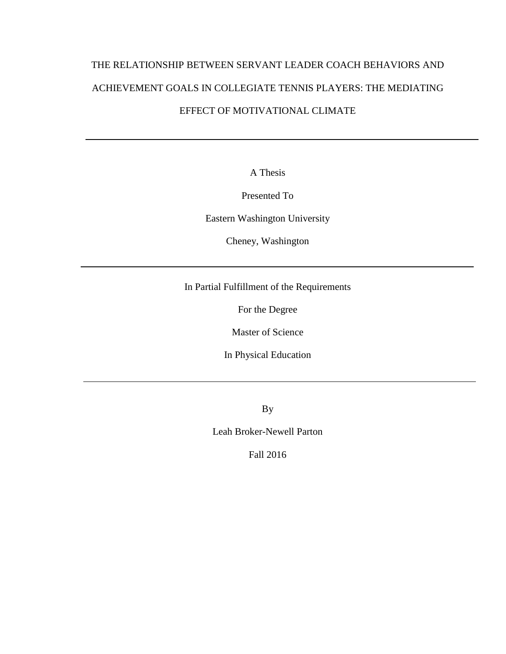# THE RELATIONSHIP BETWEEN SERVANT LEADER COACH BEHAVIORS AND ACHIEVEMENT GOALS IN COLLEGIATE TENNIS PLAYERS: THE MEDIATING EFFECT OF MOTIVATIONAL CLIMATE

A Thesis

Presented To

Eastern Washington University

Cheney, Washington

In Partial Fulfillment of the Requirements

For the Degree

Master of Science

In Physical Education

By

Leah Broker-Newell Parton

Fall 2016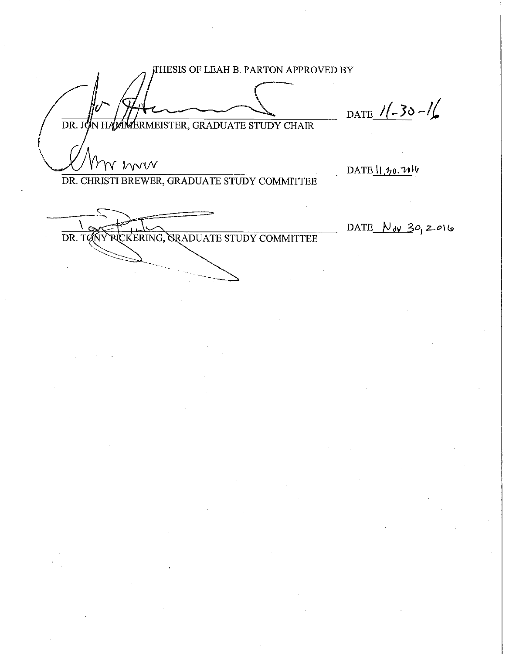THESIS OF LEAH B. PARTON APPROVED BY DATE  $1/- 30 - 1/$ HAMMERMEISTER, GRADUATE STUDY CHAIR  $DR.$  J m mun DATE  $\frac{11.20}{11}$ DR. CHRISTI BREWER, GRADUATE STUDY COMMITTEE DATE  $N_{\text{dV}}$  30, 2016 RICKERING, GRADUATE STUDY COMMITTEE DR. TONY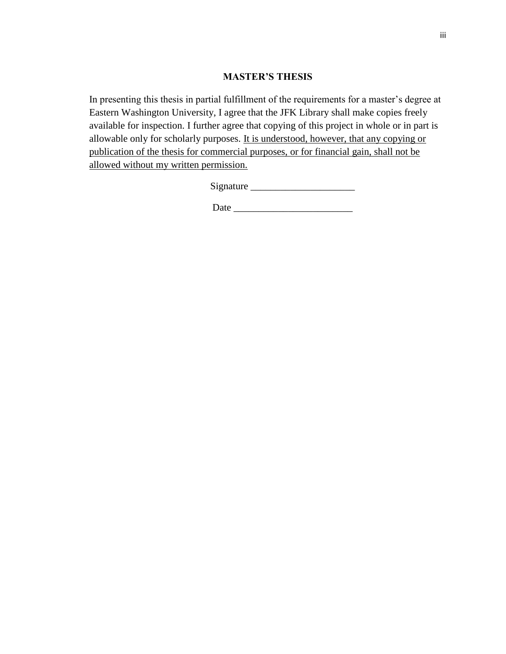# **MASTER'S THESIS**

In presenting this thesis in partial fulfillment of the requirements for a master's degree at Eastern Washington University, I agree that the JFK Library shall make copies freely available for inspection. I further agree that copying of this project in whole or in part is allowable only for scholarly purposes. It is understood, however, that any copying or publication of the thesis for commercial purposes, or for financial gain, shall not be allowed without my written permission.

Signature \_\_\_\_\_\_\_\_\_\_\_\_\_\_\_\_\_\_\_\_\_

Date \_\_\_\_\_\_\_\_\_\_\_\_\_\_\_\_\_\_\_\_\_\_\_\_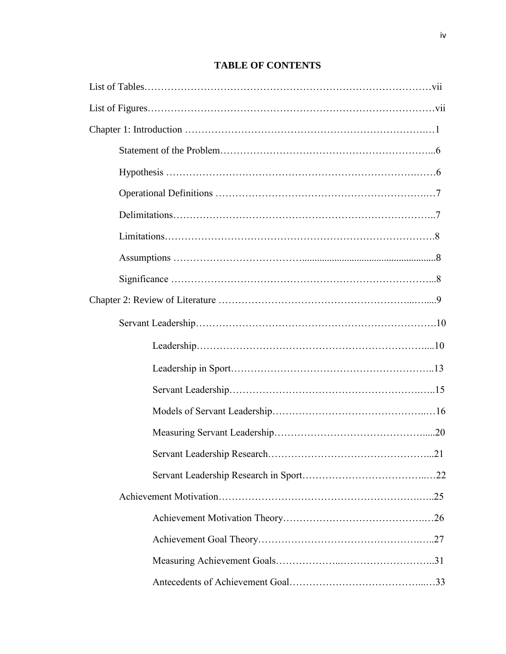# **TABLE OF CONTENTS**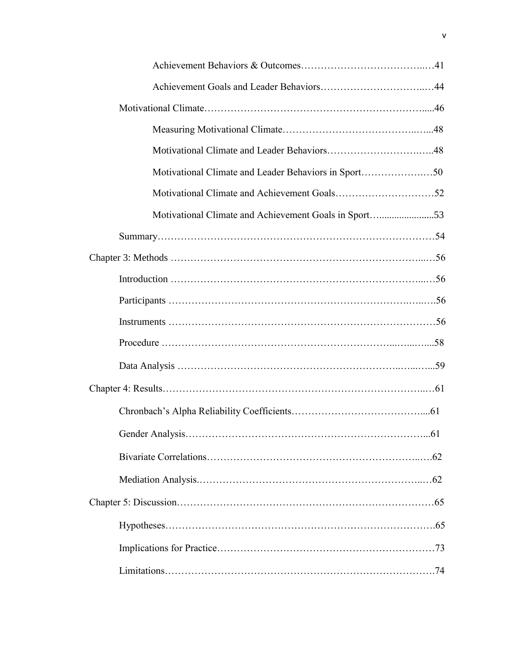| Motivational Climate and Leader Behaviors in Sport50  |  |
|-------------------------------------------------------|--|
|                                                       |  |
| Motivational Climate and Achievement Goals in Sport53 |  |
|                                                       |  |
|                                                       |  |
|                                                       |  |
|                                                       |  |
|                                                       |  |
|                                                       |  |
|                                                       |  |
|                                                       |  |
|                                                       |  |
|                                                       |  |
|                                                       |  |
|                                                       |  |
|                                                       |  |
|                                                       |  |
|                                                       |  |
|                                                       |  |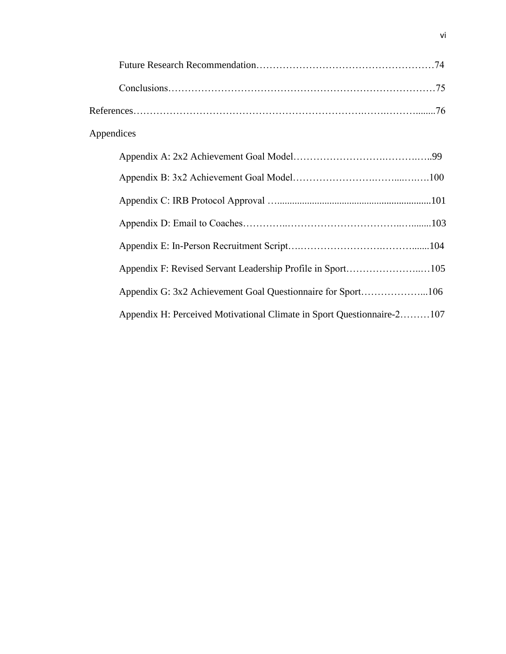| Appendices |                                                                        |  |
|------------|------------------------------------------------------------------------|--|
|            |                                                                        |  |
|            |                                                                        |  |
|            |                                                                        |  |
|            |                                                                        |  |
|            |                                                                        |  |
|            |                                                                        |  |
|            |                                                                        |  |
|            | Appendix H: Perceived Motivational Climate in Sport Questionnaire-2107 |  |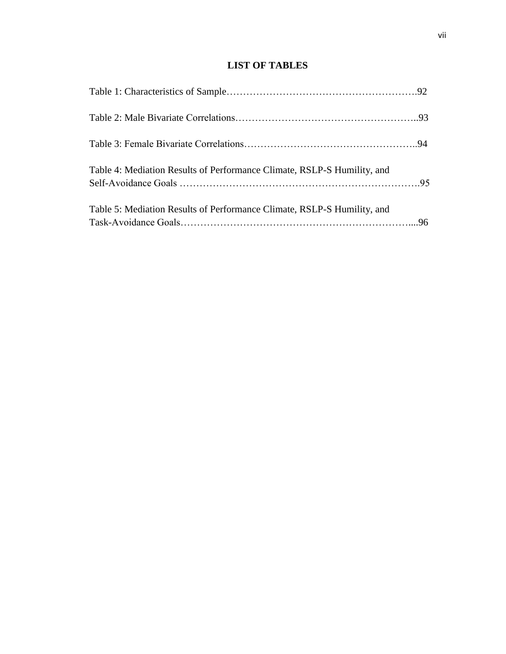# **LIST OF TABLES**

| Table 4: Mediation Results of Performance Climate, RSLP-S Humility, and |  |
|-------------------------------------------------------------------------|--|
| Table 5: Mediation Results of Performance Climate, RSLP-S Humility, and |  |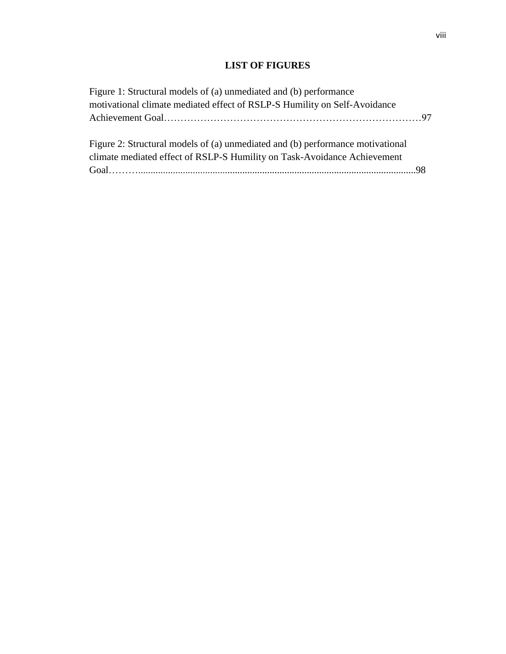# **LIST OF FIGURES**

| Figure 1: Structural models of (a) unmediated and (b) performance              |  |
|--------------------------------------------------------------------------------|--|
| motivational climate mediated effect of RSLP-S Humility on Self-Avoidance      |  |
|                                                                                |  |
|                                                                                |  |
| Figure 2: Structural models of (a) unmediated and (b) performance motivational |  |
| climate mediated effect of RSLP-S Humility on Task-Avoidance Achievement       |  |
|                                                                                |  |
|                                                                                |  |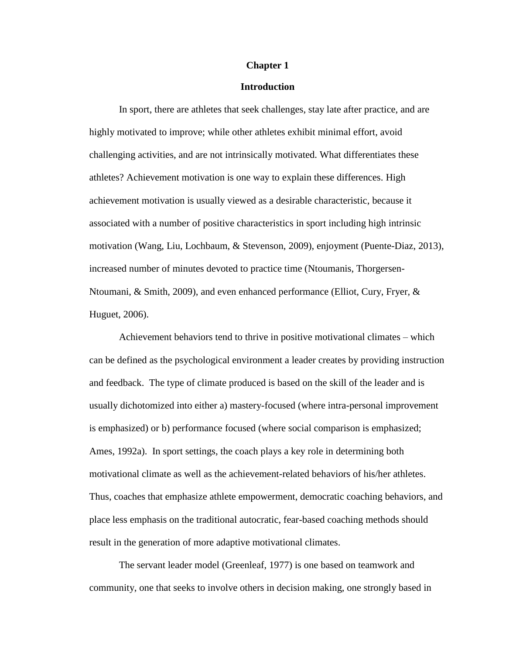#### **Chapter 1**

## **Introduction**

In sport, there are athletes that seek challenges, stay late after practice, and are highly motivated to improve; while other athletes exhibit minimal effort, avoid challenging activities, and are not intrinsically motivated. What differentiates these athletes? Achievement motivation is one way to explain these differences. High achievement motivation is usually viewed as a desirable characteristic, because it associated with a number of positive characteristics in sport including high intrinsic motivation (Wang, Liu, Lochbaum, & Stevenson, 2009), enjoyment (Puente-Diaz, 2013), increased number of minutes devoted to practice time (Ntoumanis, Thorgersen-Ntoumani, & Smith, 2009), and even enhanced performance (Elliot, Cury, Fryer, & Huguet, 2006).

Achievement behaviors tend to thrive in positive motivational climates – which can be defined as the psychological environment a leader creates by providing instruction and feedback. The type of climate produced is based on the skill of the leader and is usually dichotomized into either a) mastery-focused (where intra-personal improvement is emphasized) or b) performance focused (where social comparison is emphasized; Ames, 1992a). In sport settings, the coach plays a key role in determining both motivational climate as well as the achievement-related behaviors of his/her athletes. Thus, coaches that emphasize athlete empowerment, democratic coaching behaviors, and place less emphasis on the traditional autocratic, fear-based coaching methods should result in the generation of more adaptive motivational climates.

The servant leader model (Greenleaf, 1977) is one based on teamwork and community, one that seeks to involve others in decision making, one strongly based in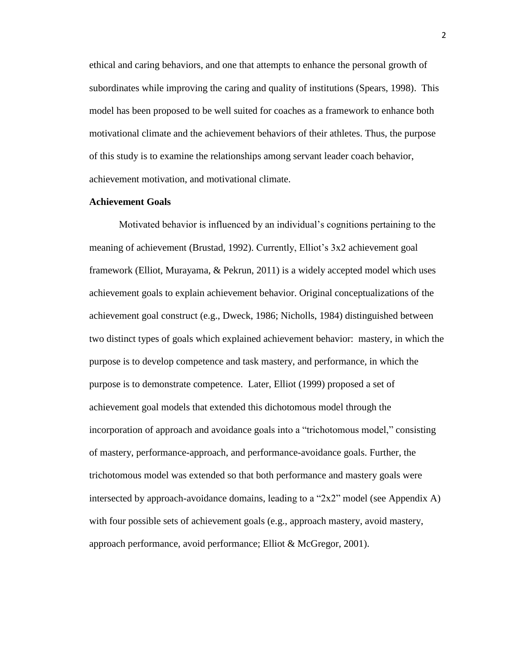ethical and caring behaviors, and one that attempts to enhance the personal growth of subordinates while improving the caring and quality of institutions (Spears, 1998). This model has been proposed to be well suited for coaches as a framework to enhance both motivational climate and the achievement behaviors of their athletes. Thus, the purpose of this study is to examine the relationships among servant leader coach behavior, achievement motivation, and motivational climate.

#### **Achievement Goals**

Motivated behavior is influenced by an individual's cognitions pertaining to the meaning of achievement (Brustad, 1992). Currently, Elliot's 3x2 achievement goal framework (Elliot, Murayama, & Pekrun, 2011) is a widely accepted model which uses achievement goals to explain achievement behavior. Original conceptualizations of the achievement goal construct (e.g., Dweck, 1986; Nicholls, 1984) distinguished between two distinct types of goals which explained achievement behavior: mastery, in which the purpose is to develop competence and task mastery, and performance, in which the purpose is to demonstrate competence. Later, Elliot (1999) proposed a set of achievement goal models that extended this dichotomous model through the incorporation of approach and avoidance goals into a "trichotomous model," consisting of mastery, performance-approach, and performance-avoidance goals. Further, the trichotomous model was extended so that both performance and mastery goals were intersected by approach-avoidance domains, leading to a "2x2" model (see Appendix A) with four possible sets of achievement goals (e.g., approach mastery, avoid mastery, approach performance, avoid performance; Elliot & McGregor, 2001).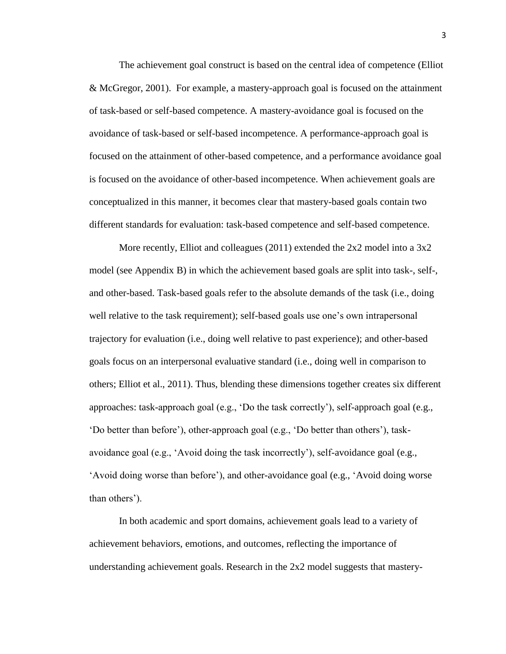The achievement goal construct is based on the central idea of competence (Elliot & McGregor, 2001). For example, a mastery-approach goal is focused on the attainment of task-based or self-based competence. A mastery-avoidance goal is focused on the avoidance of task-based or self-based incompetence. A performance-approach goal is focused on the attainment of other-based competence, and a performance avoidance goal is focused on the avoidance of other-based incompetence. When achievement goals are conceptualized in this manner, it becomes clear that mastery-based goals contain two different standards for evaluation: task-based competence and self-based competence.

More recently, Elliot and colleagues (2011) extended the 2x2 model into a 3x2 model (see Appendix B) in which the achievement based goals are split into task-, self-, and other-based. Task-based goals refer to the absolute demands of the task (i.e., doing well relative to the task requirement); self-based goals use one's own intrapersonal trajectory for evaluation (i.e., doing well relative to past experience); and other-based goals focus on an interpersonal evaluative standard (i.e., doing well in comparison to others; Elliot et al., 2011). Thus, blending these dimensions together creates six different approaches: task-approach goal (e.g., 'Do the task correctly'), self-approach goal (e.g., 'Do better than before'), other-approach goal (e.g., 'Do better than others'), taskavoidance goal (e.g., 'Avoid doing the task incorrectly'), self-avoidance goal (e.g., 'Avoid doing worse than before'), and other-avoidance goal (e.g., 'Avoid doing worse than others').

In both academic and sport domains, achievement goals lead to a variety of achievement behaviors, emotions, and outcomes, reflecting the importance of understanding achievement goals. Research in the 2x2 model suggests that mastery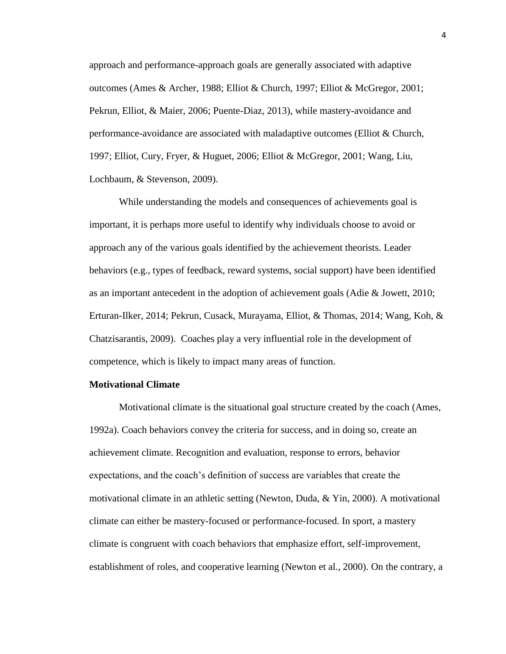approach and performance-approach goals are generally associated with adaptive outcomes (Ames & Archer, 1988; Elliot & Church, 1997; Elliot & McGregor, 2001; Pekrun, Elliot, & Maier, 2006; Puente-Diaz, 2013), while mastery-avoidance and performance-avoidance are associated with maladaptive outcomes (Elliot & Church, 1997; Elliot, Cury, Fryer, & Huguet, 2006; Elliot & McGregor, 2001; Wang, Liu, Lochbaum, & Stevenson, 2009).

While understanding the models and consequences of achievements goal is important, it is perhaps more useful to identify why individuals choose to avoid or approach any of the various goals identified by the achievement theorists. Leader behaviors (e.g., types of feedback, reward systems, social support) have been identified as an important antecedent in the adoption of achievement goals (Adie & Jowett, 2010; Erturan-Ilker, 2014; Pekrun, Cusack, Murayama, Elliot, & Thomas, 2014; Wang, Koh, & Chatzisarantis, 2009). Coaches play a very influential role in the development of competence, which is likely to impact many areas of function.

#### **Motivational Climate**

Motivational climate is the situational goal structure created by the coach (Ames, 1992a). Coach behaviors convey the criteria for success, and in doing so, create an achievement climate. Recognition and evaluation, response to errors, behavior expectations, and the coach's definition of success are variables that create the motivational climate in an athletic setting (Newton, Duda, & Yin, 2000). A motivational climate can either be mastery-focused or performance-focused. In sport, a mastery climate is congruent with coach behaviors that emphasize effort, self-improvement, establishment of roles, and cooperative learning (Newton et al., 2000). On the contrary, a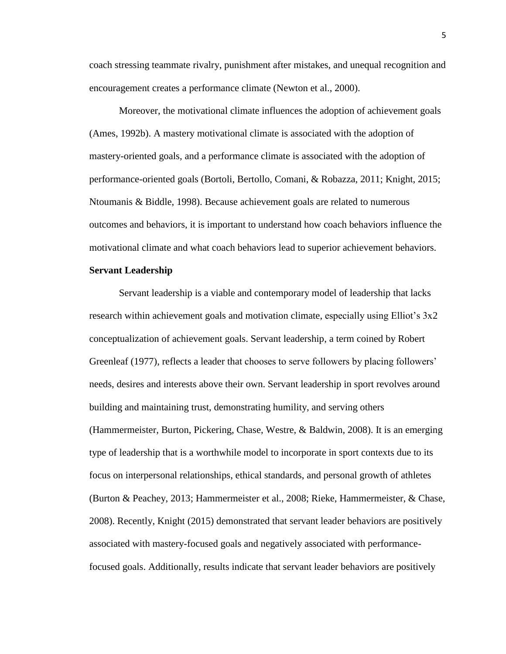coach stressing teammate rivalry, punishment after mistakes, and unequal recognition and encouragement creates a performance climate (Newton et al., 2000).

Moreover, the motivational climate influences the adoption of achievement goals (Ames, 1992b). A mastery motivational climate is associated with the adoption of mastery-oriented goals, and a performance climate is associated with the adoption of performance-oriented goals (Bortoli, Bertollo, Comani, & Robazza, 2011; Knight, 2015; Ntoumanis & Biddle, 1998). Because achievement goals are related to numerous outcomes and behaviors, it is important to understand how coach behaviors influence the motivational climate and what coach behaviors lead to superior achievement behaviors.

#### **Servant Leadership**

Servant leadership is a viable and contemporary model of leadership that lacks research within achievement goals and motivation climate, especially using Elliot's 3x2 conceptualization of achievement goals. Servant leadership, a term coined by Robert Greenleaf (1977), reflects a leader that chooses to serve followers by placing followers' needs, desires and interests above their own. Servant leadership in sport revolves around building and maintaining trust, demonstrating humility, and serving others (Hammermeister, Burton, Pickering, Chase, Westre, & Baldwin, 2008). It is an emerging type of leadership that is a worthwhile model to incorporate in sport contexts due to its focus on interpersonal relationships, ethical standards, and personal growth of athletes (Burton & Peachey, 2013; Hammermeister et al., 2008; Rieke, Hammermeister, & Chase, 2008). Recently, Knight (2015) demonstrated that servant leader behaviors are positively associated with mastery-focused goals and negatively associated with performancefocused goals. Additionally, results indicate that servant leader behaviors are positively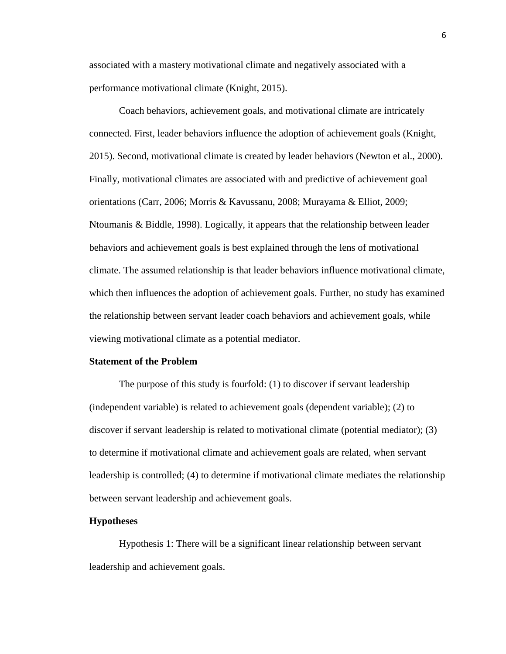associated with a mastery motivational climate and negatively associated with a performance motivational climate (Knight, 2015).

Coach behaviors, achievement goals, and motivational climate are intricately connected. First, leader behaviors influence the adoption of achievement goals (Knight, 2015). Second, motivational climate is created by leader behaviors (Newton et al., 2000). Finally, motivational climates are associated with and predictive of achievement goal orientations (Carr, 2006; Morris & Kavussanu, 2008; Murayama & Elliot, 2009; Ntoumanis & Biddle, 1998). Logically, it appears that the relationship between leader behaviors and achievement goals is best explained through the lens of motivational climate. The assumed relationship is that leader behaviors influence motivational climate, which then influences the adoption of achievement goals. Further, no study has examined the relationship between servant leader coach behaviors and achievement goals, while viewing motivational climate as a potential mediator.

# **Statement of the Problem**

The purpose of this study is fourfold: (1) to discover if servant leadership (independent variable) is related to achievement goals (dependent variable); (2) to discover if servant leadership is related to motivational climate (potential mediator); (3) to determine if motivational climate and achievement goals are related, when servant leadership is controlled; (4) to determine if motivational climate mediates the relationship between servant leadership and achievement goals.

## **Hypotheses**

Hypothesis 1: There will be a significant linear relationship between servant leadership and achievement goals.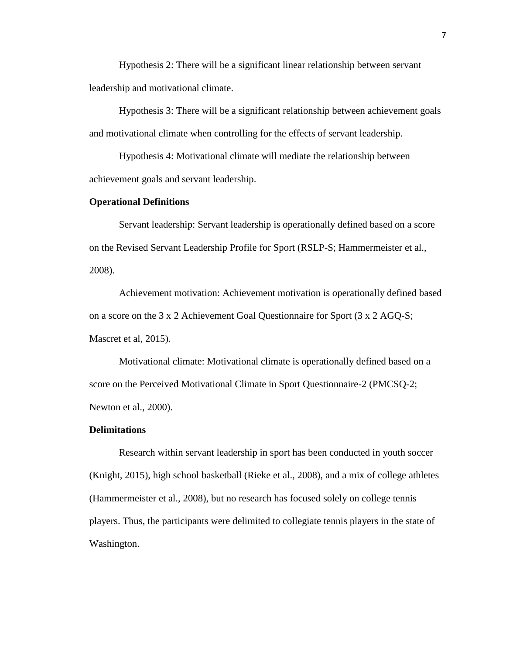Hypothesis 2: There will be a significant linear relationship between servant leadership and motivational climate.

Hypothesis 3: There will be a significant relationship between achievement goals and motivational climate when controlling for the effects of servant leadership.

Hypothesis 4: Motivational climate will mediate the relationship between achievement goals and servant leadership.

## **Operational Definitions**

Servant leadership: Servant leadership is operationally defined based on a score on the Revised Servant Leadership Profile for Sport (RSLP-S; Hammermeister et al., 2008).

Achievement motivation: Achievement motivation is operationally defined based on a score on the 3 x 2 Achievement Goal Questionnaire for Sport (3 x 2 AGQ-S; Mascret et al, 2015).

Motivational climate: Motivational climate is operationally defined based on a score on the Perceived Motivational Climate in Sport Questionnaire-2 (PMCSQ-2; Newton et al., 2000).

#### **Delimitations**

Research within servant leadership in sport has been conducted in youth soccer (Knight, 2015), high school basketball (Rieke et al., 2008), and a mix of college athletes (Hammermeister et al., 2008), but no research has focused solely on college tennis players. Thus, the participants were delimited to collegiate tennis players in the state of Washington.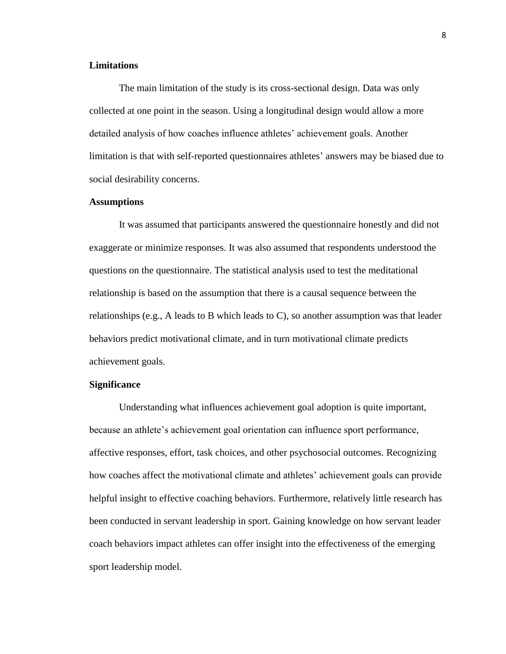# **Limitations**

The main limitation of the study is its cross-sectional design. Data was only collected at one point in the season. Using a longitudinal design would allow a more detailed analysis of how coaches influence athletes' achievement goals. Another limitation is that with self-reported questionnaires athletes' answers may be biased due to social desirability concerns.

#### **Assumptions**

It was assumed that participants answered the questionnaire honestly and did not exaggerate or minimize responses. It was also assumed that respondents understood the questions on the questionnaire. The statistical analysis used to test the meditational relationship is based on the assumption that there is a causal sequence between the relationships (e.g., A leads to B which leads to C), so another assumption was that leader behaviors predict motivational climate, and in turn motivational climate predicts achievement goals.

# **Significance**

Understanding what influences achievement goal adoption is quite important, because an athlete's achievement goal orientation can influence sport performance, affective responses, effort, task choices, and other psychosocial outcomes. Recognizing how coaches affect the motivational climate and athletes' achievement goals can provide helpful insight to effective coaching behaviors. Furthermore, relatively little research has been conducted in servant leadership in sport. Gaining knowledge on how servant leader coach behaviors impact athletes can offer insight into the effectiveness of the emerging sport leadership model.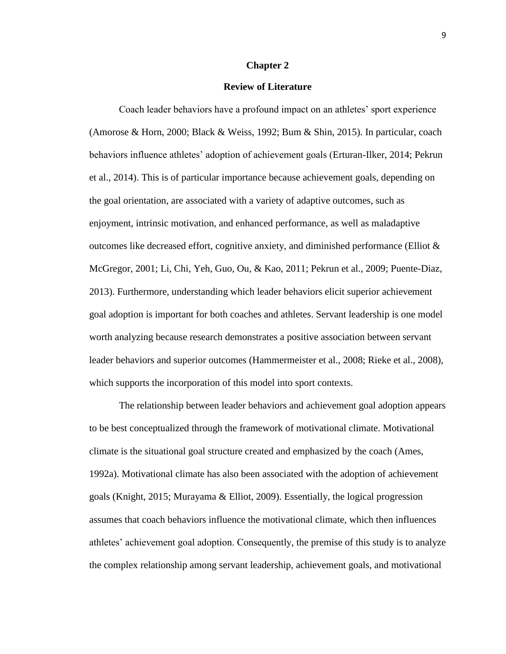#### **Chapter 2**

#### **Review of Literature**

Coach leader behaviors have a profound impact on an athletes' sport experience (Amorose & Horn, 2000; Black & Weiss, 1992; Bum & Shin, 2015). In particular, coach behaviors influence athletes' adoption of achievement goals (Erturan-Ilker, 2014; Pekrun et al., 2014). This is of particular importance because achievement goals, depending on the goal orientation, are associated with a variety of adaptive outcomes, such as enjoyment, intrinsic motivation, and enhanced performance, as well as maladaptive outcomes like decreased effort, cognitive anxiety, and diminished performance (Elliot & McGregor, 2001; Li, Chi, Yeh, Guo, Ou, & Kao, 2011; Pekrun et al., 2009; Puente-Diaz, 2013). Furthermore, understanding which leader behaviors elicit superior achievement goal adoption is important for both coaches and athletes. Servant leadership is one model worth analyzing because research demonstrates a positive association between servant leader behaviors and superior outcomes (Hammermeister et al., 2008; Rieke et al., 2008), which supports the incorporation of this model into sport contexts.

The relationship between leader behaviors and achievement goal adoption appears to be best conceptualized through the framework of motivational climate. Motivational climate is the situational goal structure created and emphasized by the coach (Ames, 1992a). Motivational climate has also been associated with the adoption of achievement goals (Knight, 2015; Murayama & Elliot, 2009). Essentially, the logical progression assumes that coach behaviors influence the motivational climate, which then influences athletes' achievement goal adoption. Consequently, the premise of this study is to analyze the complex relationship among servant leadership, achievement goals, and motivational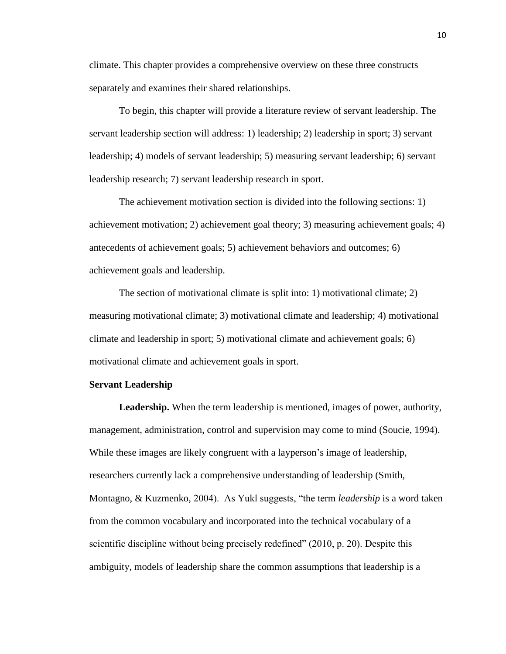climate. This chapter provides a comprehensive overview on these three constructs separately and examines their shared relationships.

To begin, this chapter will provide a literature review of servant leadership. The servant leadership section will address: 1) leadership; 2) leadership in sport; 3) servant leadership; 4) models of servant leadership; 5) measuring servant leadership; 6) servant leadership research; 7) servant leadership research in sport.

The achievement motivation section is divided into the following sections: 1) achievement motivation; 2) achievement goal theory; 3) measuring achievement goals; 4) antecedents of achievement goals; 5) achievement behaviors and outcomes; 6) achievement goals and leadership.

The section of motivational climate is split into: 1) motivational climate; 2) measuring motivational climate; 3) motivational climate and leadership; 4) motivational climate and leadership in sport; 5) motivational climate and achievement goals; 6) motivational climate and achievement goals in sport.

# **Servant Leadership**

**Leadership.** When the term leadership is mentioned, images of power, authority, management, administration, control and supervision may come to mind (Soucie, 1994). While these images are likely congruent with a layperson's image of leadership, researchers currently lack a comprehensive understanding of leadership (Smith, Montagno, & Kuzmenko, 2004). As Yukl suggests, "the term *leadership* is a word taken from the common vocabulary and incorporated into the technical vocabulary of a scientific discipline without being precisely redefined" (2010, p. 20). Despite this ambiguity, models of leadership share the common assumptions that leadership is a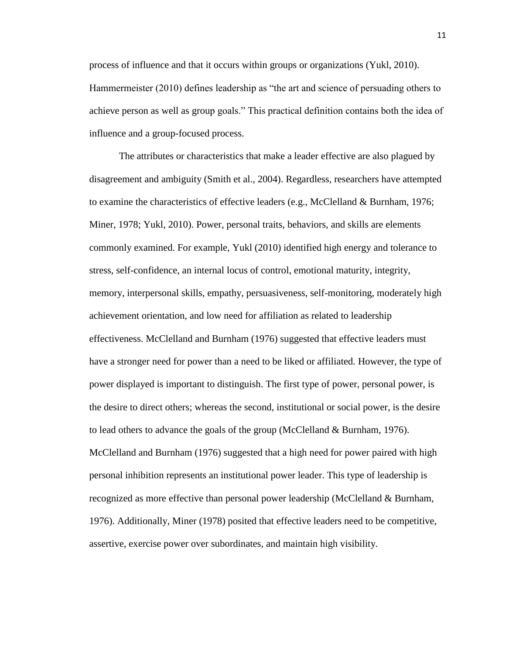process of influence and that it occurs within groups or organizations (Yukl, 2010). Hammermeister (2010) defines leadership as "the art and science of persuading others to achieve person as well as group goals." This practical definition contains both the idea of influence and a group-focused process.

The attributes or characteristics that make a leader effective are also plagued by disagreement and ambiguity (Smith et al., 2004). Regardless, researchers have attempted to examine the characteristics of effective leaders (e.g., McClelland & Burnham, 1976; Miner, 1978; Yukl, 2010). Power, personal traits, behaviors, and skills are elements commonly examined. For example, Yukl (2010) identified high energy and tolerance to stress, self-confidence, an internal locus of control, emotional maturity, integrity, memory, interpersonal skills, empathy, persuasiveness, self-monitoring, moderately high achievement orientation, and low need for affiliation as related to leadership effectiveness. McClelland and Burnham (1976) suggested that effective leaders must have a stronger need for power than a need to be liked or affiliated. However, the type of power displayed is important to distinguish. The first type of power, personal power, is the desire to direct others; whereas the second, institutional or social power, is the desire to lead others to advance the goals of the group (McClelland & Burnham, 1976). McClelland and Burnham (1976) suggested that a high need for power paired with high personal inhibition represents an institutional power leader. This type of leadership is recognized as more effective than personal power leadership (McClelland & Burnham, 1976). Additionally, Miner (1978) posited that effective leaders need to be competitive, assertive, exercise power over subordinates, and maintain high visibility.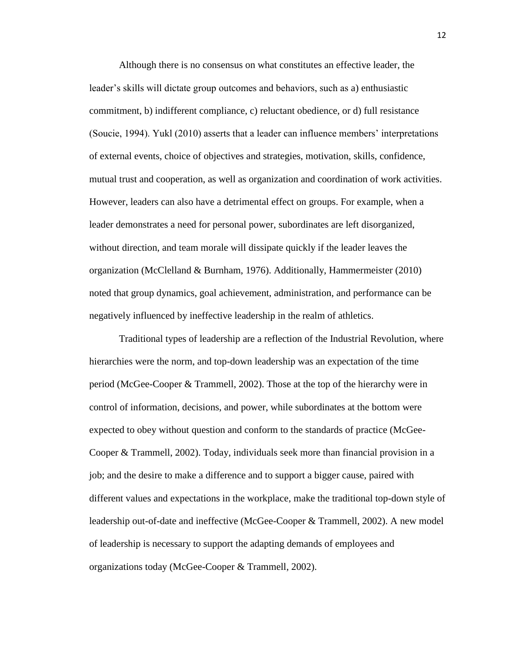Although there is no consensus on what constitutes an effective leader, the leader's skills will dictate group outcomes and behaviors, such as a) enthusiastic commitment, b) indifferent compliance, c) reluctant obedience, or d) full resistance (Soucie, 1994). Yukl (2010) asserts that a leader can influence members' interpretations of external events, choice of objectives and strategies, motivation, skills, confidence, mutual trust and cooperation, as well as organization and coordination of work activities. However, leaders can also have a detrimental effect on groups. For example, when a leader demonstrates a need for personal power, subordinates are left disorganized, without direction, and team morale will dissipate quickly if the leader leaves the organization (McClelland & Burnham, 1976). Additionally, Hammermeister (2010) noted that group dynamics, goal achievement, administration, and performance can be negatively influenced by ineffective leadership in the realm of athletics.

Traditional types of leadership are a reflection of the Industrial Revolution, where hierarchies were the norm, and top-down leadership was an expectation of the time period (McGee-Cooper & Trammell, 2002). Those at the top of the hierarchy were in control of information, decisions, and power, while subordinates at the bottom were expected to obey without question and conform to the standards of practice (McGee-Cooper & Trammell, 2002). Today, individuals seek more than financial provision in a job; and the desire to make a difference and to support a bigger cause, paired with different values and expectations in the workplace, make the traditional top-down style of leadership out-of-date and ineffective (McGee-Cooper & Trammell, 2002). A new model of leadership is necessary to support the adapting demands of employees and organizations today (McGee-Cooper & Trammell, 2002).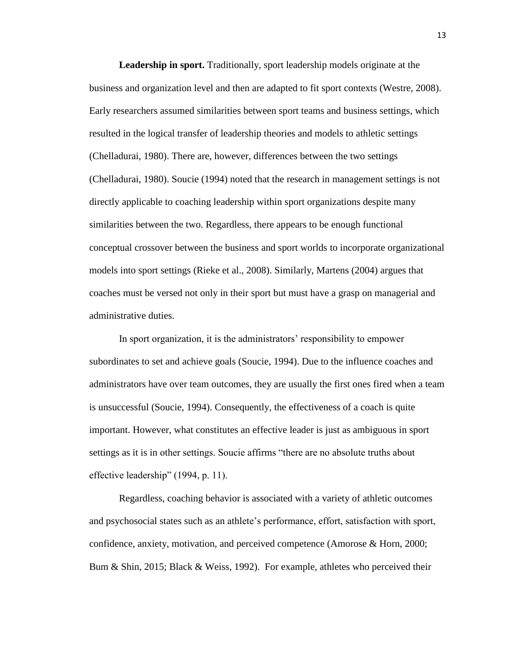**Leadership in sport.** Traditionally, sport leadership models originate at the business and organization level and then are adapted to fit sport contexts (Westre, 2008). Early researchers assumed similarities between sport teams and business settings, which resulted in the logical transfer of leadership theories and models to athletic settings (Chelladurai, 1980). There are, however, differences between the two settings (Chelladurai, 1980). Soucie (1994) noted that the research in management settings is not directly applicable to coaching leadership within sport organizations despite many similarities between the two. Regardless, there appears to be enough functional conceptual crossover between the business and sport worlds to incorporate organizational models into sport settings (Rieke et al., 2008). Similarly, Martens (2004) argues that coaches must be versed not only in their sport but must have a grasp on managerial and administrative duties.

In sport organization, it is the administrators' responsibility to empower subordinates to set and achieve goals (Soucie, 1994). Due to the influence coaches and administrators have over team outcomes, they are usually the first ones fired when a team is unsuccessful (Soucie, 1994). Consequently, the effectiveness of a coach is quite important. However, what constitutes an effective leader is just as ambiguous in sport settings as it is in other settings. Soucie affirms "there are no absolute truths about effective leadership" (1994, p. 11).

Regardless, coaching behavior is associated with a variety of athletic outcomes and psychosocial states such as an athlete's performance, effort, satisfaction with sport, confidence, anxiety, motivation, and perceived competence (Amorose & Horn, 2000; Bum & Shin, 2015; Black & Weiss, 1992). For example, athletes who perceived their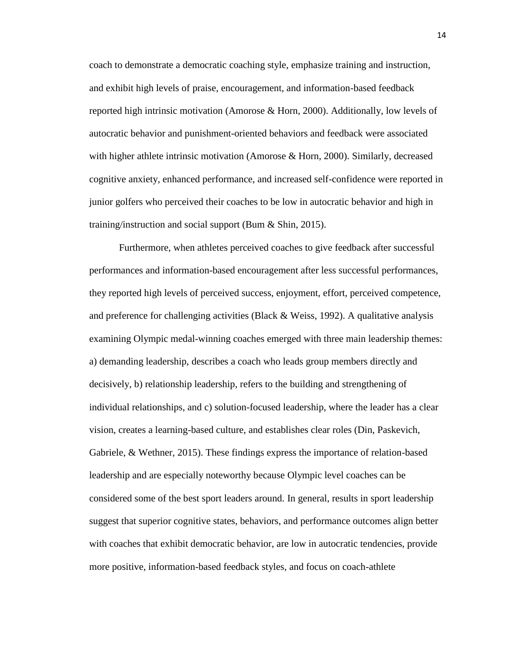coach to demonstrate a democratic coaching style, emphasize training and instruction, and exhibit high levels of praise, encouragement, and information-based feedback reported high intrinsic motivation (Amorose & Horn, 2000). Additionally, low levels of autocratic behavior and punishment-oriented behaviors and feedback were associated with higher athlete intrinsic motivation (Amorose & Horn, 2000). Similarly, decreased cognitive anxiety, enhanced performance, and increased self-confidence were reported in junior golfers who perceived their coaches to be low in autocratic behavior and high in training/instruction and social support (Bum & Shin, 2015).

Furthermore, when athletes perceived coaches to give feedback after successful performances and information-based encouragement after less successful performances, they reported high levels of perceived success, enjoyment, effort, perceived competence, and preference for challenging activities (Black  $&$  Weiss, 1992). A qualitative analysis examining Olympic medal-winning coaches emerged with three main leadership themes: a) demanding leadership, describes a coach who leads group members directly and decisively, b) relationship leadership, refers to the building and strengthening of individual relationships, and c) solution-focused leadership, where the leader has a clear vision, creates a learning-based culture, and establishes clear roles (Din, Paskevich, Gabriele, & Wethner, 2015). These findings express the importance of relation-based leadership and are especially noteworthy because Olympic level coaches can be considered some of the best sport leaders around. In general, results in sport leadership suggest that superior cognitive states, behaviors, and performance outcomes align better with coaches that exhibit democratic behavior, are low in autocratic tendencies, provide more positive, information-based feedback styles, and focus on coach-athlete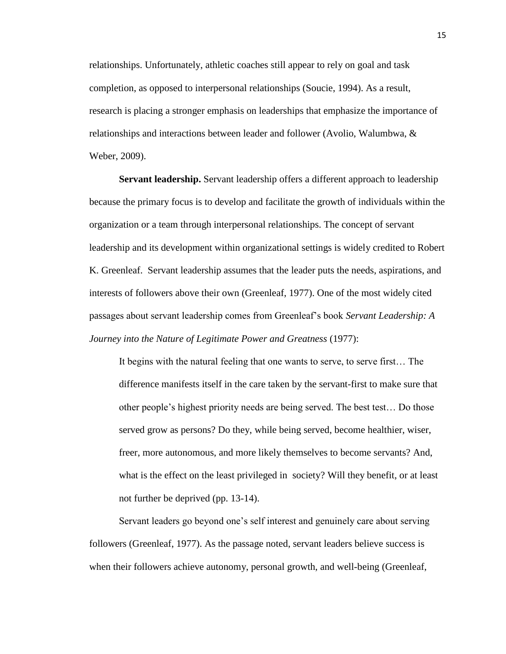relationships. Unfortunately, athletic coaches still appear to rely on goal and task completion, as opposed to interpersonal relationships (Soucie, 1994). As a result, research is placing a stronger emphasis on leaderships that emphasize the importance of relationships and interactions between leader and follower (Avolio, Walumbwa, & Weber, 2009).

**Servant leadership.** Servant leadership offers a different approach to leadership because the primary focus is to develop and facilitate the growth of individuals within the organization or a team through interpersonal relationships. The concept of servant leadership and its development within organizational settings is widely credited to Robert K. Greenleaf. Servant leadership assumes that the leader puts the needs, aspirations, and interests of followers above their own (Greenleaf, 1977). One of the most widely cited passages about servant leadership comes from Greenleaf's book *Servant Leadership: A Journey into the Nature of Legitimate Power and Greatness* (1977):

It begins with the natural feeling that one wants to serve, to serve first… The difference manifests itself in the care taken by the servant-first to make sure that other people's highest priority needs are being served. The best test… Do those served grow as persons? Do they, while being served, become healthier, wiser, freer, more autonomous, and more likely themselves to become servants? And, what is the effect on the least privileged in society? Will they benefit, or at least not further be deprived (pp. 13-14).

Servant leaders go beyond one's self interest and genuinely care about serving followers (Greenleaf, 1977). As the passage noted, servant leaders believe success is when their followers achieve autonomy, personal growth, and well-being (Greenleaf,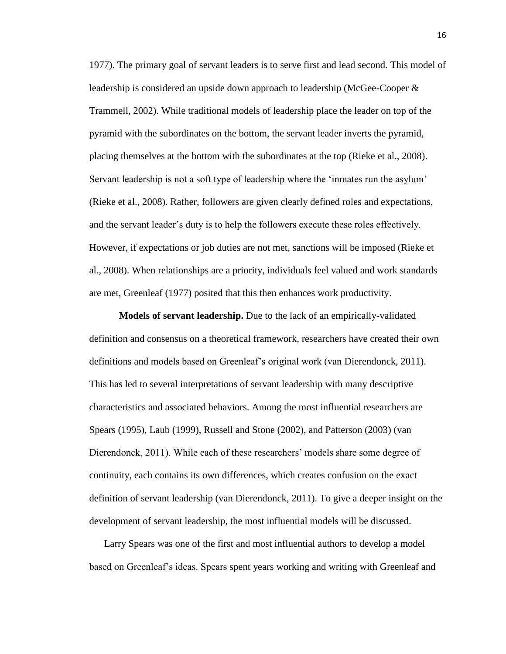1977). The primary goal of servant leaders is to serve first and lead second. This model of leadership is considered an upside down approach to leadership (McGee-Cooper & Trammell, 2002). While traditional models of leadership place the leader on top of the pyramid with the subordinates on the bottom, the servant leader inverts the pyramid, placing themselves at the bottom with the subordinates at the top (Rieke et al., 2008). Servant leadership is not a soft type of leadership where the 'inmates run the asylum' (Rieke et al., 2008). Rather, followers are given clearly defined roles and expectations, and the servant leader's duty is to help the followers execute these roles effectively. However, if expectations or job duties are not met, sanctions will be imposed (Rieke et al., 2008). When relationships are a priority, individuals feel valued and work standards are met, Greenleaf (1977) posited that this then enhances work productivity.

**Models of servant leadership.** Due to the lack of an empirically-validated definition and consensus on a theoretical framework, researchers have created their own definitions and models based on Greenleaf's original work (van Dierendonck, 2011). This has led to several interpretations of servant leadership with many descriptive characteristics and associated behaviors. Among the most influential researchers are Spears (1995), Laub (1999), Russell and Stone (2002), and Patterson (2003) (van Dierendonck, 2011). While each of these researchers' models share some degree of continuity, each contains its own differences, which creates confusion on the exact definition of servant leadership (van Dierendonck, 2011). To give a deeper insight on the development of servant leadership, the most influential models will be discussed.

Larry Spears was one of the first and most influential authors to develop a model based on Greenleaf's ideas. Spears spent years working and writing with Greenleaf and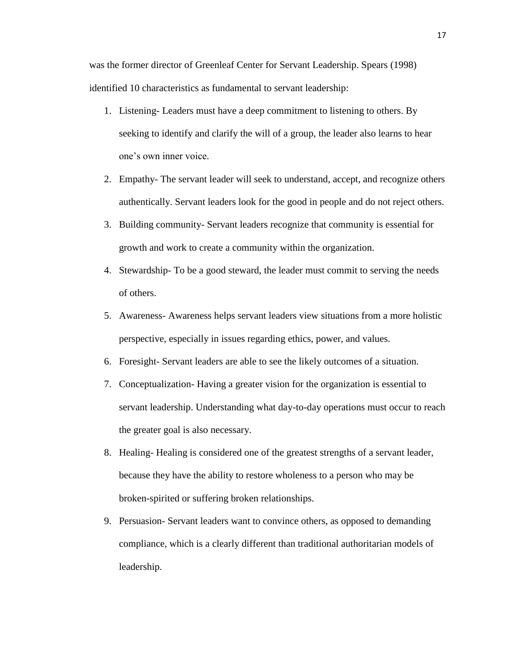was the former director of Greenleaf Center for Servant Leadership. Spears (1998) identified 10 characteristics as fundamental to servant leadership:

- 1. Listening- Leaders must have a deep commitment to listening to others. By seeking to identify and clarify the will of a group, the leader also learns to hear one's own inner voice.
- 2. Empathy- The servant leader will seek to understand, accept, and recognize others authentically. Servant leaders look for the good in people and do not reject others.
- 3. Building community- Servant leaders recognize that community is essential for growth and work to create a community within the organization.
- 4. Stewardship- To be a good steward, the leader must commit to serving the needs of others.
- 5. Awareness- Awareness helps servant leaders view situations from a more holistic perspective, especially in issues regarding ethics, power, and values.
- 6. Foresight- Servant leaders are able to see the likely outcomes of a situation.
- 7. Conceptualization- Having a greater vision for the organization is essential to servant leadership. Understanding what day-to-day operations must occur to reach the greater goal is also necessary.
- 8. Healing- Healing is considered one of the greatest strengths of a servant leader, because they have the ability to restore wholeness to a person who may be broken-spirited or suffering broken relationships.
- 9. Persuasion- Servant leaders want to convince others, as opposed to demanding compliance, which is a clearly different than traditional authoritarian models of leadership.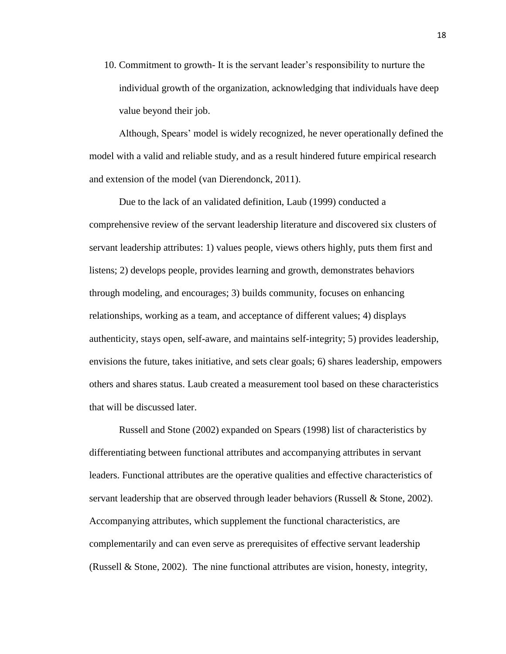10. Commitment to growth- It is the servant leader's responsibility to nurture the individual growth of the organization, acknowledging that individuals have deep value beyond their job.

Although, Spears' model is widely recognized, he never operationally defined the model with a valid and reliable study, and as a result hindered future empirical research and extension of the model (van Dierendonck, 2011).

Due to the lack of an validated definition, Laub (1999) conducted a comprehensive review of the servant leadership literature and discovered six clusters of servant leadership attributes: 1) values people, views others highly, puts them first and listens; 2) develops people, provides learning and growth, demonstrates behaviors through modeling, and encourages; 3) builds community, focuses on enhancing relationships, working as a team, and acceptance of different values; 4) displays authenticity, stays open, self-aware, and maintains self-integrity; 5) provides leadership, envisions the future, takes initiative, and sets clear goals; 6) shares leadership, empowers others and shares status. Laub created a measurement tool based on these characteristics that will be discussed later.

Russell and Stone (2002) expanded on Spears (1998) list of characteristics by differentiating between functional attributes and accompanying attributes in servant leaders. Functional attributes are the operative qualities and effective characteristics of servant leadership that are observed through leader behaviors (Russell & Stone, 2002). Accompanying attributes, which supplement the functional characteristics, are complementarily and can even serve as prerequisites of effective servant leadership (Russell & Stone, 2002). The nine functional attributes are vision, honesty, integrity,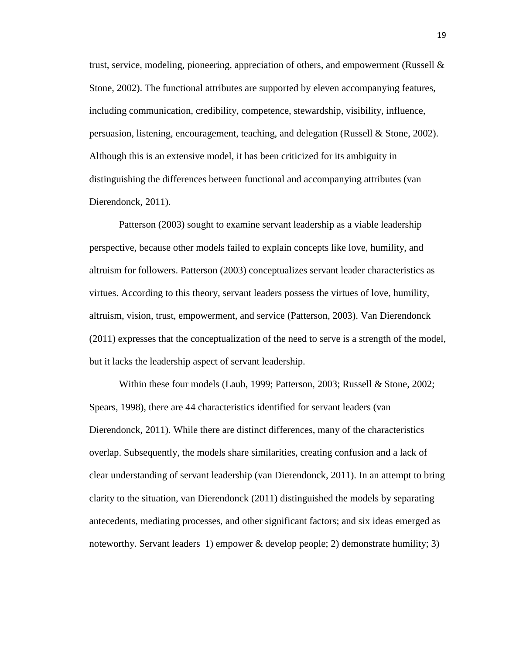trust, service, modeling, pioneering, appreciation of others, and empowerment (Russell  $\&$ Stone, 2002). The functional attributes are supported by eleven accompanying features, including communication, credibility, competence, stewardship, visibility, influence, persuasion, listening, encouragement, teaching, and delegation (Russell & Stone, 2002). Although this is an extensive model, it has been criticized for its ambiguity in distinguishing the differences between functional and accompanying attributes (van Dierendonck, 2011).

Patterson (2003) sought to examine servant leadership as a viable leadership perspective, because other models failed to explain concepts like love, humility, and altruism for followers. Patterson (2003) conceptualizes servant leader characteristics as virtues. According to this theory, servant leaders possess the virtues of love, humility, altruism, vision, trust, empowerment, and service (Patterson, 2003). Van Dierendonck (2011) expresses that the conceptualization of the need to serve is a strength of the model, but it lacks the leadership aspect of servant leadership.

Within these four models (Laub, 1999; Patterson, 2003; Russell & Stone, 2002; Spears, 1998), there are 44 characteristics identified for servant leaders (van Dierendonck, 2011). While there are distinct differences, many of the characteristics overlap. Subsequently, the models share similarities, creating confusion and a lack of clear understanding of servant leadership (van Dierendonck, 2011). In an attempt to bring clarity to the situation, van Dierendonck (2011) distinguished the models by separating antecedents, mediating processes, and other significant factors; and six ideas emerged as noteworthy. Servant leaders 1) empower & develop people; 2) demonstrate humility; 3)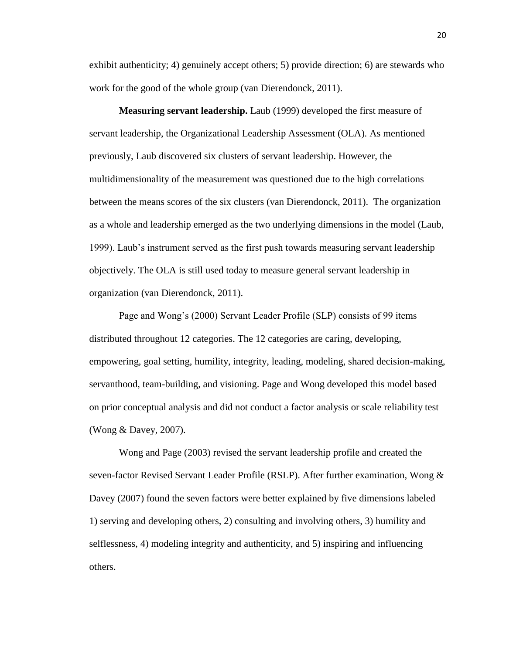exhibit authenticity; 4) genuinely accept others; 5) provide direction; 6) are stewards who work for the good of the whole group (van Dierendonck, 2011).

**Measuring servant leadership.** Laub (1999) developed the first measure of servant leadership, the Organizational Leadership Assessment (OLA). As mentioned previously, Laub discovered six clusters of servant leadership. However, the multidimensionality of the measurement was questioned due to the high correlations between the means scores of the six clusters (van Dierendonck, 2011). The organization as a whole and leadership emerged as the two underlying dimensions in the model (Laub, 1999). Laub's instrument served as the first push towards measuring servant leadership objectively. The OLA is still used today to measure general servant leadership in organization (van Dierendonck, 2011).

Page and Wong's (2000) Servant Leader Profile (SLP) consists of 99 items distributed throughout 12 categories. The 12 categories are caring, developing, empowering, goal setting, humility, integrity, leading, modeling, shared decision-making, servanthood, team-building, and visioning. Page and Wong developed this model based on prior conceptual analysis and did not conduct a factor analysis or scale reliability test (Wong & Davey, 2007).

Wong and Page (2003) revised the servant leadership profile and created the seven-factor Revised Servant Leader Profile (RSLP). After further examination, Wong & Davey (2007) found the seven factors were better explained by five dimensions labeled 1) serving and developing others, 2) consulting and involving others, 3) humility and selflessness, 4) modeling integrity and authenticity, and 5) inspiring and influencing others.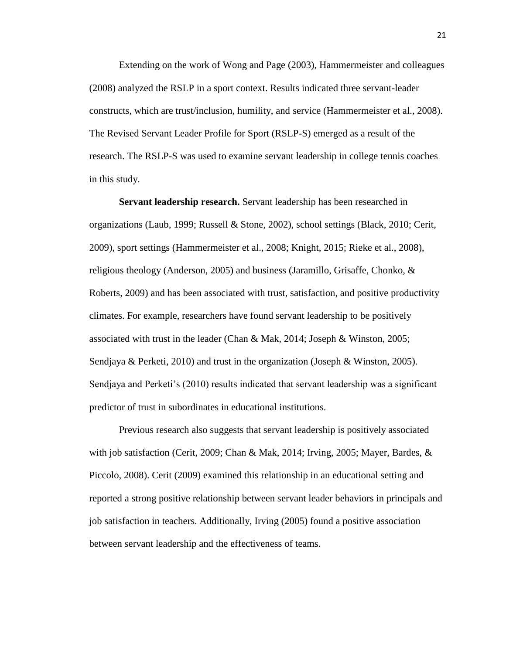Extending on the work of Wong and Page (2003), Hammermeister and colleagues (2008) analyzed the RSLP in a sport context. Results indicated three servant-leader constructs, which are trust/inclusion, humility, and service (Hammermeister et al., 2008). The Revised Servant Leader Profile for Sport (RSLP-S) emerged as a result of the research. The RSLP-S was used to examine servant leadership in college tennis coaches in this study.

**Servant leadership research.** Servant leadership has been researched in organizations (Laub, 1999; Russell & Stone, 2002), school settings (Black, 2010; Cerit, 2009), sport settings (Hammermeister et al., 2008; Knight, 2015; Rieke et al., 2008), religious theology (Anderson, 2005) and business (Jaramillo, Grisaffe, Chonko, & Roberts, 2009) and has been associated with trust, satisfaction, and positive productivity climates. For example, researchers have found servant leadership to be positively associated with trust in the leader (Chan & Mak, 2014; Joseph & Winston, 2005; Sendjaya & Perketi, 2010) and trust in the organization (Joseph & Winston, 2005). Sendjaya and Perketi's (2010) results indicated that servant leadership was a significant predictor of trust in subordinates in educational institutions.

Previous research also suggests that servant leadership is positively associated with job satisfaction (Cerit, 2009; Chan & Mak, 2014; Irving, 2005; Mayer, Bardes, & Piccolo, 2008). Cerit (2009) examined this relationship in an educational setting and reported a strong positive relationship between servant leader behaviors in principals and job satisfaction in teachers. Additionally, Irving (2005) found a positive association between servant leadership and the effectiveness of teams.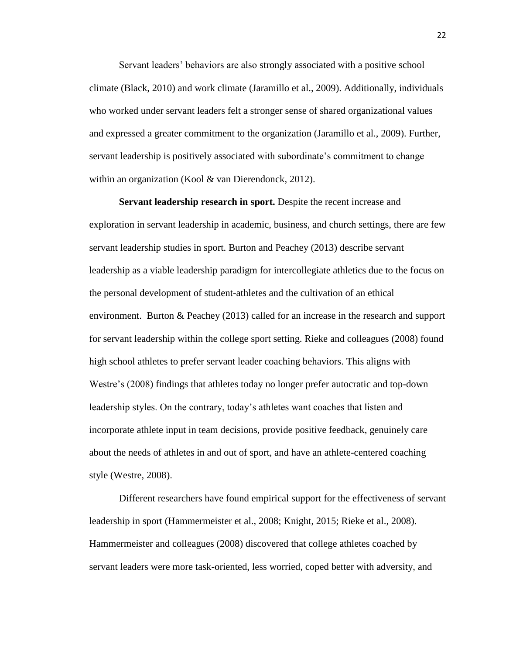Servant leaders' behaviors are also strongly associated with a positive school climate (Black, 2010) and work climate (Jaramillo et al., 2009). Additionally, individuals who worked under servant leaders felt a stronger sense of shared organizational values and expressed a greater commitment to the organization (Jaramillo et al., 2009). Further, servant leadership is positively associated with subordinate's commitment to change within an organization (Kool & van Dierendonck, 2012).

**Servant leadership research in sport.** Despite the recent increase and exploration in servant leadership in academic, business, and church settings, there are few servant leadership studies in sport. Burton and Peachey (2013) describe servant leadership as a viable leadership paradigm for intercollegiate athletics due to the focus on the personal development of student-athletes and the cultivation of an ethical environment. Burton & Peachey (2013) called for an increase in the research and support for servant leadership within the college sport setting. Rieke and colleagues (2008) found high school athletes to prefer servant leader coaching behaviors. This aligns with Westre's (2008) findings that athletes today no longer prefer autocratic and top-down leadership styles. On the contrary, today's athletes want coaches that listen and incorporate athlete input in team decisions, provide positive feedback, genuinely care about the needs of athletes in and out of sport, and have an athlete-centered coaching style (Westre, 2008).

Different researchers have found empirical support for the effectiveness of servant leadership in sport (Hammermeister et al., 2008; Knight, 2015; Rieke et al., 2008). Hammermeister and colleagues (2008) discovered that college athletes coached by servant leaders were more task-oriented, less worried, coped better with adversity, and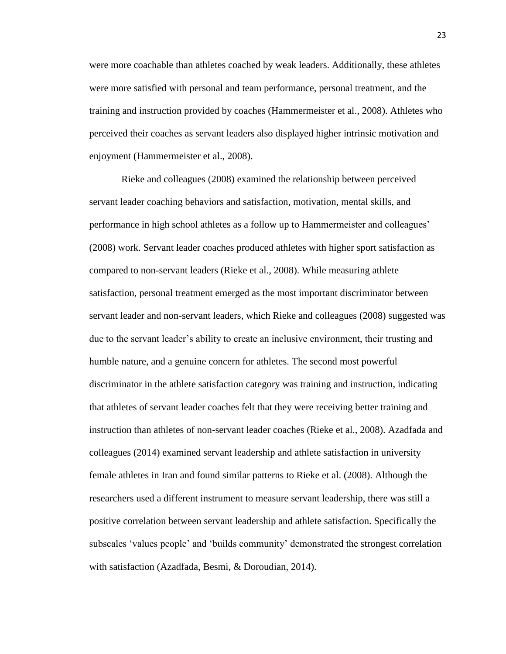were more coachable than athletes coached by weak leaders. Additionally, these athletes were more satisfied with personal and team performance, personal treatment, and the training and instruction provided by coaches (Hammermeister et al., 2008). Athletes who perceived their coaches as servant leaders also displayed higher intrinsic motivation and enjoyment (Hammermeister et al., 2008).

Rieke and colleagues (2008) examined the relationship between perceived servant leader coaching behaviors and satisfaction, motivation, mental skills, and performance in high school athletes as a follow up to Hammermeister and colleagues' (2008) work. Servant leader coaches produced athletes with higher sport satisfaction as compared to non-servant leaders (Rieke et al., 2008). While measuring athlete satisfaction, personal treatment emerged as the most important discriminator between servant leader and non-servant leaders, which Rieke and colleagues (2008) suggested was due to the servant leader's ability to create an inclusive environment, their trusting and humble nature, and a genuine concern for athletes. The second most powerful discriminator in the athlete satisfaction category was training and instruction, indicating that athletes of servant leader coaches felt that they were receiving better training and instruction than athletes of non-servant leader coaches (Rieke et al., 2008). Azadfada and colleagues (2014) examined servant leadership and athlete satisfaction in university female athletes in Iran and found similar patterns to Rieke et al. (2008). Although the researchers used a different instrument to measure servant leadership, there was still a positive correlation between servant leadership and athlete satisfaction. Specifically the subscales 'values people' and 'builds community' demonstrated the strongest correlation with satisfaction (Azadfada, Besmi, & Doroudian, 2014).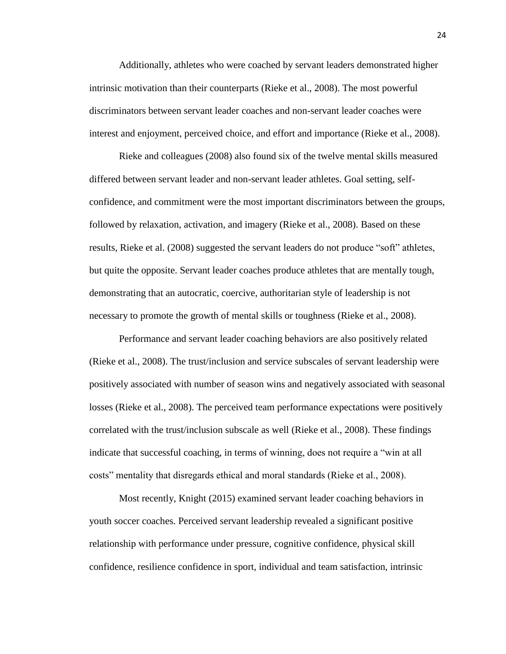Additionally, athletes who were coached by servant leaders demonstrated higher intrinsic motivation than their counterparts (Rieke et al., 2008). The most powerful discriminators between servant leader coaches and non-servant leader coaches were interest and enjoyment, perceived choice, and effort and importance (Rieke et al., 2008).

Rieke and colleagues (2008) also found six of the twelve mental skills measured differed between servant leader and non-servant leader athletes. Goal setting, selfconfidence, and commitment were the most important discriminators between the groups, followed by relaxation, activation, and imagery (Rieke et al., 2008). Based on these results, Rieke et al. (2008) suggested the servant leaders do not produce "soft" athletes, but quite the opposite. Servant leader coaches produce athletes that are mentally tough, demonstrating that an autocratic, coercive, authoritarian style of leadership is not necessary to promote the growth of mental skills or toughness (Rieke et al., 2008).

Performance and servant leader coaching behaviors are also positively related (Rieke et al., 2008). The trust/inclusion and service subscales of servant leadership were positively associated with number of season wins and negatively associated with seasonal losses (Rieke et al., 2008). The perceived team performance expectations were positively correlated with the trust/inclusion subscale as well (Rieke et al., 2008). These findings indicate that successful coaching, in terms of winning, does not require a "win at all costs" mentality that disregards ethical and moral standards (Rieke et al., 2008).

Most recently, Knight (2015) examined servant leader coaching behaviors in youth soccer coaches. Perceived servant leadership revealed a significant positive relationship with performance under pressure, cognitive confidence, physical skill confidence, resilience confidence in sport, individual and team satisfaction, intrinsic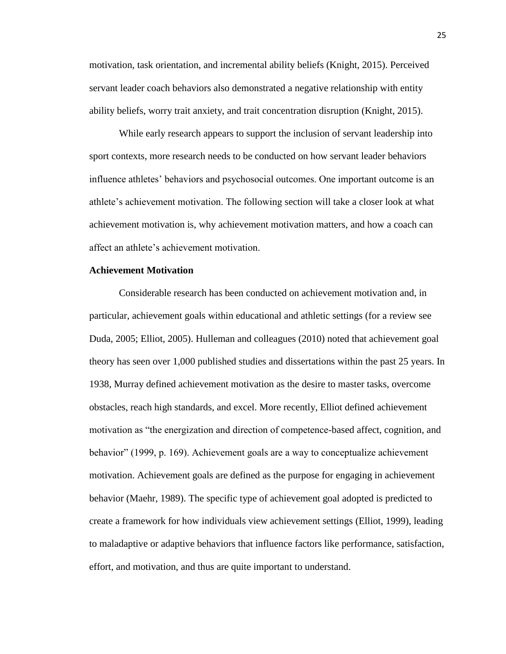motivation, task orientation, and incremental ability beliefs (Knight, 2015). Perceived servant leader coach behaviors also demonstrated a negative relationship with entity ability beliefs, worry trait anxiety, and trait concentration disruption (Knight, 2015).

While early research appears to support the inclusion of servant leadership into sport contexts, more research needs to be conducted on how servant leader behaviors influence athletes' behaviors and psychosocial outcomes. One important outcome is an athlete's achievement motivation. The following section will take a closer look at what achievement motivation is, why achievement motivation matters, and how a coach can affect an athlete's achievement motivation.

# **Achievement Motivation**

Considerable research has been conducted on achievement motivation and, in particular, achievement goals within educational and athletic settings (for a review see Duda, 2005; Elliot, 2005). Hulleman and colleagues (2010) noted that achievement goal theory has seen over 1,000 published studies and dissertations within the past 25 years. In 1938, Murray defined achievement motivation as the desire to master tasks, overcome obstacles, reach high standards, and excel. More recently, Elliot defined achievement motivation as "the energization and direction of competence-based affect, cognition, and behavior" (1999, p. 169). Achievement goals are a way to conceptualize achievement motivation. Achievement goals are defined as the purpose for engaging in achievement behavior (Maehr, 1989). The specific type of achievement goal adopted is predicted to create a framework for how individuals view achievement settings (Elliot, 1999), leading to maladaptive or adaptive behaviors that influence factors like performance, satisfaction, effort, and motivation, and thus are quite important to understand.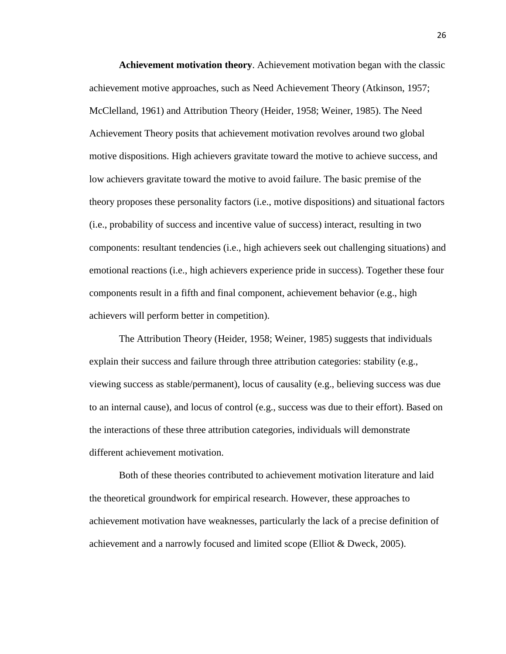**Achievement motivation theory**. Achievement motivation began with the classic achievement motive approaches, such as Need Achievement Theory (Atkinson, 1957; McClelland, 1961) and Attribution Theory (Heider, 1958; Weiner, 1985). The Need Achievement Theory posits that achievement motivation revolves around two global motive dispositions. High achievers gravitate toward the motive to achieve success, and low achievers gravitate toward the motive to avoid failure. The basic premise of the theory proposes these personality factors (i.e., motive dispositions) and situational factors (i.e., probability of success and incentive value of success) interact, resulting in two components: resultant tendencies (i.e., high achievers seek out challenging situations) and emotional reactions (i.e., high achievers experience pride in success). Together these four components result in a fifth and final component, achievement behavior (e.g., high achievers will perform better in competition).

The Attribution Theory (Heider, 1958; Weiner, 1985) suggests that individuals explain their success and failure through three attribution categories: stability (e.g., viewing success as stable/permanent), locus of causality (e.g., believing success was due to an internal cause), and locus of control (e.g., success was due to their effort). Based on the interactions of these three attribution categories, individuals will demonstrate different achievement motivation.

Both of these theories contributed to achievement motivation literature and laid the theoretical groundwork for empirical research. However, these approaches to achievement motivation have weaknesses, particularly the lack of a precise definition of achievement and a narrowly focused and limited scope (Elliot & Dweck, 2005).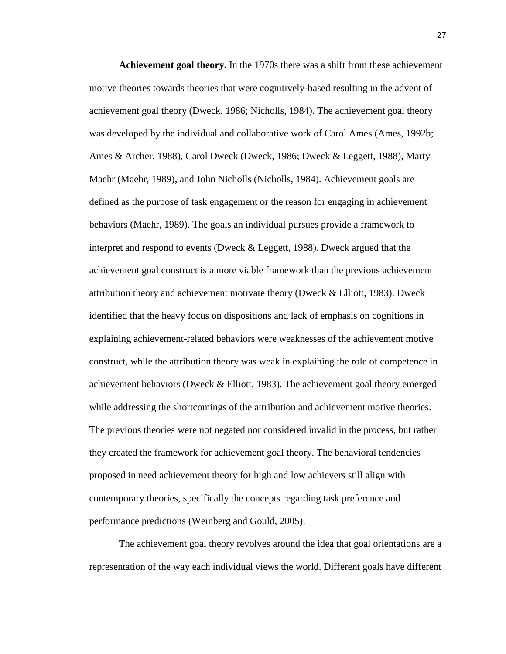**Achievement goal theory.** In the 1970s there was a shift from these achievement motive theories towards theories that were cognitively-based resulting in the advent of achievement goal theory (Dweck, 1986; Nicholls, 1984). The achievement goal theory was developed by the individual and collaborative work of Carol Ames (Ames, 1992b; Ames & Archer, 1988), Carol Dweck (Dweck, 1986; Dweck & Leggett, 1988), Marty Maehr (Maehr, 1989), and John Nicholls (Nicholls, 1984). Achievement goals are defined as the purpose of task engagement or the reason for engaging in achievement behaviors (Maehr, 1989). The goals an individual pursues provide a framework to interpret and respond to events (Dweck & Leggett, 1988). Dweck argued that the achievement goal construct is a more viable framework than the previous achievement attribution theory and achievement motivate theory (Dweck & Elliott, 1983). Dweck identified that the heavy focus on dispositions and lack of emphasis on cognitions in explaining achievement-related behaviors were weaknesses of the achievement motive construct, while the attribution theory was weak in explaining the role of competence in achievement behaviors (Dweck & Elliott, 1983). The achievement goal theory emerged while addressing the shortcomings of the attribution and achievement motive theories. The previous theories were not negated nor considered invalid in the process, but rather they created the framework for achievement goal theory. The behavioral tendencies proposed in need achievement theory for high and low achievers still align with contemporary theories, specifically the concepts regarding task preference and performance predictions (Weinberg and Gould, 2005).

The achievement goal theory revolves around the idea that goal orientations are a representation of the way each individual views the world. Different goals have different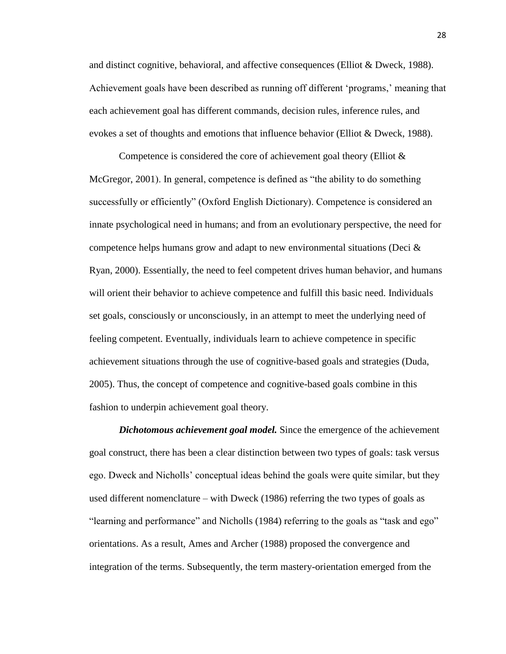and distinct cognitive, behavioral, and affective consequences (Elliot & Dweck, 1988). Achievement goals have been described as running off different 'programs,' meaning that each achievement goal has different commands, decision rules, inference rules, and evokes a set of thoughts and emotions that influence behavior (Elliot & Dweck, 1988).

Competence is considered the core of achievement goal theory (Elliot & McGregor, 2001). In general, competence is defined as "the ability to do something successfully or efficiently" (Oxford English Dictionary). Competence is considered an innate psychological need in humans; and from an evolutionary perspective, the need for competence helps humans grow and adapt to new environmental situations (Deci & Ryan, 2000). Essentially, the need to feel competent drives human behavior, and humans will orient their behavior to achieve competence and fulfill this basic need. Individuals set goals, consciously or unconsciously, in an attempt to meet the underlying need of feeling competent. Eventually, individuals learn to achieve competence in specific achievement situations through the use of cognitive-based goals and strategies (Duda, 2005). Thus, the concept of competence and cognitive-based goals combine in this fashion to underpin achievement goal theory.

*Dichotomous achievement goal model.* Since the emergence of the achievement goal construct, there has been a clear distinction between two types of goals: task versus ego. Dweck and Nicholls' conceptual ideas behind the goals were quite similar, but they used different nomenclature – with Dweck (1986) referring the two types of goals as "learning and performance" and Nicholls (1984) referring to the goals as "task and ego" orientations. As a result, Ames and Archer (1988) proposed the convergence and integration of the terms. Subsequently, the term mastery-orientation emerged from the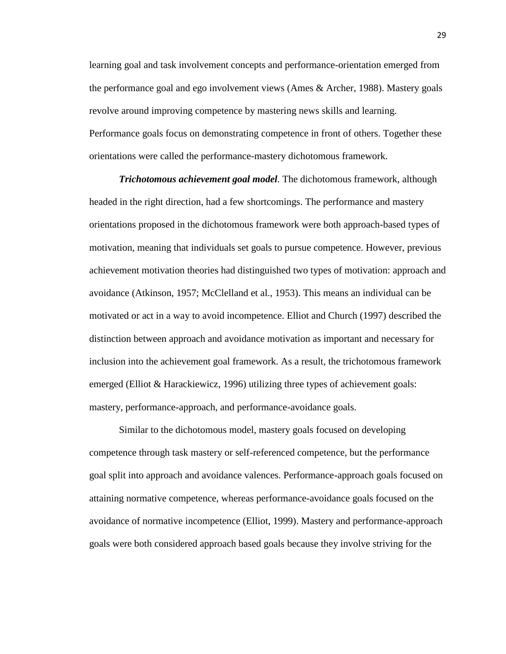learning goal and task involvement concepts and performance-orientation emerged from the performance goal and ego involvement views (Ames & Archer, 1988). Mastery goals revolve around improving competence by mastering news skills and learning. Performance goals focus on demonstrating competence in front of others. Together these orientations were called the performance-mastery dichotomous framework.

*Trichotomous achievement goal model.* The dichotomous framework, although headed in the right direction, had a few shortcomings. The performance and mastery orientations proposed in the dichotomous framework were both approach-based types of motivation, meaning that individuals set goals to pursue competence. However, previous achievement motivation theories had distinguished two types of motivation: approach and avoidance (Atkinson, 1957; McClelland et al., 1953). This means an individual can be motivated or act in a way to avoid incompetence. Elliot and Church (1997) described the distinction between approach and avoidance motivation as important and necessary for inclusion into the achievement goal framework. As a result, the trichotomous framework emerged (Elliot & Harackiewicz, 1996) utilizing three types of achievement goals: mastery, performance-approach, and performance-avoidance goals.

Similar to the dichotomous model, mastery goals focused on developing competence through task mastery or self-referenced competence, but the performance goal split into approach and avoidance valences. Performance-approach goals focused on attaining normative competence, whereas performance-avoidance goals focused on the avoidance of normative incompetence (Elliot, 1999). Mastery and performance-approach goals were both considered approach based goals because they involve striving for the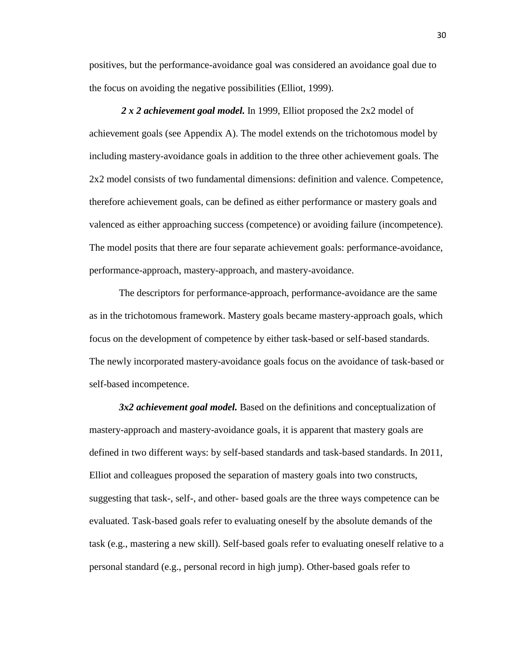positives, but the performance-avoidance goal was considered an avoidance goal due to the focus on avoiding the negative possibilities (Elliot, 1999).

*2 x 2 achievement goal model.* In 1999, Elliot proposed the 2x2 model of achievement goals (see Appendix A). The model extends on the trichotomous model by including mastery-avoidance goals in addition to the three other achievement goals. The 2x2 model consists of two fundamental dimensions: definition and valence. Competence, therefore achievement goals, can be defined as either performance or mastery goals and valenced as either approaching success (competence) or avoiding failure (incompetence). The model posits that there are four separate achievement goals: performance-avoidance, performance-approach, mastery-approach, and mastery-avoidance.

The descriptors for performance-approach, performance-avoidance are the same as in the trichotomous framework. Mastery goals became mastery-approach goals, which focus on the development of competence by either task-based or self-based standards. The newly incorporated mastery-avoidance goals focus on the avoidance of task-based or self-based incompetence.

*3x2 achievement goal model.* Based on the definitions and conceptualization of mastery-approach and mastery-avoidance goals, it is apparent that mastery goals are defined in two different ways: by self-based standards and task-based standards. In 2011, Elliot and colleagues proposed the separation of mastery goals into two constructs, suggesting that task-, self-, and other- based goals are the three ways competence can be evaluated. Task-based goals refer to evaluating oneself by the absolute demands of the task (e.g., mastering a new skill). Self-based goals refer to evaluating oneself relative to a personal standard (e.g., personal record in high jump). Other-based goals refer to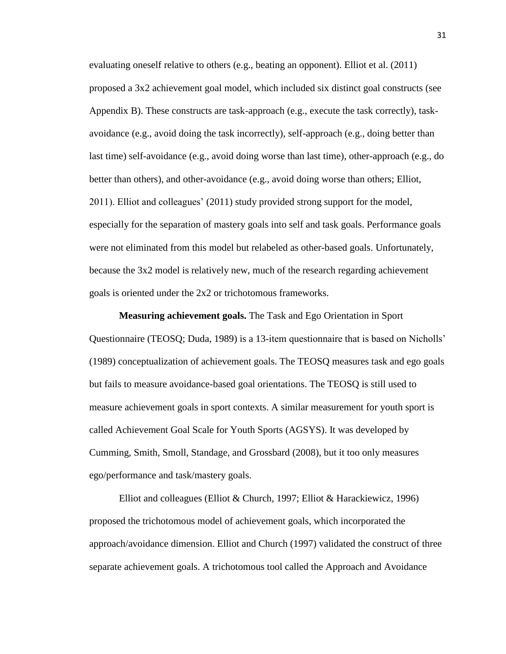evaluating oneself relative to others (e.g., beating an opponent). Elliot et al. (2011) proposed a 3x2 achievement goal model, which included six distinct goal constructs (see Appendix B). These constructs are task-approach (e.g., execute the task correctly), taskavoidance (e.g., avoid doing the task incorrectly), self-approach (e.g., doing better than last time) self-avoidance (e.g., avoid doing worse than last time), other-approach (e.g., do better than others), and other-avoidance (e.g., avoid doing worse than others; Elliot, 2011). Elliot and colleagues' (2011) study provided strong support for the model, especially for the separation of mastery goals into self and task goals. Performance goals were not eliminated from this model but relabeled as other-based goals. Unfortunately, because the 3x2 model is relatively new, much of the research regarding achievement goals is oriented under the 2x2 or trichotomous frameworks.

**Measuring achievement goals.** The Task and Ego Orientation in Sport Questionnaire (TEOSQ; Duda, 1989) is a 13-item questionnaire that is based on Nicholls' (1989) conceptualization of achievement goals. The TEOSQ measures task and ego goals but fails to measure avoidance-based goal orientations. The TEOSQ is still used to measure achievement goals in sport contexts. A similar measurement for youth sport is called Achievement Goal Scale for Youth Sports (AGSYS). It was developed by Cumming, Smith, Smoll, Standage, and Grossbard (2008), but it too only measures ego/performance and task/mastery goals.

Elliot and colleagues (Elliot & Church, 1997; Elliot & Harackiewicz, 1996) proposed the trichotomous model of achievement goals, which incorporated the approach/avoidance dimension. Elliot and Church (1997) validated the construct of three separate achievement goals. A trichotomous tool called the Approach and Avoidance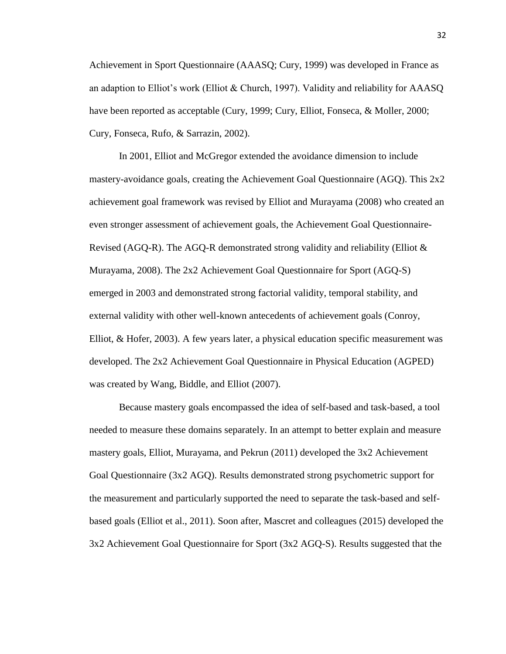Achievement in Sport Questionnaire (AAASQ; Cury, 1999) was developed in France as an adaption to Elliot's work (Elliot & Church, 1997). Validity and reliability for AAASQ have been reported as acceptable (Cury, 1999; Cury, Elliot, Fonseca, & Moller, 2000; Cury, Fonseca, Rufo, & Sarrazin, 2002).

In 2001, Elliot and McGregor extended the avoidance dimension to include mastery-avoidance goals, creating the Achievement Goal Questionnaire (AGQ). This 2x2 achievement goal framework was revised by Elliot and Murayama (2008) who created an even stronger assessment of achievement goals, the Achievement Goal Questionnaire-Revised (AGQ-R). The AGQ-R demonstrated strong validity and reliability (Elliot  $\&$ Murayama, 2008). The 2x2 Achievement Goal Questionnaire for Sport (AGQ-S) emerged in 2003 and demonstrated strong factorial validity, temporal stability, and external validity with other well-known antecedents of achievement goals (Conroy, Elliot, & Hofer, 2003). A few years later, a physical education specific measurement was developed. The 2x2 Achievement Goal Questionnaire in Physical Education (AGPED) was created by Wang, Biddle, and Elliot (2007).

Because mastery goals encompassed the idea of self-based and task-based, a tool needed to measure these domains separately. In an attempt to better explain and measure mastery goals, Elliot, Murayama, and Pekrun (2011) developed the 3x2 Achievement Goal Questionnaire (3x2 AGQ). Results demonstrated strong psychometric support for the measurement and particularly supported the need to separate the task-based and selfbased goals (Elliot et al., 2011). Soon after, Mascret and colleagues (2015) developed the 3x2 Achievement Goal Questionnaire for Sport (3x2 AGQ-S). Results suggested that the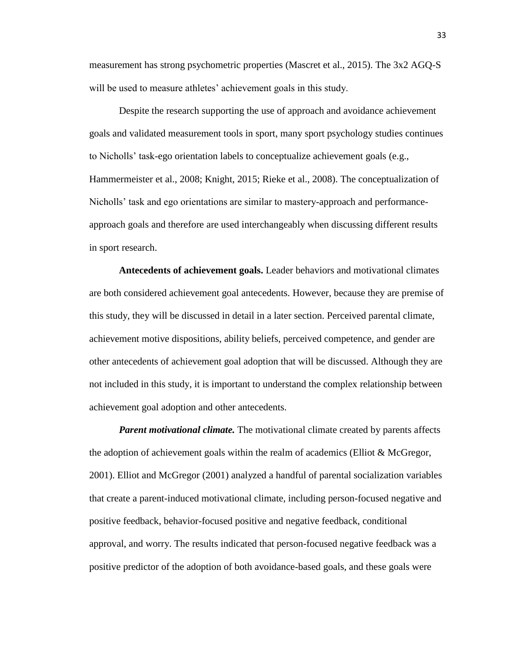measurement has strong psychometric properties (Mascret et al., 2015). The 3x2 AGQ-S will be used to measure athletes' achievement goals in this study.

Despite the research supporting the use of approach and avoidance achievement goals and validated measurement tools in sport, many sport psychology studies continues to Nicholls' task-ego orientation labels to conceptualize achievement goals (e.g., Hammermeister et al., 2008; Knight, 2015; Rieke et al., 2008). The conceptualization of Nicholls' task and ego orientations are similar to mastery-approach and performanceapproach goals and therefore are used interchangeably when discussing different results in sport research.

**Antecedents of achievement goals.** Leader behaviors and motivational climates are both considered achievement goal antecedents. However, because they are premise of this study, they will be discussed in detail in a later section. Perceived parental climate, achievement motive dispositions, ability beliefs, perceived competence, and gender are other antecedents of achievement goal adoption that will be discussed. Although they are not included in this study, it is important to understand the complex relationship between achievement goal adoption and other antecedents.

*Parent motivational climate.* The motivational climate created by parents affects the adoption of achievement goals within the realm of academics (Elliot & McGregor, 2001). Elliot and McGregor (2001) analyzed a handful of parental socialization variables that create a parent-induced motivational climate, including person-focused negative and positive feedback, behavior-focused positive and negative feedback, conditional approval, and worry. The results indicated that person-focused negative feedback was a positive predictor of the adoption of both avoidance-based goals, and these goals were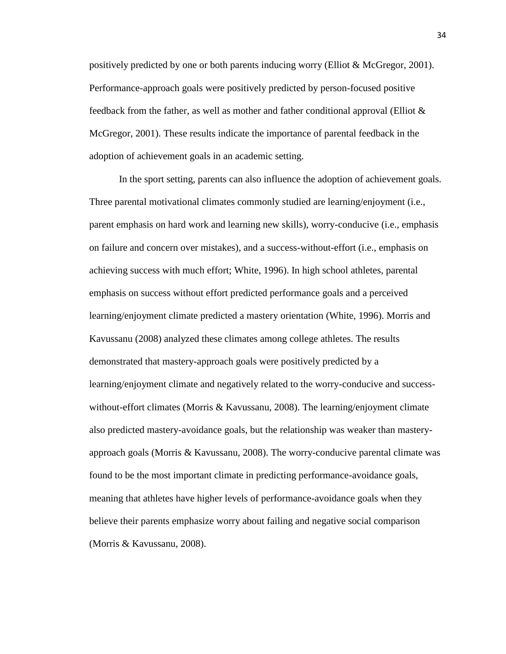positively predicted by one or both parents inducing worry (Elliot  $\&$  McGregor, 2001). Performance-approach goals were positively predicted by person-focused positive feedback from the father, as well as mother and father conditional approval (Elliot & McGregor, 2001). These results indicate the importance of parental feedback in the adoption of achievement goals in an academic setting.

In the sport setting, parents can also influence the adoption of achievement goals. Three parental motivational climates commonly studied are learning/enjoyment (i.e., parent emphasis on hard work and learning new skills), worry-conducive (i.e., emphasis on failure and concern over mistakes), and a success-without-effort (i.e., emphasis on achieving success with much effort; White, 1996). In high school athletes, parental emphasis on success without effort predicted performance goals and a perceived learning/enjoyment climate predicted a mastery orientation (White, 1996). Morris and Kavussanu (2008) analyzed these climates among college athletes. The results demonstrated that mastery-approach goals were positively predicted by a learning/enjoyment climate and negatively related to the worry-conducive and successwithout-effort climates (Morris & Kavussanu, 2008). The learning/enjoyment climate also predicted mastery-avoidance goals, but the relationship was weaker than masteryapproach goals (Morris & Kavussanu, 2008). The worry-conducive parental climate was found to be the most important climate in predicting performance-avoidance goals, meaning that athletes have higher levels of performance-avoidance goals when they believe their parents emphasize worry about failing and negative social comparison (Morris & Kavussanu, 2008).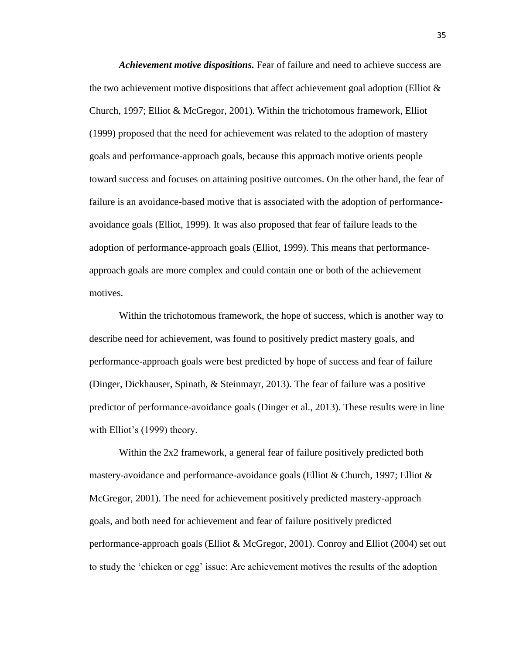*Achievement motive dispositions.* Fear of failure and need to achieve success are the two achievement motive dispositions that affect achievement goal adoption (Elliot  $\&$ Church, 1997; Elliot & McGregor, 2001). Within the trichotomous framework, Elliot (1999) proposed that the need for achievement was related to the adoption of mastery goals and performance-approach goals, because this approach motive orients people toward success and focuses on attaining positive outcomes. On the other hand, the fear of failure is an avoidance-based motive that is associated with the adoption of performanceavoidance goals (Elliot, 1999). It was also proposed that fear of failure leads to the adoption of performance-approach goals (Elliot, 1999). This means that performanceapproach goals are more complex and could contain one or both of the achievement motives.

Within the trichotomous framework, the hope of success, which is another way to describe need for achievement, was found to positively predict mastery goals, and performance-approach goals were best predicted by hope of success and fear of failure (Dinger, Dickhauser, Spinath, & Steinmayr, 2013). The fear of failure was a positive predictor of performance-avoidance goals (Dinger et al., 2013). These results were in line with Elliot's (1999) theory.

Within the 2x2 framework, a general fear of failure positively predicted both mastery-avoidance and performance-avoidance goals (Elliot & Church, 1997; Elliot & McGregor, 2001). The need for achievement positively predicted mastery-approach goals, and both need for achievement and fear of failure positively predicted performance-approach goals (Elliot & McGregor, 2001). Conroy and Elliot (2004) set out to study the 'chicken or egg' issue: Are achievement motives the results of the adoption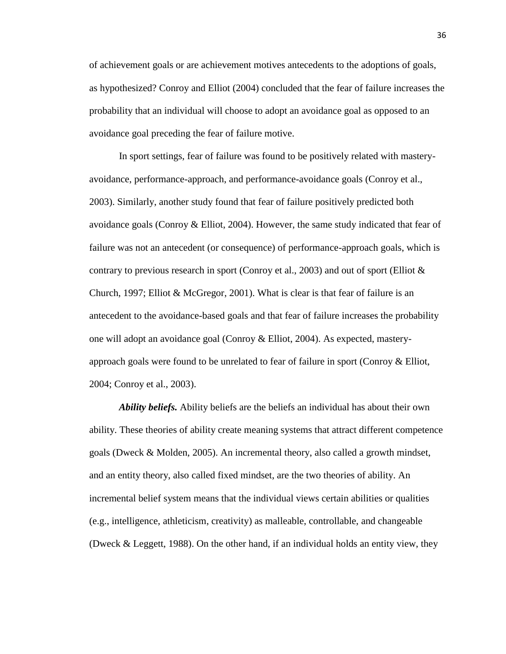of achievement goals or are achievement motives antecedents to the adoptions of goals, as hypothesized? Conroy and Elliot (2004) concluded that the fear of failure increases the probability that an individual will choose to adopt an avoidance goal as opposed to an avoidance goal preceding the fear of failure motive.

In sport settings, fear of failure was found to be positively related with masteryavoidance, performance-approach, and performance-avoidance goals (Conroy et al., 2003). Similarly, another study found that fear of failure positively predicted both avoidance goals (Conroy  $&$  Elliot, 2004). However, the same study indicated that fear of failure was not an antecedent (or consequence) of performance-approach goals, which is contrary to previous research in sport (Conroy et al., 2003) and out of sport (Elliot  $\&$ Church, 1997; Elliot  $& McGregor, 2001)$ . What is clear is that fear of failure is an antecedent to the avoidance-based goals and that fear of failure increases the probability one will adopt an avoidance goal (Conroy & Elliot, 2004). As expected, masteryapproach goals were found to be unrelated to fear of failure in sport (Conroy & Elliot, 2004; Conroy et al., 2003).

*Ability beliefs.* Ability beliefs are the beliefs an individual has about their own ability. These theories of ability create meaning systems that attract different competence goals (Dweck & Molden, 2005). An incremental theory, also called a growth mindset, and an entity theory, also called fixed mindset, are the two theories of ability. An incremental belief system means that the individual views certain abilities or qualities (e.g., intelligence, athleticism, creativity) as malleable, controllable, and changeable (Dweck & Leggett, 1988). On the other hand, if an individual holds an entity view, they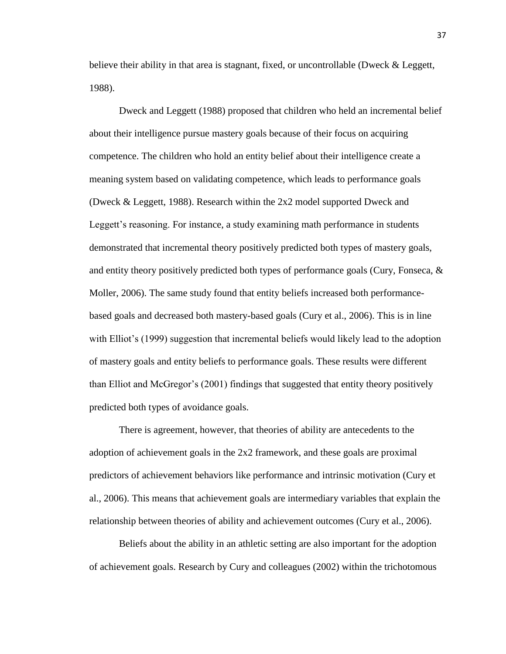believe their ability in that area is stagnant, fixed, or uncontrollable (Dweck & Leggett, 1988).

Dweck and Leggett (1988) proposed that children who held an incremental belief about their intelligence pursue mastery goals because of their focus on acquiring competence. The children who hold an entity belief about their intelligence create a meaning system based on validating competence, which leads to performance goals (Dweck & Leggett, 1988). Research within the 2x2 model supported Dweck and Leggett's reasoning. For instance, a study examining math performance in students demonstrated that incremental theory positively predicted both types of mastery goals, and entity theory positively predicted both types of performance goals (Cury, Fonseca,  $\&$ Moller, 2006). The same study found that entity beliefs increased both performancebased goals and decreased both mastery-based goals (Cury et al., 2006). This is in line with Elliot's (1999) suggestion that incremental beliefs would likely lead to the adoption of mastery goals and entity beliefs to performance goals. These results were different than Elliot and McGregor's (2001) findings that suggested that entity theory positively predicted both types of avoidance goals.

There is agreement, however, that theories of ability are antecedents to the adoption of achievement goals in the 2x2 framework, and these goals are proximal predictors of achievement behaviors like performance and intrinsic motivation (Cury et al., 2006). This means that achievement goals are intermediary variables that explain the relationship between theories of ability and achievement outcomes (Cury et al., 2006).

Beliefs about the ability in an athletic setting are also important for the adoption of achievement goals. Research by Cury and colleagues (2002) within the trichotomous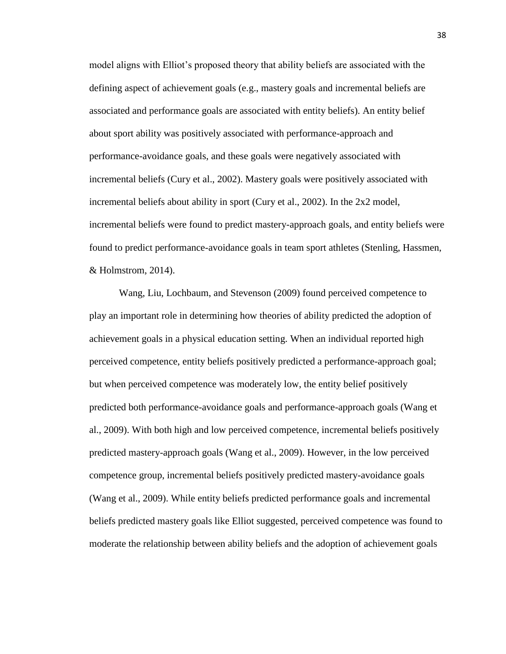model aligns with Elliot's proposed theory that ability beliefs are associated with the defining aspect of achievement goals (e.g., mastery goals and incremental beliefs are associated and performance goals are associated with entity beliefs). An entity belief about sport ability was positively associated with performance-approach and performance-avoidance goals, and these goals were negatively associated with incremental beliefs (Cury et al., 2002). Mastery goals were positively associated with incremental beliefs about ability in sport (Cury et al., 2002). In the 2x2 model, incremental beliefs were found to predict mastery-approach goals, and entity beliefs were found to predict performance-avoidance goals in team sport athletes (Stenling, Hassmen, & Holmstrom, 2014).

Wang, Liu, Lochbaum, and Stevenson (2009) found perceived competence to play an important role in determining how theories of ability predicted the adoption of achievement goals in a physical education setting. When an individual reported high perceived competence, entity beliefs positively predicted a performance-approach goal; but when perceived competence was moderately low, the entity belief positively predicted both performance-avoidance goals and performance-approach goals (Wang et al., 2009). With both high and low perceived competence, incremental beliefs positively predicted mastery-approach goals (Wang et al., 2009). However, in the low perceived competence group, incremental beliefs positively predicted mastery-avoidance goals (Wang et al., 2009). While entity beliefs predicted performance goals and incremental beliefs predicted mastery goals like Elliot suggested, perceived competence was found to moderate the relationship between ability beliefs and the adoption of achievement goals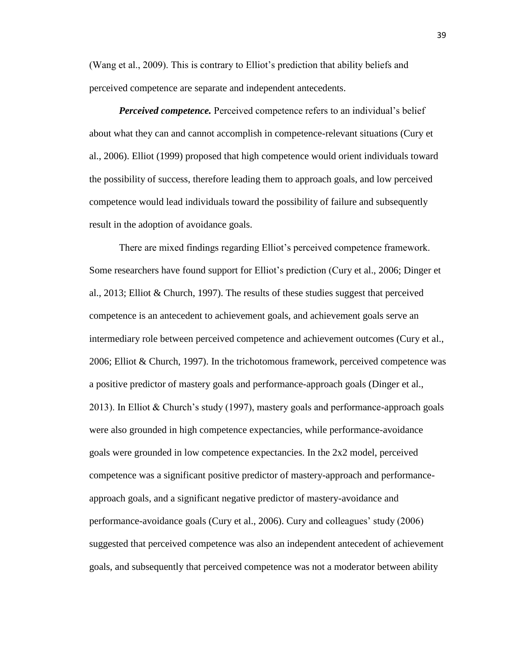(Wang et al., 2009). This is contrary to Elliot's prediction that ability beliefs and perceived competence are separate and independent antecedents.

*Perceived competence.* Perceived competence refers to an individual's belief about what they can and cannot accomplish in competence-relevant situations (Cury et al., 2006). Elliot (1999) proposed that high competence would orient individuals toward the possibility of success, therefore leading them to approach goals, and low perceived competence would lead individuals toward the possibility of failure and subsequently result in the adoption of avoidance goals.

There are mixed findings regarding Elliot's perceived competence framework. Some researchers have found support for Elliot's prediction (Cury et al., 2006; Dinger et al., 2013; Elliot & Church, 1997). The results of these studies suggest that perceived competence is an antecedent to achievement goals, and achievement goals serve an intermediary role between perceived competence and achievement outcomes (Cury et al., 2006; Elliot & Church, 1997). In the trichotomous framework, perceived competence was a positive predictor of mastery goals and performance-approach goals (Dinger et al., 2013). In Elliot & Church's study (1997), mastery goals and performance-approach goals were also grounded in high competence expectancies, while performance-avoidance goals were grounded in low competence expectancies. In the 2x2 model, perceived competence was a significant positive predictor of mastery-approach and performanceapproach goals, and a significant negative predictor of mastery-avoidance and performance-avoidance goals (Cury et al., 2006). Cury and colleagues' study (2006) suggested that perceived competence was also an independent antecedent of achievement goals, and subsequently that perceived competence was not a moderator between ability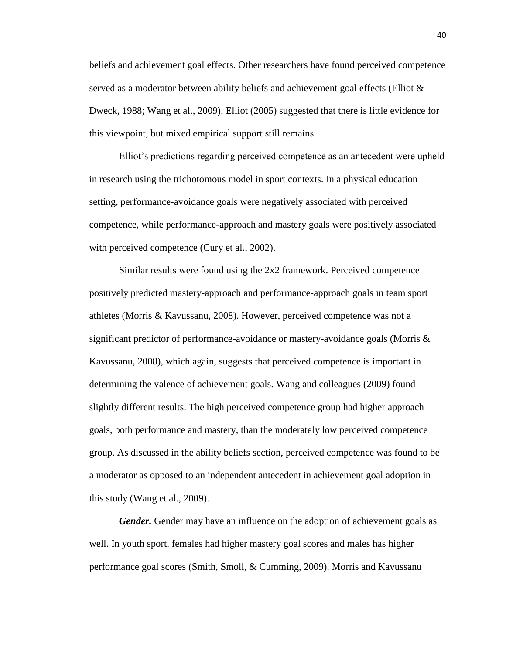beliefs and achievement goal effects. Other researchers have found perceived competence served as a moderator between ability beliefs and achievement goal effects (Elliot & Dweck, 1988; Wang et al., 2009). Elliot (2005) suggested that there is little evidence for this viewpoint, but mixed empirical support still remains.

Elliot's predictions regarding perceived competence as an antecedent were upheld in research using the trichotomous model in sport contexts. In a physical education setting, performance-avoidance goals were negatively associated with perceived competence, while performance-approach and mastery goals were positively associated with perceived competence (Cury et al., 2002).

Similar results were found using the 2x2 framework. Perceived competence positively predicted mastery-approach and performance-approach goals in team sport athletes (Morris & Kavussanu, 2008). However, perceived competence was not a significant predictor of performance-avoidance or mastery-avoidance goals (Morris & Kavussanu, 2008), which again, suggests that perceived competence is important in determining the valence of achievement goals. Wang and colleagues (2009) found slightly different results. The high perceived competence group had higher approach goals, both performance and mastery, than the moderately low perceived competence group. As discussed in the ability beliefs section, perceived competence was found to be a moderator as opposed to an independent antecedent in achievement goal adoption in this study (Wang et al., 2009).

*Gender.* Gender may have an influence on the adoption of achievement goals as well. In youth sport, females had higher mastery goal scores and males has higher performance goal scores (Smith, Smoll, & Cumming, 2009). Morris and Kavussanu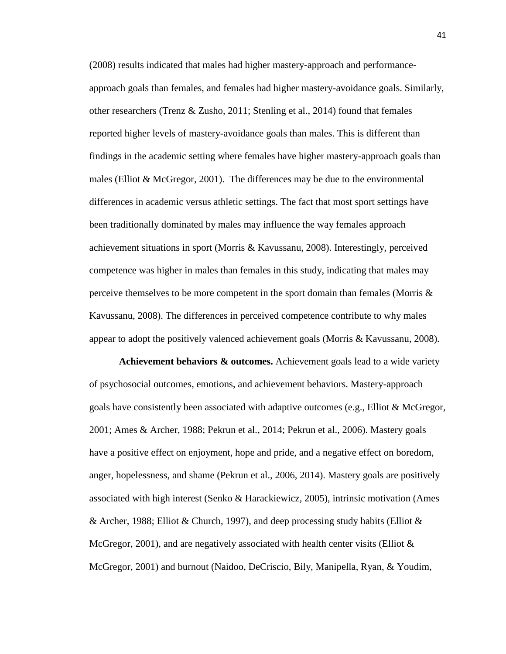(2008) results indicated that males had higher mastery-approach and performanceapproach goals than females, and females had higher mastery-avoidance goals. Similarly, other researchers (Trenz & Zusho, 2011; Stenling et al., 2014) found that females reported higher levels of mastery-avoidance goals than males. This is different than findings in the academic setting where females have higher mastery-approach goals than males (Elliot  $& \text{McGregor}, 2001$ ). The differences may be due to the environmental differences in academic versus athletic settings. The fact that most sport settings have been traditionally dominated by males may influence the way females approach achievement situations in sport (Morris & Kavussanu, 2008). Interestingly, perceived competence was higher in males than females in this study, indicating that males may perceive themselves to be more competent in the sport domain than females (Morris & Kavussanu, 2008). The differences in perceived competence contribute to why males appear to adopt the positively valenced achievement goals (Morris & Kavussanu, 2008).

**Achievement behaviors & outcomes.** Achievement goals lead to a wide variety of psychosocial outcomes, emotions, and achievement behaviors. Mastery-approach goals have consistently been associated with adaptive outcomes (e.g., Elliot & McGregor, 2001; Ames & Archer, 1988; Pekrun et al., 2014; Pekrun et al., 2006). Mastery goals have a positive effect on enjoyment, hope and pride, and a negative effect on boredom, anger, hopelessness, and shame (Pekrun et al., 2006, 2014). Mastery goals are positively associated with high interest (Senko & Harackiewicz, 2005), intrinsic motivation (Ames & Archer, 1988; Elliot & Church, 1997), and deep processing study habits (Elliot & McGregor, 2001), and are negatively associated with health center visits (Elliot  $\&$ McGregor, 2001) and burnout (Naidoo, DeCriscio, Bily, Manipella, Ryan, & Youdim,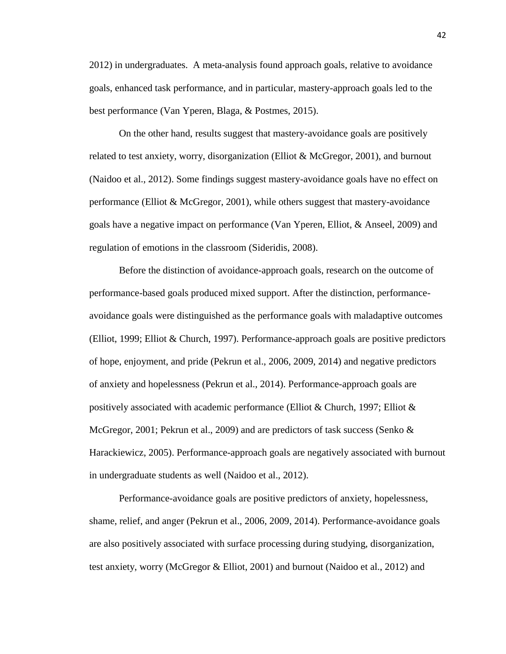2012) in undergraduates. A meta-analysis found approach goals, relative to avoidance goals, enhanced task performance, and in particular, mastery-approach goals led to the best performance (Van Yperen, Blaga, & Postmes, 2015).

On the other hand, results suggest that mastery-avoidance goals are positively related to test anxiety, worry, disorganization (Elliot  $\&$  McGregor, 2001), and burnout (Naidoo et al., 2012). Some findings suggest mastery-avoidance goals have no effect on performance (Elliot & McGregor, 2001), while others suggest that mastery-avoidance goals have a negative impact on performance (Van Yperen, Elliot, & Anseel, 2009) and regulation of emotions in the classroom (Sideridis, 2008).

Before the distinction of avoidance-approach goals, research on the outcome of performance-based goals produced mixed support. After the distinction, performanceavoidance goals were distinguished as the performance goals with maladaptive outcomes (Elliot, 1999; Elliot & Church, 1997). Performance-approach goals are positive predictors of hope, enjoyment, and pride (Pekrun et al., 2006, 2009, 2014) and negative predictors of anxiety and hopelessness (Pekrun et al., 2014). Performance-approach goals are positively associated with academic performance (Elliot & Church, 1997; Elliot  $\&$ McGregor, 2001; Pekrun et al., 2009) and are predictors of task success (Senko & Harackiewicz, 2005). Performance-approach goals are negatively associated with burnout in undergraduate students as well (Naidoo et al., 2012).

Performance-avoidance goals are positive predictors of anxiety, hopelessness, shame, relief, and anger (Pekrun et al., 2006, 2009, 2014). Performance-avoidance goals are also positively associated with surface processing during studying, disorganization, test anxiety, worry (McGregor & Elliot, 2001) and burnout (Naidoo et al., 2012) and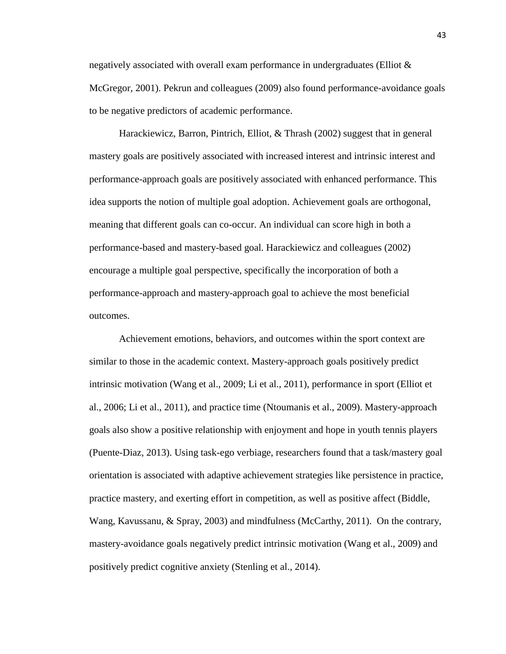negatively associated with overall exam performance in undergraduates (Elliot & McGregor, 2001). Pekrun and colleagues (2009) also found performance-avoidance goals to be negative predictors of academic performance.

Harackiewicz, Barron, Pintrich, Elliot, & Thrash (2002) suggest that in general mastery goals are positively associated with increased interest and intrinsic interest and performance-approach goals are positively associated with enhanced performance. This idea supports the notion of multiple goal adoption. Achievement goals are orthogonal, meaning that different goals can co-occur. An individual can score high in both a performance-based and mastery-based goal. Harackiewicz and colleagues (2002) encourage a multiple goal perspective, specifically the incorporation of both a performance-approach and mastery-approach goal to achieve the most beneficial outcomes.

Achievement emotions, behaviors, and outcomes within the sport context are similar to those in the academic context. Mastery-approach goals positively predict intrinsic motivation (Wang et al., 2009; Li et al., 2011), performance in sport (Elliot et al., 2006; Li et al., 2011), and practice time (Ntoumanis et al., 2009). Mastery-approach goals also show a positive relationship with enjoyment and hope in youth tennis players (Puente-Diaz, 2013). Using task-ego verbiage, researchers found that a task/mastery goal orientation is associated with adaptive achievement strategies like persistence in practice, practice mastery, and exerting effort in competition, as well as positive affect (Biddle, Wang, Kavussanu, & Spray, 2003) and mindfulness (McCarthy, 2011). On the contrary, mastery-avoidance goals negatively predict intrinsic motivation (Wang et al., 2009) and positively predict cognitive anxiety (Stenling et al., 2014).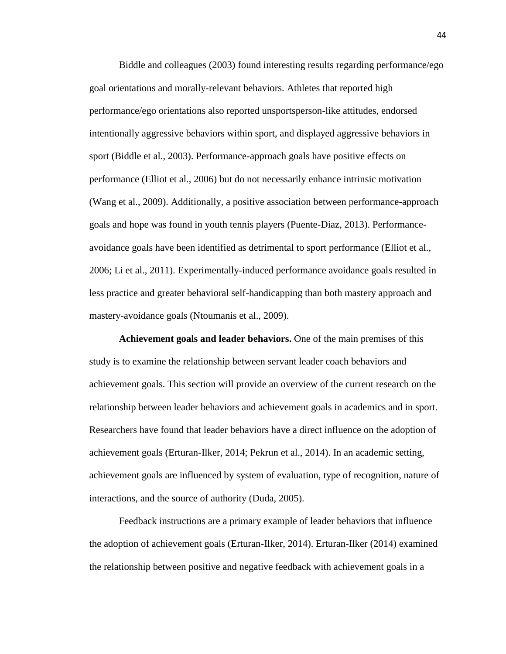Biddle and colleagues (2003) found interesting results regarding performance/ego goal orientations and morally-relevant behaviors. Athletes that reported high performance/ego orientations also reported unsportsperson-like attitudes, endorsed intentionally aggressive behaviors within sport, and displayed aggressive behaviors in sport (Biddle et al., 2003). Performance-approach goals have positive effects on performance (Elliot et al., 2006) but do not necessarily enhance intrinsic motivation (Wang et al., 2009). Additionally, a positive association between performance-approach goals and hope was found in youth tennis players (Puente-Diaz, 2013). Performanceavoidance goals have been identified as detrimental to sport performance (Elliot et al., 2006; Li et al., 2011). Experimentally-induced performance avoidance goals resulted in less practice and greater behavioral self-handicapping than both mastery approach and mastery-avoidance goals (Ntoumanis et al., 2009).

**Achievement goals and leader behaviors.** One of the main premises of this study is to examine the relationship between servant leader coach behaviors and achievement goals. This section will provide an overview of the current research on the relationship between leader behaviors and achievement goals in academics and in sport. Researchers have found that leader behaviors have a direct influence on the adoption of achievement goals (Erturan-Ilker, 2014; Pekrun et al., 2014). In an academic setting, achievement goals are influenced by system of evaluation, type of recognition, nature of interactions, and the source of authority (Duda, 2005).

Feedback instructions are a primary example of leader behaviors that influence the adoption of achievement goals (Erturan-Ilker, 2014). Erturan-Ilker (2014) examined the relationship between positive and negative feedback with achievement goals in a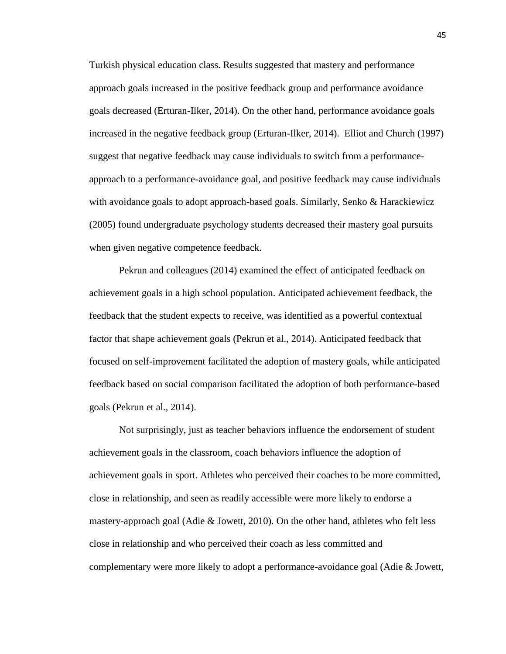Turkish physical education class. Results suggested that mastery and performance approach goals increased in the positive feedback group and performance avoidance goals decreased (Erturan-Ilker, 2014). On the other hand, performance avoidance goals increased in the negative feedback group (Erturan-Ilker, 2014). Elliot and Church (1997) suggest that negative feedback may cause individuals to switch from a performanceapproach to a performance-avoidance goal, and positive feedback may cause individuals with avoidance goals to adopt approach-based goals. Similarly, Senko & Harackiewicz (2005) found undergraduate psychology students decreased their mastery goal pursuits when given negative competence feedback.

Pekrun and colleagues (2014) examined the effect of anticipated feedback on achievement goals in a high school population. Anticipated achievement feedback, the feedback that the student expects to receive, was identified as a powerful contextual factor that shape achievement goals (Pekrun et al., 2014). Anticipated feedback that focused on self-improvement facilitated the adoption of mastery goals, while anticipated feedback based on social comparison facilitated the adoption of both performance-based goals (Pekrun et al., 2014).

Not surprisingly, just as teacher behaviors influence the endorsement of student achievement goals in the classroom, coach behaviors influence the adoption of achievement goals in sport. Athletes who perceived their coaches to be more committed, close in relationship, and seen as readily accessible were more likely to endorse a mastery-approach goal (Adie  $\&$  Jowett, 2010). On the other hand, athletes who felt less close in relationship and who perceived their coach as less committed and complementary were more likely to adopt a performance-avoidance goal (Adie & Jowett,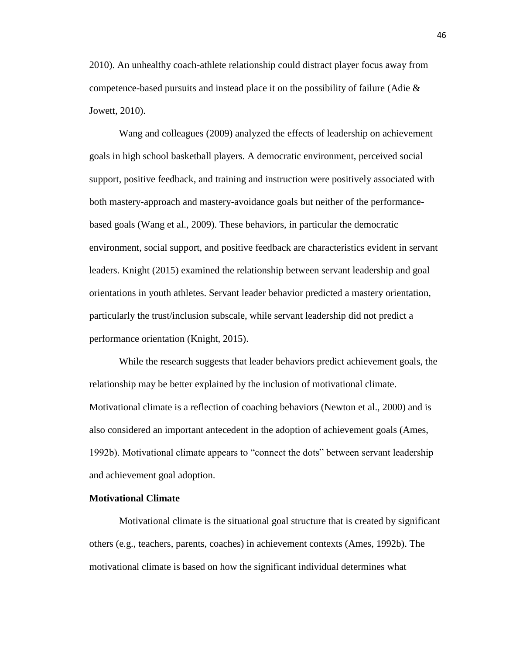2010). An unhealthy coach-athlete relationship could distract player focus away from competence-based pursuits and instead place it on the possibility of failure (Adie & Jowett, 2010).

Wang and colleagues (2009) analyzed the effects of leadership on achievement goals in high school basketball players. A democratic environment, perceived social support, positive feedback, and training and instruction were positively associated with both mastery-approach and mastery-avoidance goals but neither of the performancebased goals (Wang et al., 2009). These behaviors, in particular the democratic environment, social support, and positive feedback are characteristics evident in servant leaders. Knight (2015) examined the relationship between servant leadership and goal orientations in youth athletes. Servant leader behavior predicted a mastery orientation, particularly the trust/inclusion subscale, while servant leadership did not predict a performance orientation (Knight, 2015).

While the research suggests that leader behaviors predict achievement goals, the relationship may be better explained by the inclusion of motivational climate. Motivational climate is a reflection of coaching behaviors (Newton et al., 2000) and is also considered an important antecedent in the adoption of achievement goals (Ames, 1992b). Motivational climate appears to "connect the dots" between servant leadership and achievement goal adoption.

## **Motivational Climate**

Motivational climate is the situational goal structure that is created by significant others (e.g., teachers, parents, coaches) in achievement contexts (Ames, 1992b). The motivational climate is based on how the significant individual determines what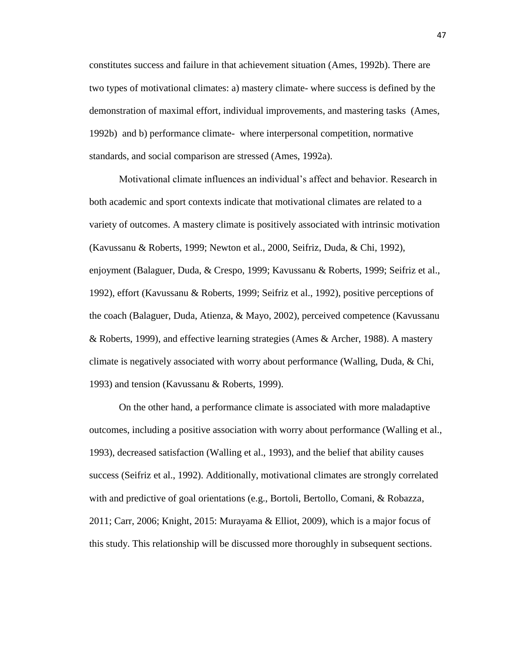constitutes success and failure in that achievement situation (Ames, 1992b). There are two types of motivational climates: a) mastery climate- where success is defined by the demonstration of maximal effort, individual improvements, and mastering tasks (Ames, 1992b) and b) performance climate- where interpersonal competition, normative standards, and social comparison are stressed (Ames, 1992a).

Motivational climate influences an individual's affect and behavior. Research in both academic and sport contexts indicate that motivational climates are related to a variety of outcomes. A mastery climate is positively associated with intrinsic motivation (Kavussanu & Roberts, 1999; Newton et al., 2000, Seifriz, Duda, & Chi, 1992), enjoyment (Balaguer, Duda, & Crespo, 1999; Kavussanu & Roberts, 1999; Seifriz et al., 1992), effort (Kavussanu & Roberts, 1999; Seifriz et al., 1992), positive perceptions of the coach (Balaguer, Duda, Atienza, & Mayo, 2002), perceived competence (Kavussanu & Roberts, 1999), and effective learning strategies (Ames & Archer, 1988). A mastery climate is negatively associated with worry about performance (Walling, Duda, & Chi, 1993) and tension (Kavussanu & Roberts, 1999).

On the other hand, a performance climate is associated with more maladaptive outcomes, including a positive association with worry about performance (Walling et al., 1993), decreased satisfaction (Walling et al., 1993), and the belief that ability causes success (Seifriz et al., 1992). Additionally, motivational climates are strongly correlated with and predictive of goal orientations (e.g., Bortoli, Bertollo, Comani, & Robazza, 2011; Carr, 2006; Knight, 2015: Murayama & Elliot, 2009), which is a major focus of this study. This relationship will be discussed more thoroughly in subsequent sections.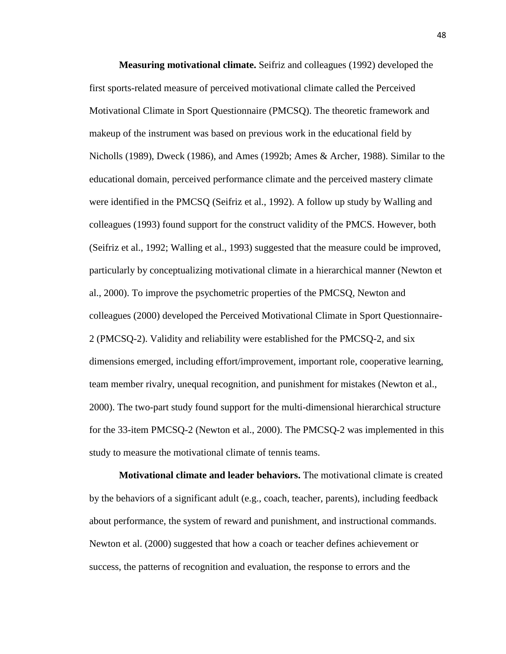**Measuring motivational climate.** Seifriz and colleagues (1992) developed the first sports-related measure of perceived motivational climate called the Perceived Motivational Climate in Sport Questionnaire (PMCSQ). The theoretic framework and makeup of the instrument was based on previous work in the educational field by Nicholls (1989), Dweck (1986), and Ames (1992b; Ames & Archer, 1988). Similar to the educational domain, perceived performance climate and the perceived mastery climate were identified in the PMCSQ (Seifriz et al., 1992). A follow up study by Walling and colleagues (1993) found support for the construct validity of the PMCS. However, both (Seifriz et al., 1992; Walling et al., 1993) suggested that the measure could be improved, particularly by conceptualizing motivational climate in a hierarchical manner (Newton et al., 2000). To improve the psychometric properties of the PMCSQ, Newton and colleagues (2000) developed the Perceived Motivational Climate in Sport Questionnaire-2 (PMCSQ-2). Validity and reliability were established for the PMCSQ-2, and six dimensions emerged, including effort/improvement, important role, cooperative learning, team member rivalry, unequal recognition, and punishment for mistakes (Newton et al., 2000). The two-part study found support for the multi-dimensional hierarchical structure for the 33-item PMCSQ-2 (Newton et al., 2000). The PMCSQ-2 was implemented in this study to measure the motivational climate of tennis teams.

**Motivational climate and leader behaviors.** The motivational climate is created by the behaviors of a significant adult (e.g., coach, teacher, parents), including feedback about performance, the system of reward and punishment, and instructional commands. Newton et al. (2000) suggested that how a coach or teacher defines achievement or success, the patterns of recognition and evaluation, the response to errors and the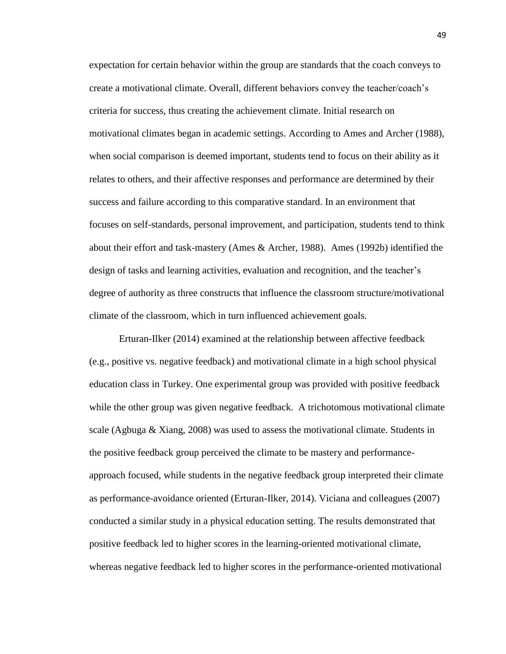expectation for certain behavior within the group are standards that the coach conveys to create a motivational climate. Overall, different behaviors convey the teacher/coach's criteria for success, thus creating the achievement climate. Initial research on motivational climates began in academic settings. According to Ames and Archer (1988), when social comparison is deemed important, students tend to focus on their ability as it relates to others, and their affective responses and performance are determined by their success and failure according to this comparative standard. In an environment that focuses on self-standards, personal improvement, and participation, students tend to think about their effort and task-mastery (Ames & Archer, 1988). Ames (1992b) identified the design of tasks and learning activities, evaluation and recognition, and the teacher's degree of authority as three constructs that influence the classroom structure/motivational climate of the classroom, which in turn influenced achievement goals.

Erturan-Ilker (2014) examined at the relationship between affective feedback (e.g., positive vs. negative feedback) and motivational climate in a high school physical education class in Turkey. One experimental group was provided with positive feedback while the other group was given negative feedback. A trichotomous motivational climate scale (Agbuga & Xiang, 2008) was used to assess the motivational climate. Students in the positive feedback group perceived the climate to be mastery and performanceapproach focused, while students in the negative feedback group interpreted their climate as performance-avoidance oriented (Erturan-Ilker, 2014). Viciana and colleagues (2007) conducted a similar study in a physical education setting. The results demonstrated that positive feedback led to higher scores in the learning-oriented motivational climate, whereas negative feedback led to higher scores in the performance-oriented motivational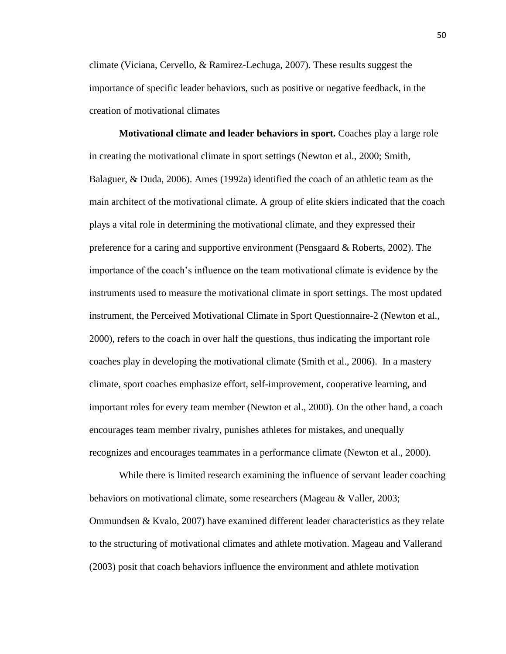climate (Viciana, Cervello, & Ramirez-Lechuga, 2007). These results suggest the importance of specific leader behaviors, such as positive or negative feedback, in the creation of motivational climates

**Motivational climate and leader behaviors in sport.** Coaches play a large role in creating the motivational climate in sport settings (Newton et al., 2000; Smith, Balaguer, & Duda, 2006). Ames (1992a) identified the coach of an athletic team as the main architect of the motivational climate. A group of elite skiers indicated that the coach plays a vital role in determining the motivational climate, and they expressed their preference for a caring and supportive environment (Pensgaard & Roberts, 2002). The importance of the coach's influence on the team motivational climate is evidence by the instruments used to measure the motivational climate in sport settings. The most updated instrument, the Perceived Motivational Climate in Sport Questionnaire-2 (Newton et al., 2000), refers to the coach in over half the questions, thus indicating the important role coaches play in developing the motivational climate (Smith et al., 2006). In a mastery climate, sport coaches emphasize effort, self-improvement, cooperative learning, and important roles for every team member (Newton et al., 2000). On the other hand, a coach encourages team member rivalry, punishes athletes for mistakes, and unequally recognizes and encourages teammates in a performance climate (Newton et al., 2000).

While there is limited research examining the influence of servant leader coaching behaviors on motivational climate, some researchers (Mageau & Valler, 2003; Ommundsen & Kvalo, 2007) have examined different leader characteristics as they relate to the structuring of motivational climates and athlete motivation. Mageau and Vallerand (2003) posit that coach behaviors influence the environment and athlete motivation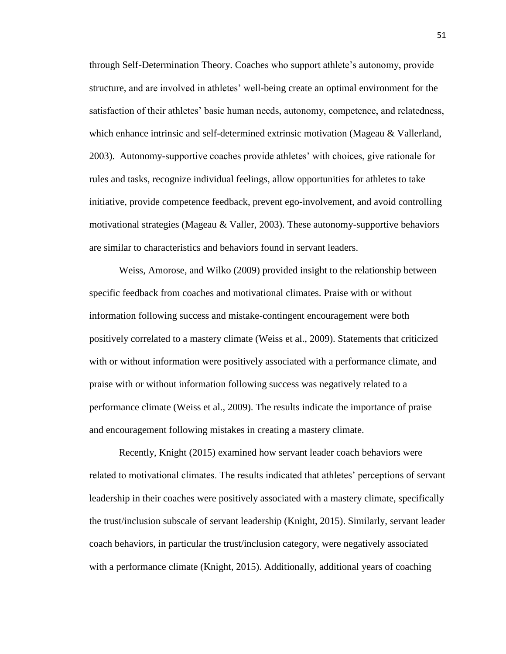through Self-Determination Theory. Coaches who support athlete's autonomy, provide structure, and are involved in athletes' well-being create an optimal environment for the satisfaction of their athletes' basic human needs, autonomy, competence, and relatedness, which enhance intrinsic and self-determined extrinsic motivation (Mageau & Vallerland, 2003). Autonomy-supportive coaches provide athletes' with choices, give rationale for rules and tasks, recognize individual feelings, allow opportunities for athletes to take initiative, provide competence feedback, prevent ego-involvement, and avoid controlling motivational strategies (Mageau  $&$  Valler, 2003). These autonomy-supportive behaviors are similar to characteristics and behaviors found in servant leaders.

Weiss, Amorose, and Wilko (2009) provided insight to the relationship between specific feedback from coaches and motivational climates. Praise with or without information following success and mistake-contingent encouragement were both positively correlated to a mastery climate (Weiss et al., 2009). Statements that criticized with or without information were positively associated with a performance climate, and praise with or without information following success was negatively related to a performance climate (Weiss et al., 2009). The results indicate the importance of praise and encouragement following mistakes in creating a mastery climate.

Recently, Knight (2015) examined how servant leader coach behaviors were related to motivational climates. The results indicated that athletes' perceptions of servant leadership in their coaches were positively associated with a mastery climate, specifically the trust/inclusion subscale of servant leadership (Knight, 2015). Similarly, servant leader coach behaviors, in particular the trust/inclusion category, were negatively associated with a performance climate (Knight, 2015). Additionally, additional years of coaching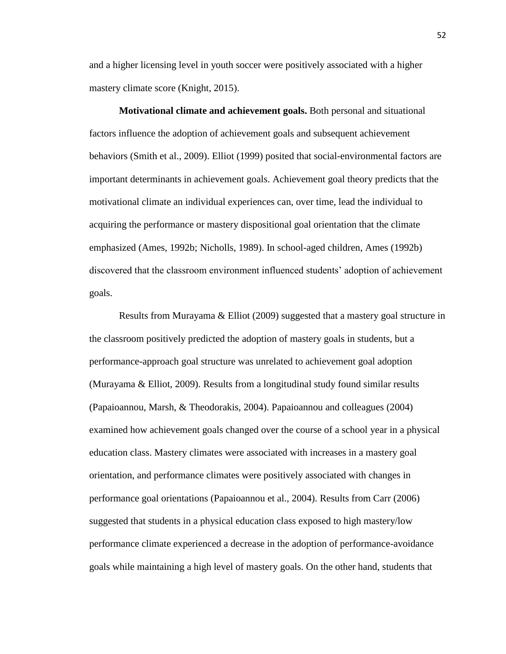and a higher licensing level in youth soccer were positively associated with a higher mastery climate score (Knight, 2015).

**Motivational climate and achievement goals.** Both personal and situational factors influence the adoption of achievement goals and subsequent achievement behaviors (Smith et al., 2009). Elliot (1999) posited that social-environmental factors are important determinants in achievement goals. Achievement goal theory predicts that the motivational climate an individual experiences can, over time, lead the individual to acquiring the performance or mastery dispositional goal orientation that the climate emphasized (Ames, 1992b; Nicholls, 1989). In school-aged children, Ames (1992b) discovered that the classroom environment influenced students' adoption of achievement goals.

Results from Murayama & Elliot (2009) suggested that a mastery goal structure in the classroom positively predicted the adoption of mastery goals in students, but a performance-approach goal structure was unrelated to achievement goal adoption (Murayama & Elliot, 2009). Results from a longitudinal study found similar results (Papaioannou, Marsh, & Theodorakis, 2004). Papaioannou and colleagues (2004) examined how achievement goals changed over the course of a school year in a physical education class. Mastery climates were associated with increases in a mastery goal orientation, and performance climates were positively associated with changes in performance goal orientations (Papaioannou et al., 2004). Results from Carr (2006) suggested that students in a physical education class exposed to high mastery/low performance climate experienced a decrease in the adoption of performance-avoidance goals while maintaining a high level of mastery goals. On the other hand, students that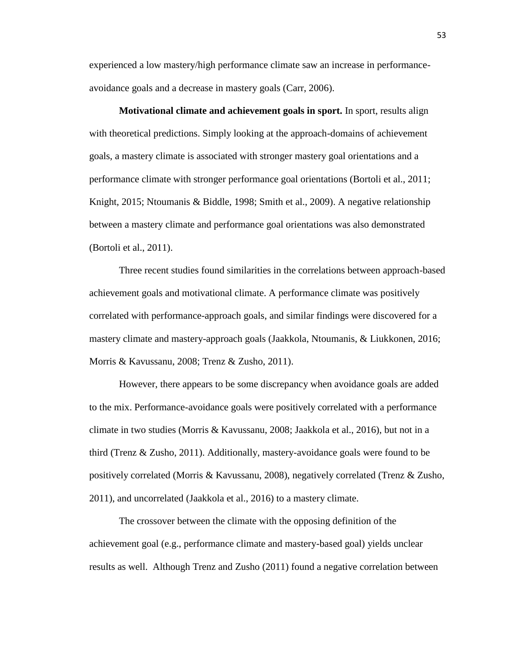experienced a low mastery/high performance climate saw an increase in performanceavoidance goals and a decrease in mastery goals (Carr, 2006).

**Motivational climate and achievement goals in sport.** In sport, results align with theoretical predictions. Simply looking at the approach-domains of achievement goals, a mastery climate is associated with stronger mastery goal orientations and a performance climate with stronger performance goal orientations (Bortoli et al., 2011; Knight, 2015; Ntoumanis & Biddle, 1998; Smith et al., 2009). A negative relationship between a mastery climate and performance goal orientations was also demonstrated (Bortoli et al., 2011).

Three recent studies found similarities in the correlations between approach-based achievement goals and motivational climate. A performance climate was positively correlated with performance-approach goals, and similar findings were discovered for a mastery climate and mastery-approach goals (Jaakkola, Ntoumanis, & Liukkonen, 2016; Morris & Kavussanu, 2008; Trenz & Zusho, 2011).

However, there appears to be some discrepancy when avoidance goals are added to the mix. Performance-avoidance goals were positively correlated with a performance climate in two studies (Morris & Kavussanu, 2008; Jaakkola et al., 2016), but not in a third (Trenz & Zusho, 2011). Additionally, mastery-avoidance goals were found to be positively correlated (Morris & Kavussanu, 2008), negatively correlated (Trenz & Zusho, 2011), and uncorrelated (Jaakkola et al., 2016) to a mastery climate.

The crossover between the climate with the opposing definition of the achievement goal (e.g., performance climate and mastery-based goal) yields unclear results as well. Although Trenz and Zusho (2011) found a negative correlation between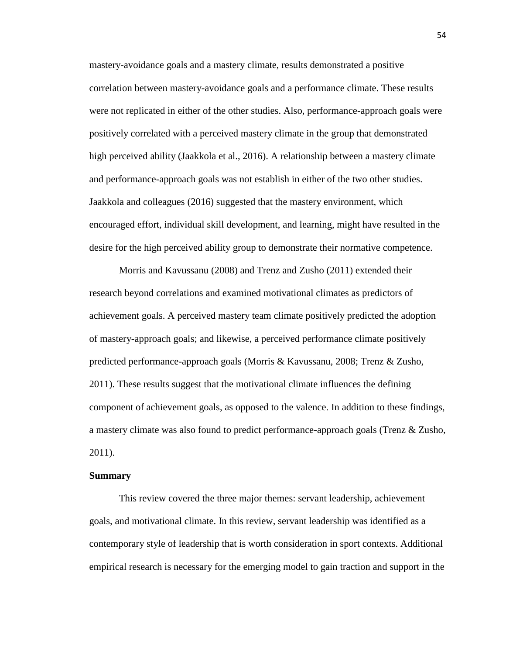mastery-avoidance goals and a mastery climate, results demonstrated a positive correlation between mastery-avoidance goals and a performance climate. These results were not replicated in either of the other studies. Also, performance-approach goals were positively correlated with a perceived mastery climate in the group that demonstrated high perceived ability (Jaakkola et al., 2016). A relationship between a mastery climate and performance-approach goals was not establish in either of the two other studies. Jaakkola and colleagues (2016) suggested that the mastery environment, which encouraged effort, individual skill development, and learning, might have resulted in the desire for the high perceived ability group to demonstrate their normative competence.

Morris and Kavussanu (2008) and Trenz and Zusho (2011) extended their research beyond correlations and examined motivational climates as predictors of achievement goals. A perceived mastery team climate positively predicted the adoption of mastery-approach goals; and likewise, a perceived performance climate positively predicted performance-approach goals (Morris & Kavussanu, 2008; Trenz & Zusho, 2011). These results suggest that the motivational climate influences the defining component of achievement goals, as opposed to the valence. In addition to these findings, a mastery climate was also found to predict performance-approach goals (Trenz & Zusho, 2011).

#### **Summary**

This review covered the three major themes: servant leadership, achievement goals, and motivational climate. In this review, servant leadership was identified as a contemporary style of leadership that is worth consideration in sport contexts. Additional empirical research is necessary for the emerging model to gain traction and support in the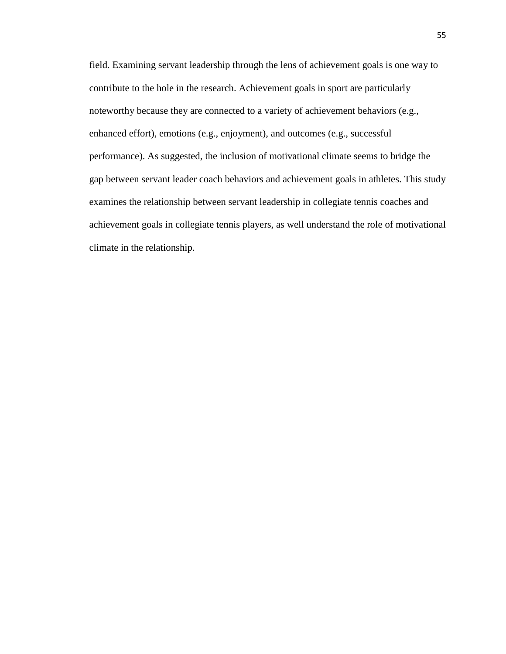field. Examining servant leadership through the lens of achievement goals is one way to contribute to the hole in the research. Achievement goals in sport are particularly noteworthy because they are connected to a variety of achievement behaviors (e.g., enhanced effort), emotions (e.g., enjoyment), and outcomes (e.g., successful performance). As suggested, the inclusion of motivational climate seems to bridge the gap between servant leader coach behaviors and achievement goals in athletes. This study examines the relationship between servant leadership in collegiate tennis coaches and achievement goals in collegiate tennis players, as well understand the role of motivational climate in the relationship.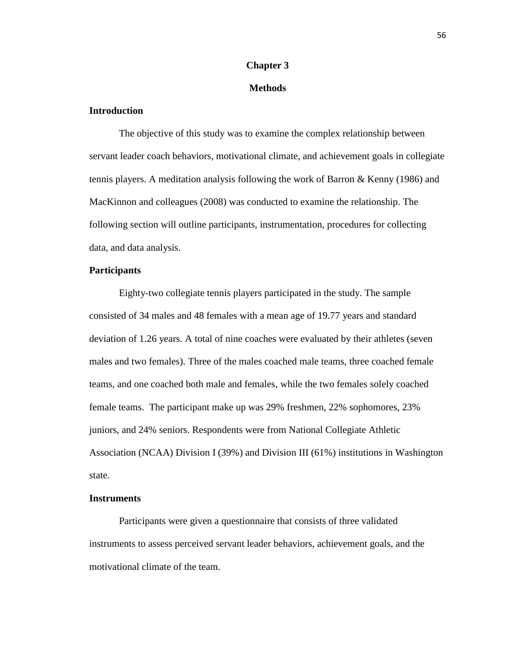# **Chapter 3**

## **Methods**

# **Introduction**

The objective of this study was to examine the complex relationship between servant leader coach behaviors, motivational climate, and achievement goals in collegiate tennis players. A meditation analysis following the work of Barron & Kenny (1986) and MacKinnon and colleagues (2008) was conducted to examine the relationship. The following section will outline participants, instrumentation, procedures for collecting data, and data analysis.

## **Participants**

Eighty-two collegiate tennis players participated in the study. The sample consisted of 34 males and 48 females with a mean age of 19.77 years and standard deviation of 1.26 years. A total of nine coaches were evaluated by their athletes (seven males and two females). Three of the males coached male teams, three coached female teams, and one coached both male and females, while the two females solely coached female teams. The participant make up was 29% freshmen, 22% sophomores, 23% juniors, and 24% seniors. Respondents were from National Collegiate Athletic Association (NCAA) Division I (39%) and Division III (61%) institutions in Washington state.

### **Instruments**

Participants were given a questionnaire that consists of three validated instruments to assess perceived servant leader behaviors, achievement goals, and the motivational climate of the team.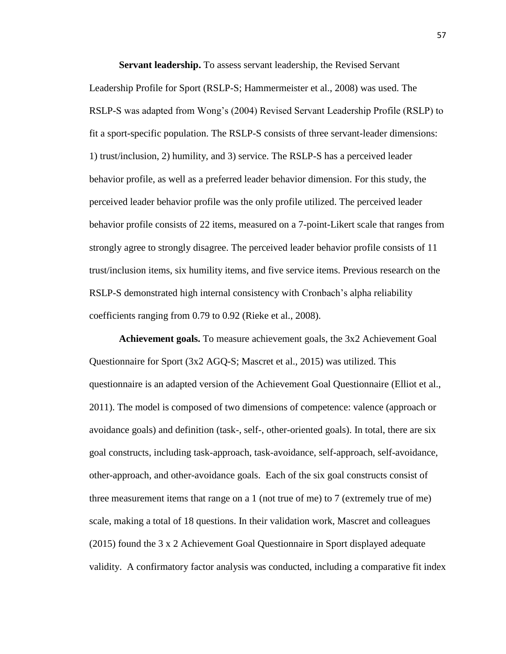**Servant leadership.** To assess servant leadership, the Revised Servant Leadership Profile for Sport (RSLP-S; Hammermeister et al., 2008) was used. The RSLP-S was adapted from Wong's (2004) Revised Servant Leadership Profile (RSLP) to fit a sport-specific population. The RSLP-S consists of three servant-leader dimensions: 1) trust/inclusion, 2) humility, and 3) service. The RSLP-S has a perceived leader behavior profile, as well as a preferred leader behavior dimension. For this study, the perceived leader behavior profile was the only profile utilized. The perceived leader behavior profile consists of 22 items, measured on a 7-point-Likert scale that ranges from strongly agree to strongly disagree. The perceived leader behavior profile consists of 11 trust/inclusion items, six humility items, and five service items. Previous research on the RSLP-S demonstrated high internal consistency with Cronbach's alpha reliability coefficients ranging from 0.79 to 0.92 (Rieke et al., 2008).

**Achievement goals.** To measure achievement goals, the 3x2 Achievement Goal Questionnaire for Sport (3x2 AGQ-S; Mascret et al., 2015) was utilized. This questionnaire is an adapted version of the Achievement Goal Questionnaire (Elliot et al., 2011). The model is composed of two dimensions of competence: valence (approach or avoidance goals) and definition (task-, self-, other-oriented goals). In total, there are six goal constructs, including task-approach, task-avoidance, self-approach, self-avoidance, other-approach, and other-avoidance goals. Each of the six goal constructs consist of three measurement items that range on a 1 (not true of me) to 7 (extremely true of me) scale, making a total of 18 questions. In their validation work, Mascret and colleagues (2015) found the 3 x 2 Achievement Goal Questionnaire in Sport displayed adequate validity. A confirmatory factor analysis was conducted, including a comparative fit index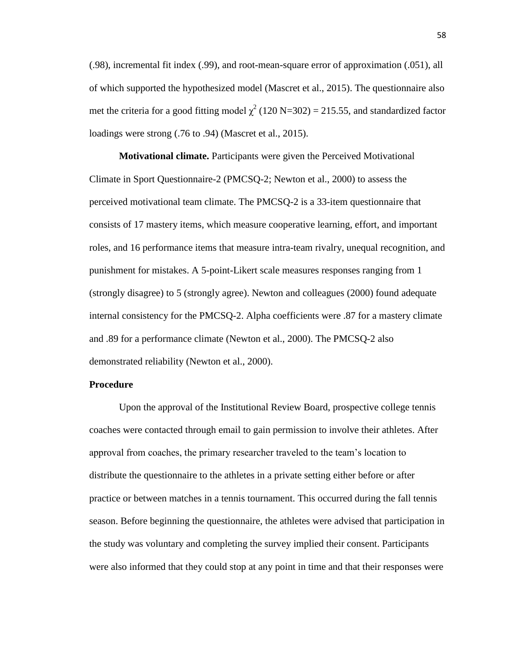(.98), incremental fit index (.99), and root-mean-square error of approximation (.051), all of which supported the hypothesized model (Mascret et al., 2015). The questionnaire also met the criteria for a good fitting model  $\chi^2$  (120 N=302) = 215.55, and standardized factor loadings were strong (.76 to .94) (Mascret et al., 2015).

**Motivational climate.** Participants were given the Perceived Motivational Climate in Sport Questionnaire-2 (PMCSQ-2; Newton et al., 2000) to assess the perceived motivational team climate. The PMCSQ-2 is a 33-item questionnaire that consists of 17 mastery items, which measure cooperative learning, effort, and important roles, and 16 performance items that measure intra-team rivalry, unequal recognition, and punishment for mistakes. A 5-point-Likert scale measures responses ranging from 1 (strongly disagree) to 5 (strongly agree). Newton and colleagues (2000) found adequate internal consistency for the PMCSQ-2. Alpha coefficients were .87 for a mastery climate and .89 for a performance climate (Newton et al., 2000). The PMCSQ-2 also demonstrated reliability (Newton et al., 2000).

## **Procedure**

Upon the approval of the Institutional Review Board, prospective college tennis coaches were contacted through email to gain permission to involve their athletes. After approval from coaches, the primary researcher traveled to the team's location to distribute the questionnaire to the athletes in a private setting either before or after practice or between matches in a tennis tournament. This occurred during the fall tennis season. Before beginning the questionnaire, the athletes were advised that participation in the study was voluntary and completing the survey implied their consent. Participants were also informed that they could stop at any point in time and that their responses were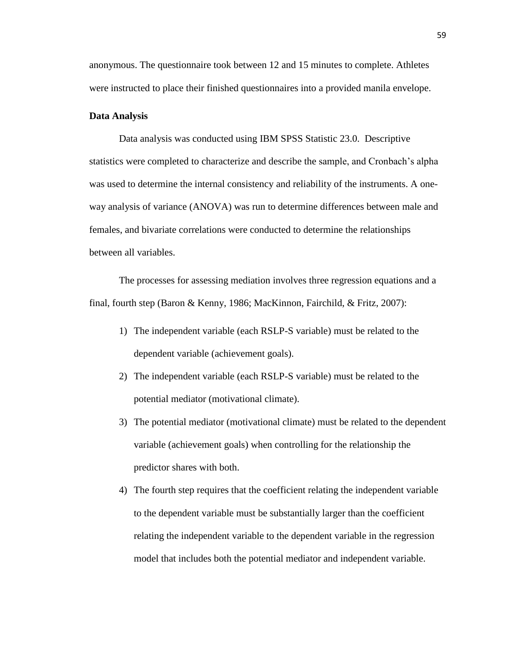anonymous. The questionnaire took between 12 and 15 minutes to complete. Athletes were instructed to place their finished questionnaires into a provided manila envelope.

#### **Data Analysis**

Data analysis was conducted using IBM SPSS Statistic 23.0. Descriptive statistics were completed to characterize and describe the sample, and Cronbach's alpha was used to determine the internal consistency and reliability of the instruments. A oneway analysis of variance (ANOVA) was run to determine differences between male and females, and bivariate correlations were conducted to determine the relationships between all variables.

The processes for assessing mediation involves three regression equations and a final, fourth step (Baron & Kenny, 1986; MacKinnon, Fairchild, & Fritz, 2007):

- 1) The independent variable (each RSLP-S variable) must be related to the dependent variable (achievement goals).
- 2) The independent variable (each RSLP-S variable) must be related to the potential mediator (motivational climate).
- 3) The potential mediator (motivational climate) must be related to the dependent variable (achievement goals) when controlling for the relationship the predictor shares with both.
- 4) The fourth step requires that the coefficient relating the independent variable to the dependent variable must be substantially larger than the coefficient relating the independent variable to the dependent variable in the regression model that includes both the potential mediator and independent variable.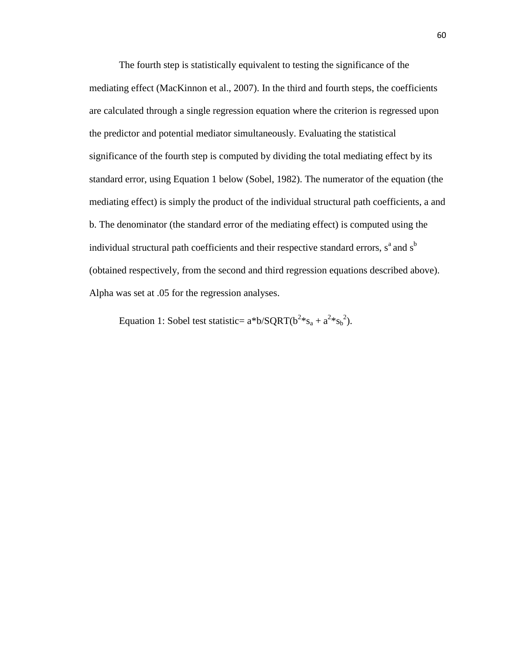The fourth step is statistically equivalent to testing the significance of the mediating effect (MacKinnon et al., 2007). In the third and fourth steps, the coefficients are calculated through a single regression equation where the criterion is regressed upon the predictor and potential mediator simultaneously. Evaluating the statistical significance of the fourth step is computed by dividing the total mediating effect by its standard error, using Equation 1 below (Sobel, 1982). The numerator of the equation (the mediating effect) is simply the product of the individual structural path coefficients, a and b. The denominator (the standard error of the mediating effect) is computed using the individual structural path coefficients and their respective standard errors,  $s<sup>a</sup>$  and  $s<sup>b</sup>$ (obtained respectively, from the second and third regression equations described above). Alpha was set at .05 for the regression analyses.

Equation 1: Sobel test statistic=  $a^*b/SQRT(b^2*s_a + a^2*s_b^2)$ .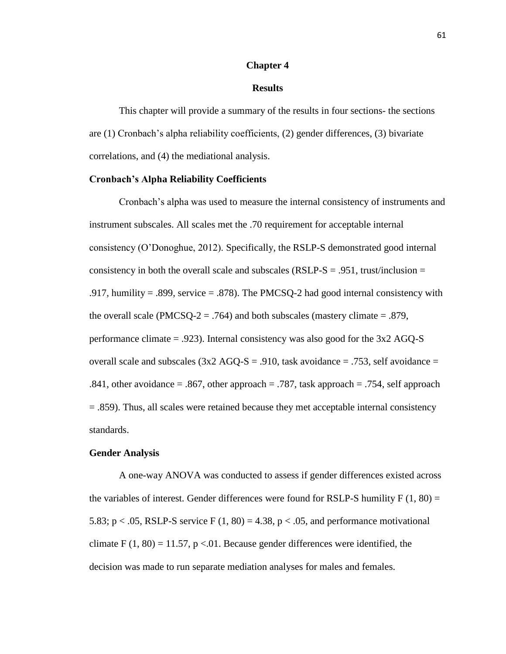## **Chapter 4**

## **Results**

This chapter will provide a summary of the results in four sections- the sections are (1) Cronbach's alpha reliability coefficients, (2) gender differences, (3) bivariate correlations, and (4) the mediational analysis.

## **Cronbach's Alpha Reliability Coefficients**

Cronbach's alpha was used to measure the internal consistency of instruments and instrument subscales. All scales met the .70 requirement for acceptable internal consistency (O'Donoghue, 2012). Specifically, the RSLP-S demonstrated good internal consistency in both the overall scale and subscales (RSLP- $S = .951$ , trust/inclusion = .917, humility = .899, service = .878). The PMCSQ-2 had good internal consistency with the overall scale (PMCSQ-2 = .764) and both subscales (mastery climate = .879, performance climate = .923). Internal consistency was also good for the 3x2 AGQ-S overall scale and subscales  $(3x2 \text{ AGO-S} = .910, \text{task avoidance} = .753, \text{self avoidance} =$ .841, other avoidance  $= .867$ , other approach  $= .787$ , task approach  $= .754$ , self approach = .859). Thus, all scales were retained because they met acceptable internal consistency standards.

### **Gender Analysis**

A one-way ANOVA was conducted to assess if gender differences existed across the variables of interest. Gender differences were found for RSLP-S humility  $F(1, 80) =$ 5.83;  $p < .05$ , RSLP-S service F  $(1, 80) = 4.38$ ,  $p < .05$ , and performance motivational climate  $F(1, 80) = 11.57$ , p < 0.01. Because gender differences were identified, the decision was made to run separate mediation analyses for males and females.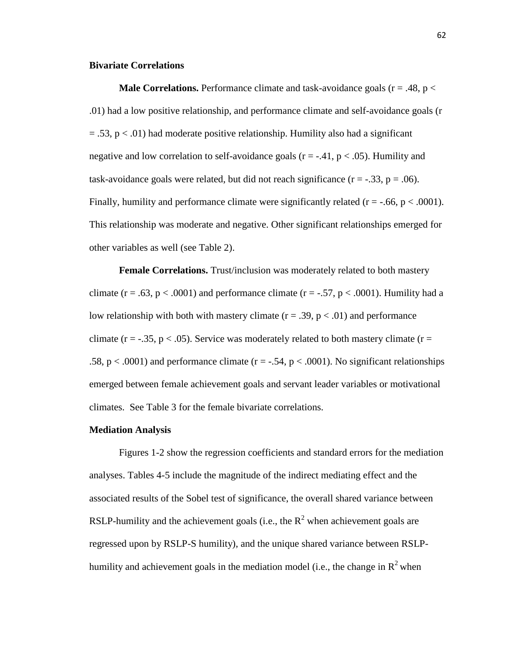## **Bivariate Correlations**

**Male Correlations.** Performance climate and task-avoidance goals ( $r = .48$ ,  $p <$ .01) had a low positive relationship, and performance climate and self-avoidance goals (r  $= .53$ ,  $p < .01$ ) had moderate positive relationship. Humility also had a significant negative and low correlation to self-avoidance goals  $(r = -.41, p < .05)$ . Humility and task-avoidance goals were related, but did not reach significance  $(r = -0.33, p = 0.06)$ . Finally, humility and performance climate were significantly related  $(r = -.66, p < .0001)$ . This relationship was moderate and negative. Other significant relationships emerged for other variables as well (see Table 2).

**Female Correlations.** Trust/inclusion was moderately related to both mastery climate (r = .63, p < .0001) and performance climate (r = -.57, p < .0001). Humility had a low relationship with both with mastery climate  $(r = .39, p < .01)$  and performance climate ( $r = -0.35$ ,  $p < 0.05$ ). Service was moderately related to both mastery climate ( $r =$ .58,  $p < .0001$ ) and performance climate (r = -.54, p  $< .0001$ ). No significant relationships emerged between female achievement goals and servant leader variables or motivational climates. See Table 3 for the female bivariate correlations.

#### **Mediation Analysis**

Figures 1-2 show the regression coefficients and standard errors for the mediation analyses. Tables 4-5 include the magnitude of the indirect mediating effect and the associated results of the Sobel test of significance, the overall shared variance between RSLP-humility and the achievement goals (i.e., the  $R^2$  when achievement goals are regressed upon by RSLP-S humility), and the unique shared variance between RSLPhumility and achievement goals in the mediation model (i.e., the change in  $\mathbb{R}^2$  when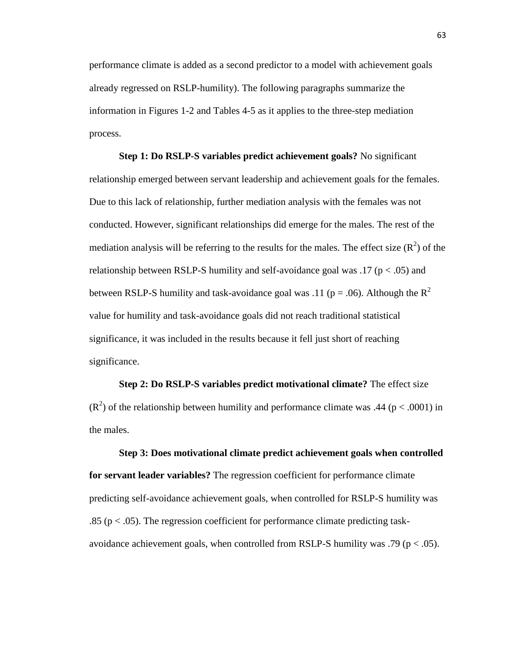performance climate is added as a second predictor to a model with achievement goals already regressed on RSLP-humility). The following paragraphs summarize the information in Figures 1-2 and Tables 4-5 as it applies to the three-step mediation process.

**Step 1: Do RSLP-S variables predict achievement goals?** No significant relationship emerged between servant leadership and achievement goals for the females. Due to this lack of relationship, further mediation analysis with the females was not conducted. However, significant relationships did emerge for the males. The rest of the mediation analysis will be referring to the results for the males. The effect size  $(R^2)$  of the relationship between RSLP-S humility and self-avoidance goal was .17 ( $p < .05$ ) and between RSLP-S humility and task-avoidance goal was .11 ( $p = .06$ ). Although the R<sup>2</sup> value for humility and task-avoidance goals did not reach traditional statistical significance, it was included in the results because it fell just short of reaching significance.

**Step 2: Do RSLP-S variables predict motivational climate?** The effect size  $(R<sup>2</sup>)$  of the relationship between humility and performance climate was .44 (p < .0001) in the males.

**Step 3: Does motivational climate predict achievement goals when controlled for servant leader variables?** The regression coefficient for performance climate predicting self-avoidance achievement goals, when controlled for RSLP-S humility was .85 (p < .05). The regression coefficient for performance climate predicting taskavoidance achievement goals, when controlled from RSLP-S humility was .79 ( $p < .05$ ).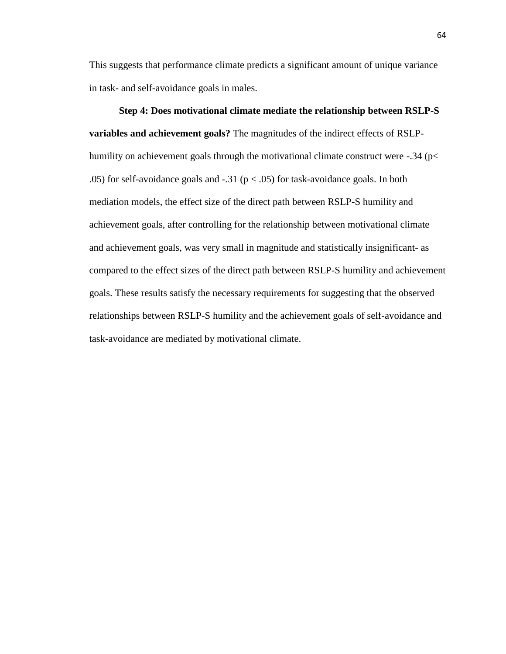This suggests that performance climate predicts a significant amount of unique variance in task- and self-avoidance goals in males.

**Step 4: Does motivational climate mediate the relationship between RSLP-S variables and achievement goals?** The magnitudes of the indirect effects of RSLPhumility on achievement goals through the motivational climate construct were -.34 (p< .05) for self-avoidance goals and  $-31$  ( $p < .05$ ) for task-avoidance goals. In both mediation models, the effect size of the direct path between RSLP-S humility and achievement goals, after controlling for the relationship between motivational climate and achievement goals, was very small in magnitude and statistically insignificant- as compared to the effect sizes of the direct path between RSLP-S humility and achievement goals. These results satisfy the necessary requirements for suggesting that the observed relationships between RSLP-S humility and the achievement goals of self-avoidance and task-avoidance are mediated by motivational climate.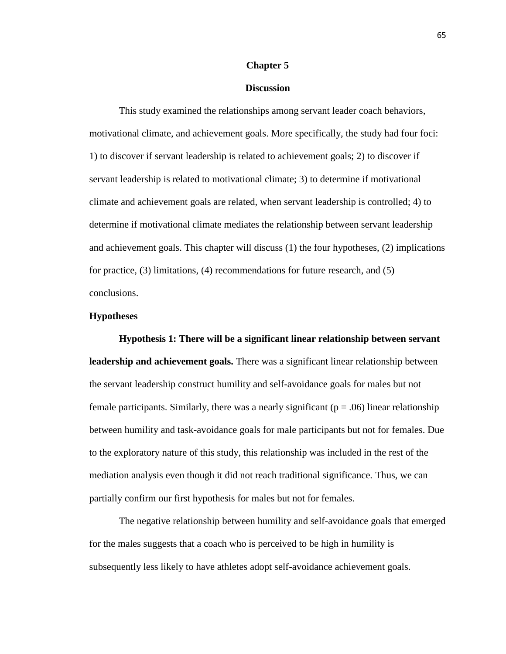#### **Chapter 5**

### **Discussion**

This study examined the relationships among servant leader coach behaviors, motivational climate, and achievement goals. More specifically, the study had four foci: 1) to discover if servant leadership is related to achievement goals; 2) to discover if servant leadership is related to motivational climate; 3) to determine if motivational climate and achievement goals are related, when servant leadership is controlled; 4) to determine if motivational climate mediates the relationship between servant leadership and achievement goals. This chapter will discuss (1) the four hypotheses, (2) implications for practice, (3) limitations, (4) recommendations for future research, and (5) conclusions.

### **Hypotheses**

**Hypothesis 1: There will be a significant linear relationship between servant leadership and achievement goals.** There was a significant linear relationship between the servant leadership construct humility and self-avoidance goals for males but not female participants. Similarly, there was a nearly significant ( $p = .06$ ) linear relationship between humility and task-avoidance goals for male participants but not for females. Due to the exploratory nature of this study, this relationship was included in the rest of the mediation analysis even though it did not reach traditional significance*.* Thus, we can partially confirm our first hypothesis for males but not for females.

The negative relationship between humility and self-avoidance goals that emerged for the males suggests that a coach who is perceived to be high in humility is subsequently less likely to have athletes adopt self-avoidance achievement goals.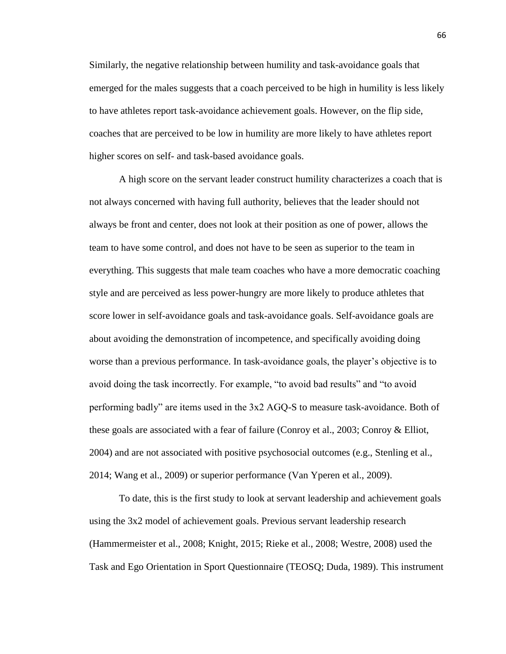Similarly, the negative relationship between humility and task-avoidance goals that emerged for the males suggests that a coach perceived to be high in humility is less likely to have athletes report task-avoidance achievement goals. However, on the flip side, coaches that are perceived to be low in humility are more likely to have athletes report higher scores on self- and task-based avoidance goals.

A high score on the servant leader construct humility characterizes a coach that is not always concerned with having full authority, believes that the leader should not always be front and center, does not look at their position as one of power, allows the team to have some control, and does not have to be seen as superior to the team in everything. This suggests that male team coaches who have a more democratic coaching style and are perceived as less power-hungry are more likely to produce athletes that score lower in self-avoidance goals and task-avoidance goals. Self-avoidance goals are about avoiding the demonstration of incompetence, and specifically avoiding doing worse than a previous performance. In task-avoidance goals, the player's objective is to avoid doing the task incorrectly. For example, "to avoid bad results" and "to avoid performing badly" are items used in the 3x2 AGQ-S to measure task-avoidance. Both of these goals are associated with a fear of failure (Conroy et al., 2003; Conroy & Elliot, 2004) and are not associated with positive psychosocial outcomes (e.g., Stenling et al., 2014; Wang et al., 2009) or superior performance (Van Yperen et al., 2009).

To date, this is the first study to look at servant leadership and achievement goals using the 3x2 model of achievement goals. Previous servant leadership research (Hammermeister et al., 2008; Knight, 2015; Rieke et al., 2008; Westre, 2008) used the Task and Ego Orientation in Sport Questionnaire (TEOSQ; Duda, 1989). This instrument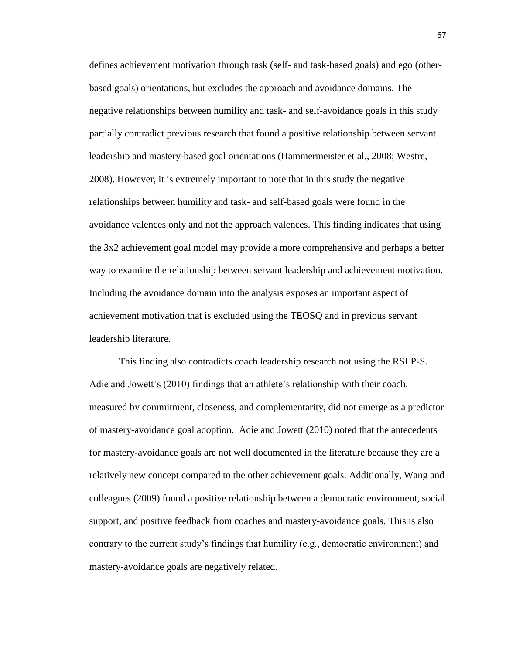defines achievement motivation through task (self- and task-based goals) and ego (otherbased goals) orientations, but excludes the approach and avoidance domains. The negative relationships between humility and task- and self-avoidance goals in this study partially contradict previous research that found a positive relationship between servant leadership and mastery-based goal orientations (Hammermeister et al., 2008; Westre, 2008). However, it is extremely important to note that in this study the negative relationships between humility and task- and self-based goals were found in the avoidance valences only and not the approach valences. This finding indicates that using the 3x2 achievement goal model may provide a more comprehensive and perhaps a better way to examine the relationship between servant leadership and achievement motivation. Including the avoidance domain into the analysis exposes an important aspect of achievement motivation that is excluded using the TEOSQ and in previous servant leadership literature.

This finding also contradicts coach leadership research not using the RSLP-S. Adie and Jowett's (2010) findings that an athlete's relationship with their coach, measured by commitment, closeness, and complementarity, did not emerge as a predictor of mastery-avoidance goal adoption. Adie and Jowett (2010) noted that the antecedents for mastery-avoidance goals are not well documented in the literature because they are a relatively new concept compared to the other achievement goals. Additionally, Wang and colleagues (2009) found a positive relationship between a democratic environment, social support, and positive feedback from coaches and mastery-avoidance goals. This is also contrary to the current study's findings that humility (e.g., democratic environment) and mastery-avoidance goals are negatively related.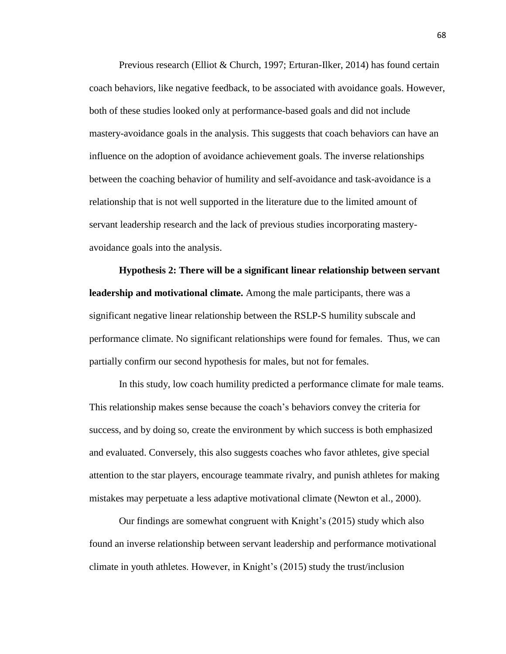Previous research (Elliot & Church, 1997; Erturan-Ilker, 2014) has found certain coach behaviors, like negative feedback, to be associated with avoidance goals. However, both of these studies looked only at performance-based goals and did not include mastery-avoidance goals in the analysis. This suggests that coach behaviors can have an influence on the adoption of avoidance achievement goals. The inverse relationships between the coaching behavior of humility and self-avoidance and task-avoidance is a relationship that is not well supported in the literature due to the limited amount of servant leadership research and the lack of previous studies incorporating masteryavoidance goals into the analysis.

**Hypothesis 2: There will be a significant linear relationship between servant leadership and motivational climate.** Among the male participants, there was a significant negative linear relationship between the RSLP-S humility subscale and performance climate. No significant relationships were found for females. Thus, we can partially confirm our second hypothesis for males, but not for females.

In this study, low coach humility predicted a performance climate for male teams. This relationship makes sense because the coach's behaviors convey the criteria for success, and by doing so, create the environment by which success is both emphasized and evaluated. Conversely, this also suggests coaches who favor athletes, give special attention to the star players, encourage teammate rivalry, and punish athletes for making mistakes may perpetuate a less adaptive motivational climate (Newton et al., 2000).

Our findings are somewhat congruent with Knight's (2015) study which also found an inverse relationship between servant leadership and performance motivational climate in youth athletes. However, in Knight's (2015) study the trust/inclusion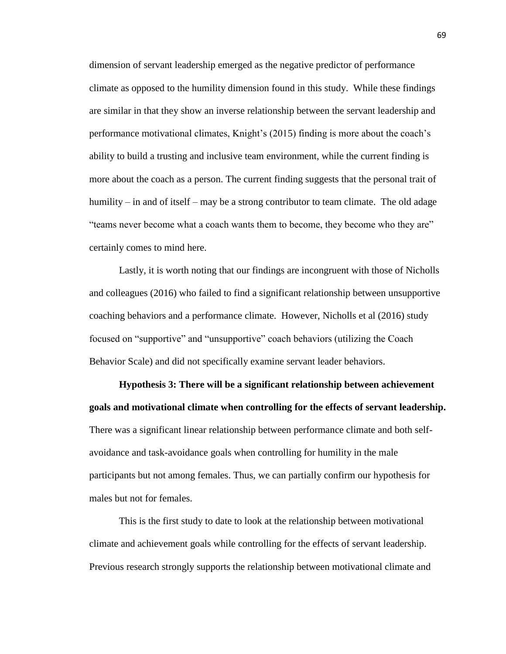dimension of servant leadership emerged as the negative predictor of performance climate as opposed to the humility dimension found in this study. While these findings are similar in that they show an inverse relationship between the servant leadership and performance motivational climates, Knight's (2015) finding is more about the coach's ability to build a trusting and inclusive team environment, while the current finding is more about the coach as a person. The current finding suggests that the personal trait of humility – in and of itself – may be a strong contributor to team climate. The old adage "teams never become what a coach wants them to become, they become who they are" certainly comes to mind here.

Lastly, it is worth noting that our findings are incongruent with those of Nicholls and colleagues (2016) who failed to find a significant relationship between unsupportive coaching behaviors and a performance climate. However, Nicholls et al (2016) study focused on "supportive" and "unsupportive" coach behaviors (utilizing the Coach Behavior Scale) and did not specifically examine servant leader behaviors.

**Hypothesis 3: There will be a significant relationship between achievement goals and motivational climate when controlling for the effects of servant leadership.** There was a significant linear relationship between performance climate and both selfavoidance and task-avoidance goals when controlling for humility in the male participants but not among females. Thus, we can partially confirm our hypothesis for males but not for females.

This is the first study to date to look at the relationship between motivational climate and achievement goals while controlling for the effects of servant leadership. Previous research strongly supports the relationship between motivational climate and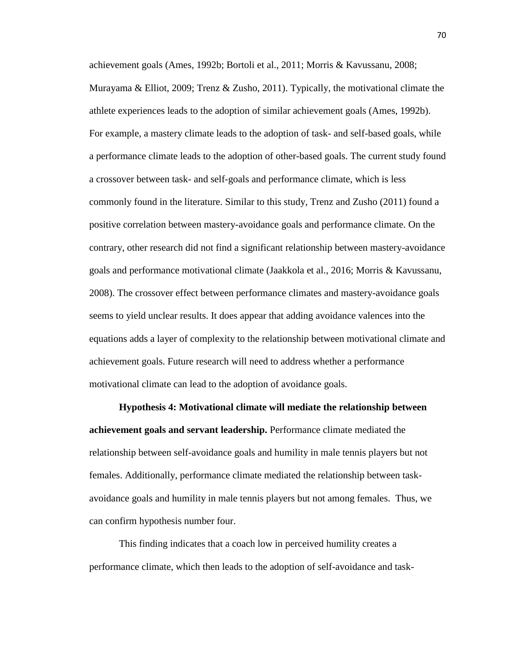achievement goals (Ames, 1992b; Bortoli et al., 2011; Morris & Kavussanu, 2008; Murayama & Elliot, 2009; Trenz & Zusho, 2011). Typically, the motivational climate the athlete experiences leads to the adoption of similar achievement goals (Ames, 1992b). For example, a mastery climate leads to the adoption of task- and self-based goals, while a performance climate leads to the adoption of other-based goals. The current study found a crossover between task- and self-goals and performance climate, which is less commonly found in the literature. Similar to this study, Trenz and Zusho (2011) found a positive correlation between mastery-avoidance goals and performance climate. On the contrary, other research did not find a significant relationship between mastery-avoidance goals and performance motivational climate (Jaakkola et al., 2016; Morris & Kavussanu, 2008). The crossover effect between performance climates and mastery-avoidance goals seems to yield unclear results. It does appear that adding avoidance valences into the equations adds a layer of complexity to the relationship between motivational climate and achievement goals. Future research will need to address whether a performance motivational climate can lead to the adoption of avoidance goals.

**Hypothesis 4: Motivational climate will mediate the relationship between achievement goals and servant leadership.** Performance climate mediated the relationship between self-avoidance goals and humility in male tennis players but not females. Additionally, performance climate mediated the relationship between taskavoidance goals and humility in male tennis players but not among females. Thus, we can confirm hypothesis number four.

This finding indicates that a coach low in perceived humility creates a performance climate, which then leads to the adoption of self-avoidance and task-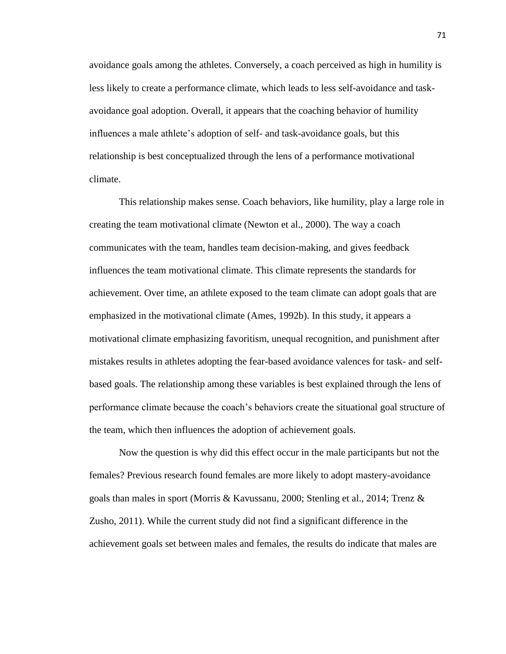avoidance goals among the athletes. Conversely, a coach perceived as high in humility is less likely to create a performance climate, which leads to less self-avoidance and taskavoidance goal adoption. Overall, it appears that the coaching behavior of humility influences a male athlete's adoption of self- and task-avoidance goals, but this relationship is best conceptualized through the lens of a performance motivational climate.

This relationship makes sense. Coach behaviors, like humility, play a large role in creating the team motivational climate (Newton et al., 2000). The way a coach communicates with the team, handles team decision-making, and gives feedback influences the team motivational climate. This climate represents the standards for achievement. Over time, an athlete exposed to the team climate can adopt goals that are emphasized in the motivational climate (Ames, 1992b). In this study, it appears a motivational climate emphasizing favoritism, unequal recognition, and punishment after mistakes results in athletes adopting the fear-based avoidance valences for task- and selfbased goals. The relationship among these variables is best explained through the lens of performance climate because the coach's behaviors create the situational goal structure of the team, which then influences the adoption of achievement goals.

Now the question is why did this effect occur in the male participants but not the females? Previous research found females are more likely to adopt mastery-avoidance goals than males in sport (Morris & Kavussanu, 2000; Stenling et al., 2014; Trenz & Zusho, 2011). While the current study did not find a significant difference in the achievement goals set between males and females, the results do indicate that males are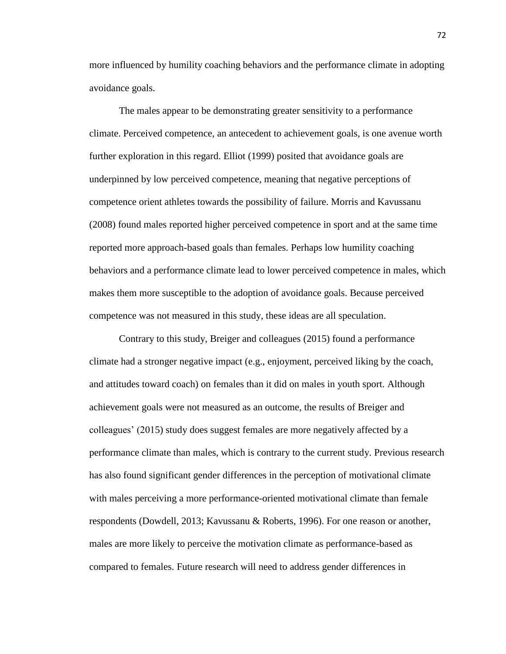more influenced by humility coaching behaviors and the performance climate in adopting avoidance goals.

The males appear to be demonstrating greater sensitivity to a performance climate. Perceived competence, an antecedent to achievement goals, is one avenue worth further exploration in this regard. Elliot (1999) posited that avoidance goals are underpinned by low perceived competence, meaning that negative perceptions of competence orient athletes towards the possibility of failure. Morris and Kavussanu (2008) found males reported higher perceived competence in sport and at the same time reported more approach-based goals than females. Perhaps low humility coaching behaviors and a performance climate lead to lower perceived competence in males, which makes them more susceptible to the adoption of avoidance goals. Because perceived competence was not measured in this study, these ideas are all speculation.

Contrary to this study, Breiger and colleagues (2015) found a performance climate had a stronger negative impact (e.g., enjoyment, perceived liking by the coach, and attitudes toward coach) on females than it did on males in youth sport. Although achievement goals were not measured as an outcome, the results of Breiger and colleagues' (2015) study does suggest females are more negatively affected by a performance climate than males, which is contrary to the current study. Previous research has also found significant gender differences in the perception of motivational climate with males perceiving a more performance-oriented motivational climate than female respondents (Dowdell, 2013; Kavussanu & Roberts, 1996). For one reason or another, males are more likely to perceive the motivation climate as performance-based as compared to females. Future research will need to address gender differences in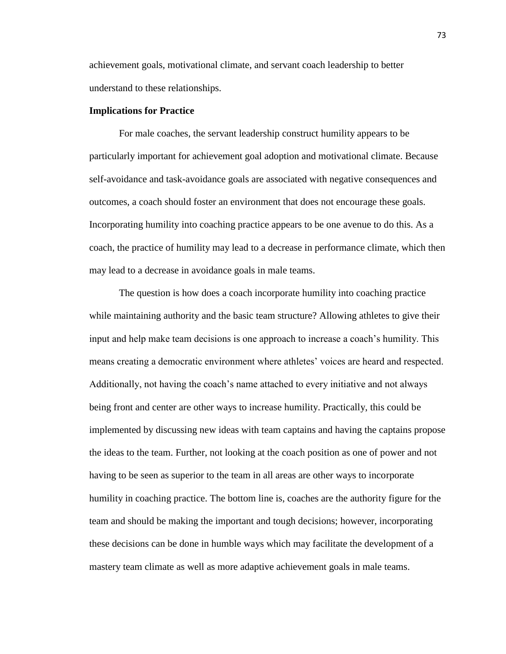achievement goals, motivational climate, and servant coach leadership to better understand to these relationships.

### **Implications for Practice**

For male coaches, the servant leadership construct humility appears to be particularly important for achievement goal adoption and motivational climate. Because self-avoidance and task-avoidance goals are associated with negative consequences and outcomes, a coach should foster an environment that does not encourage these goals. Incorporating humility into coaching practice appears to be one avenue to do this. As a coach, the practice of humility may lead to a decrease in performance climate, which then may lead to a decrease in avoidance goals in male teams.

The question is how does a coach incorporate humility into coaching practice while maintaining authority and the basic team structure? Allowing athletes to give their input and help make team decisions is one approach to increase a coach's humility. This means creating a democratic environment where athletes' voices are heard and respected. Additionally, not having the coach's name attached to every initiative and not always being front and center are other ways to increase humility. Practically, this could be implemented by discussing new ideas with team captains and having the captains propose the ideas to the team. Further, not looking at the coach position as one of power and not having to be seen as superior to the team in all areas are other ways to incorporate humility in coaching practice. The bottom line is, coaches are the authority figure for the team and should be making the important and tough decisions; however, incorporating these decisions can be done in humble ways which may facilitate the development of a mastery team climate as well as more adaptive achievement goals in male teams.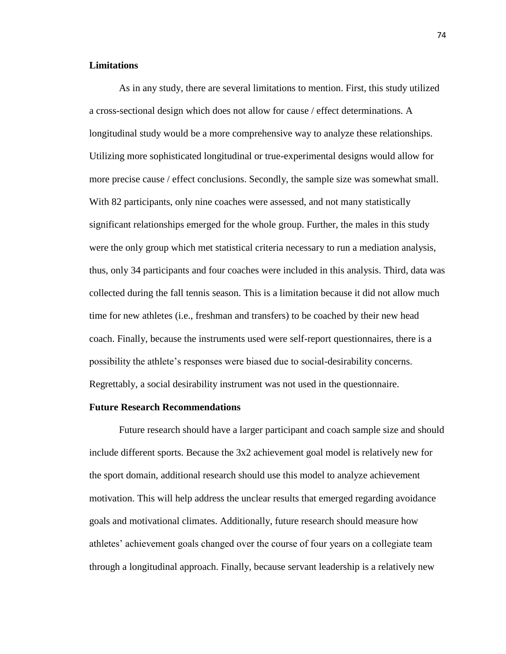## **Limitations**

As in any study, there are several limitations to mention. First, this study utilized a cross-sectional design which does not allow for cause / effect determinations. A longitudinal study would be a more comprehensive way to analyze these relationships. Utilizing more sophisticated longitudinal or true-experimental designs would allow for more precise cause / effect conclusions. Secondly, the sample size was somewhat small. With 82 participants, only nine coaches were assessed, and not many statistically significant relationships emerged for the whole group. Further, the males in this study were the only group which met statistical criteria necessary to run a mediation analysis, thus, only 34 participants and four coaches were included in this analysis. Third, data was collected during the fall tennis season. This is a limitation because it did not allow much time for new athletes (i.e., freshman and transfers) to be coached by their new head coach. Finally, because the instruments used were self-report questionnaires, there is a possibility the athlete's responses were biased due to social-desirability concerns. Regrettably, a social desirability instrument was not used in the questionnaire.

### **Future Research Recommendations**

Future research should have a larger participant and coach sample size and should include different sports. Because the 3x2 achievement goal model is relatively new for the sport domain, additional research should use this model to analyze achievement motivation. This will help address the unclear results that emerged regarding avoidance goals and motivational climates. Additionally, future research should measure how athletes' achievement goals changed over the course of four years on a collegiate team through a longitudinal approach. Finally, because servant leadership is a relatively new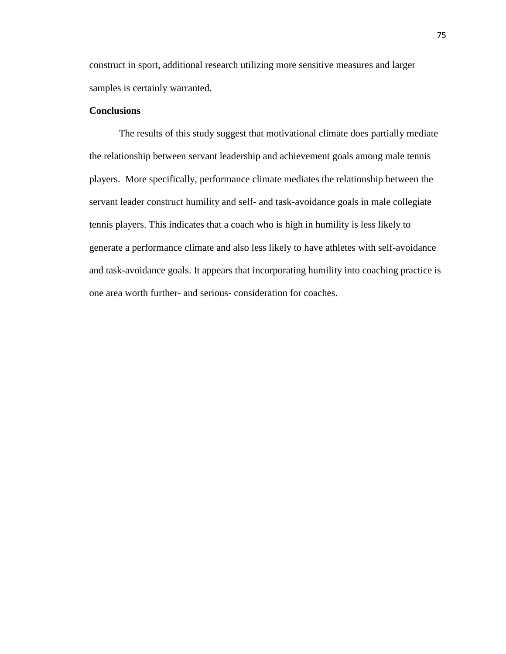construct in sport, additional research utilizing more sensitive measures and larger samples is certainly warranted.

# **Conclusions**

The results of this study suggest that motivational climate does partially mediate the relationship between servant leadership and achievement goals among male tennis players. More specifically, performance climate mediates the relationship between the servant leader construct humility and self- and task-avoidance goals in male collegiate tennis players. This indicates that a coach who is high in humility is less likely to generate a performance climate and also less likely to have athletes with self-avoidance and task-avoidance goals. It appears that incorporating humility into coaching practice is one area worth further- and serious- consideration for coaches.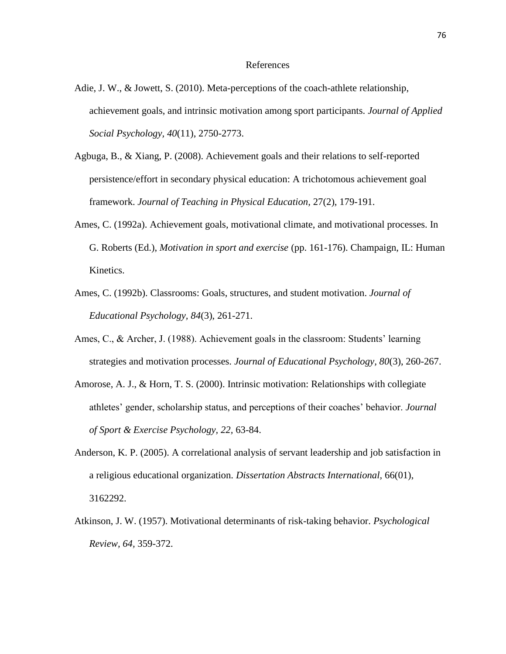#### References

- Adie, J. W., & Jowett, S. (2010). Meta-perceptions of the coach-athlete relationship, achievement goals, and intrinsic motivation among sport participants. *Journal of Applied Social Psychology, 40*(11), 2750-2773.
- Agbuga, B., & Xiang, P. (2008). Achievement goals and their relations to self-reported persistence/effort in secondary physical education: A trichotomous achievement goal framework. *Journal of Teaching in Physical Education,* 27(2), 179-191.
- Ames, C. (1992a). Achievement goals, motivational climate, and motivational processes. In G. Roberts (Ed.), *Motivation in sport and exercise* (pp. 161-176). Champaign, IL: Human Kinetics.
- Ames, C. (1992b). Classrooms: Goals, structures, and student motivation. *Journal of Educational Psychology, 84*(3), 261-271.
- Ames, C., & Archer, J. (1988). Achievement goals in the classroom: Students' learning strategies and motivation processes. *Journal of Educational Psychology, 80*(3), 260-267.
- Amorose, A. J., & Horn, T. S. (2000). Intrinsic motivation: Relationships with collegiate athletes' gender, scholarship status, and perceptions of their coaches' behavior. *Journal of Sport & Exercise Psychology, 22,* 63-84.
- Anderson, K. P. (2005). A correlational analysis of servant leadership and job satisfaction in a religious educational organization. *Dissertation Abstracts International,* 66(01), 3162292.
- Atkinson, J. W. (1957). Motivational determinants of risk-taking behavior. *Psychological Review, 64,* 359-372.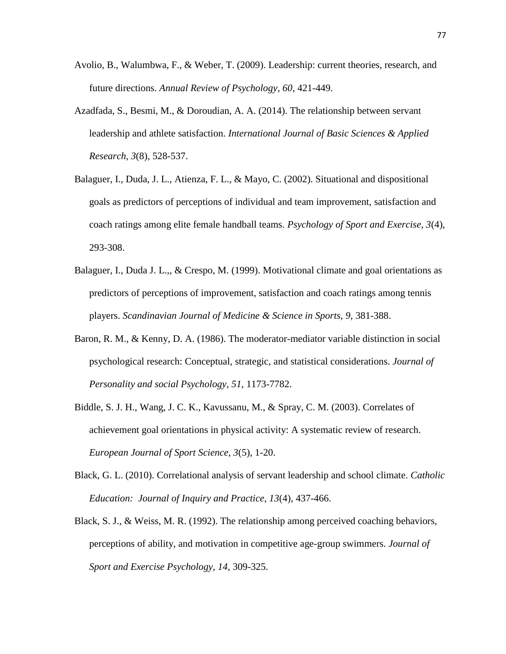- Avolio, B., Walumbwa, F., & Weber, T. (2009). Leadership: current theories, research, and future directions*. Annual Review of Psychology*, *60*, 421-449.
- Azadfada, S., Besmi, M., & Doroudian, A. A. (2014). The relationship between servant leadership and athlete satisfaction. *International Journal of Basic Sciences & Applied Research, 3*(8), 528-537.
- Balaguer, I., Duda, J. L., Atienza, F. L., & Mayo, C. (2002). Situational and dispositional goals as predictors of perceptions of individual and team improvement, satisfaction and coach ratings among elite female handball teams. *Psychology of Sport and Exercise, 3*(4), 293-308.
- Balaguer, I., Duda J. L.,, & Crespo, M. (1999). Motivational climate and goal orientations as predictors of perceptions of improvement, satisfaction and coach ratings among tennis players. *Scandinavian Journal of Medicine & Science in Sports, 9,* 381-388.
- Baron, R. M., & Kenny, D. A. (1986). The moderator-mediator variable distinction in social psychological research: Conceptual, strategic, and statistical considerations. *Journal of Personality and social Psychology, 51,* 1173-7782.
- Biddle, S. J. H., Wang, J. C. K., Kavussanu, M., & Spray, C. M. (2003). Correlates of achievement goal orientations in physical activity: A systematic review of research. *European Journal of Sport Science, 3*(5), 1-20.
- Black, G. L. (2010). Correlational analysis of servant leadership and school climate. *Catholic Education: Journal of Inquiry and Practice, 13*(4), 437-466.
- Black, S. J., & Weiss, M. R. (1992). The relationship among perceived coaching behaviors, perceptions of ability, and motivation in competitive age-group swimmers. *Journal of Sport and Exercise Psychology, 14,* 309-325.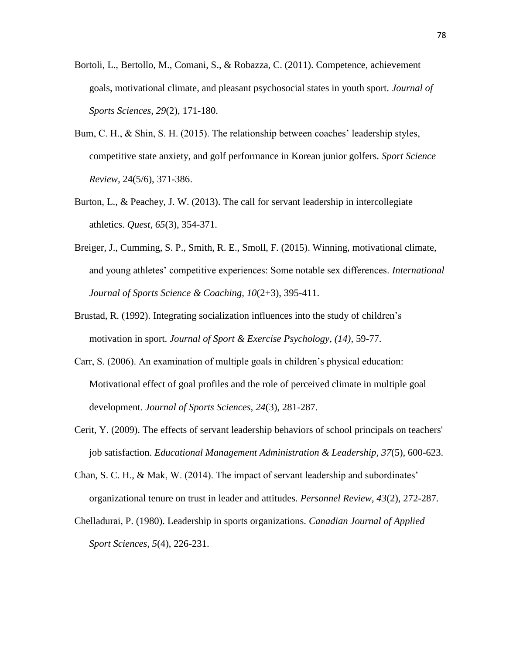- Bortoli, L., Bertollo, M., Comani, S., & Robazza, C. (2011). Competence, achievement goals, motivational climate, and pleasant psychosocial states in youth sport. *Journal of Sports Sciences, 29*(2), 171-180.
- Bum, C. H., & Shin, S. H. (2015). The relationship between coaches' leadership styles, competitive state anxiety, and golf performance in Korean junior golfers. *Sport Science Review,* 24(5/6), 371-386.
- Burton, L., & Peachey, J. W. (2013). The call for servant leadership in intercollegiate athletics. *Quest, 65*(3), 354-371.
- Breiger, J., Cumming, S. P., Smith, R. E., Smoll, F. (2015). Winning, motivational climate, and young athletes' competitive experiences: Some notable sex differences. *International Journal of Sports Science & Coaching, 10*(2+3), 395-411.
- Brustad, R. (1992). Integrating socialization influences into the study of children's motivation in sport. *Journal of Sport & Exercise Psychology, (14),* 59-77.
- Carr, S. (2006). An examination of multiple goals in children's physical education: Motivational effect of goal profiles and the role of perceived climate in multiple goal development. *Journal of Sports Sciences, 24*(3), 281-287.
- Cerit, Y. (2009). The effects of servant leadership behaviors of school principals on teachers' job satisfaction. *Educational Management Administration & Leadership, 37*(5), 600-623.
- Chan, S. C. H., & Mak, W. (2014). The impact of servant leadership and subordinates' organizational tenure on trust in leader and attitudes. *Personnel Review, 43*(2), 272-287.
- Chelladurai, P. (1980). Leadership in sports organizations. *Canadian Journal of Applied Sport Sciences*, *5*(4), 226-231.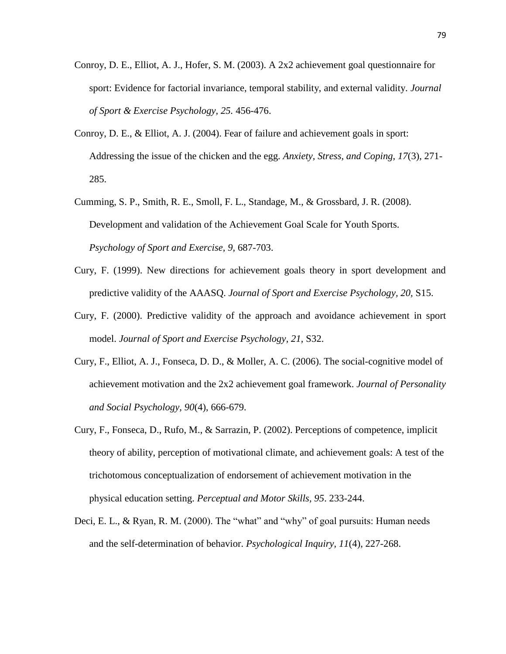- Conroy, D. E., Elliot, A. J., Hofer, S. M. (2003). A 2x2 achievement goal questionnaire for sport: Evidence for factorial invariance, temporal stability, and external validity. *Journal of Sport & Exercise Psychology, 25.* 456-476.
- Conroy, D. E., & Elliot, A. J. (2004). Fear of failure and achievement goals in sport: Addressing the issue of the chicken and the egg. *Anxiety, Stress, and Coping, 17*(3), 271- 285.
- Cumming, S. P., Smith, R. E., Smoll, F. L., Standage, M., & Grossbard, J. R. (2008). Development and validation of the Achievement Goal Scale for Youth Sports. *Psychology of Sport and Exercise, 9,* 687-703.
- Cury, F. (1999). New directions for achievement goals theory in sport development and predictive validity of the AAASQ. *Journal of Sport and Exercise Psychology, 20,* S15.
- Cury, F. (2000). Predictive validity of the approach and avoidance achievement in sport model. *Journal of Sport and Exercise Psychology, 21,* S32.
- Cury, F., Elliot, A. J., Fonseca, D. D., & Moller, A. C. (2006). The social-cognitive model of achievement motivation and the 2x2 achievement goal framework. *Journal of Personality and Social Psychology, 90*(4), 666-679.
- Cury, F., Fonseca, D., Rufo, M., & Sarrazin, P. (2002). Perceptions of competence, implicit theory of ability, perception of motivational climate, and achievement goals: A test of the trichotomous conceptualization of endorsement of achievement motivation in the physical education setting. *Perceptual and Motor Skills, 95*. 233-244.
- Deci, E. L., & Ryan, R. M. (2000). The "what" and "why" of goal pursuits: Human needs and the self-determination of behavior. *Psychological Inquiry, 11*(4), 227-268.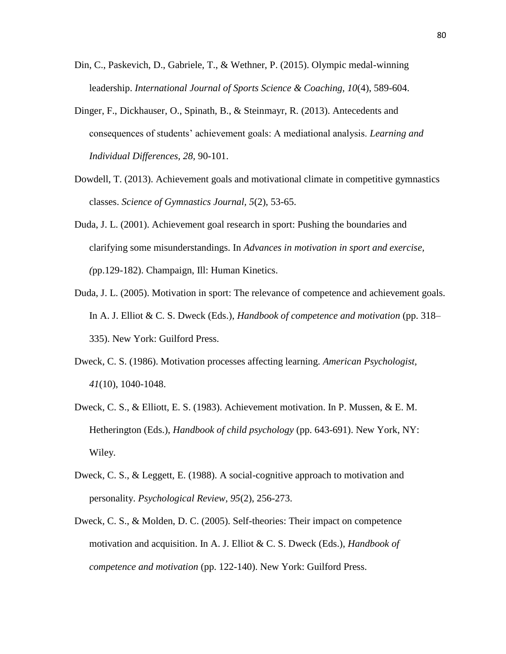- Din, C., Paskevich, D., Gabriele, T., & Wethner, P. (2015). Olympic medal-winning leadership. *International Journal of Sports Science & Coaching, 10*(4), 589-604.
- Dinger, F., Dickhauser, O., Spinath, B., & Steinmayr, R. (2013). Antecedents and consequences of students' achievement goals: A mediational analysis. *Learning and Individual Differences, 28,* 90-101.
- Dowdell, T. (2013). Achievement goals and motivational climate in competitive gymnastics classes. *Science of Gymnastics Journal, 5*(2), 53-65.
- Duda, J. L. (2001). Achievement goal research in sport: Pushing the boundaries and clarifying some misunderstandings. In *Advances in motivation in sport and exercise, (*pp.129*-*182). Champaign, Ill: Human Kinetics.
- Duda, J. L. (2005). Motivation in sport: The relevance of competence and achievement goals. In A. J. Elliot & C. S. Dweck (Eds.), *Handbook of competence and motivation* (pp. 318– 335). New York: Guilford Press.
- Dweck, C. S. (1986). Motivation processes affecting learning. *American Psychologist, 41*(10), 1040-1048.
- Dweck, C. S., & Elliott, E. S. (1983). Achievement motivation. In P. Mussen, & E. M. Hetherington (Eds.), *Handbook of child psychology* (pp. 643-691). New York, NY: Wiley.
- Dweck, C. S., & Leggett, E. (1988). A social-cognitive approach to motivation and personality. *Psychological Review, 95*(2), 256-273.
- Dweck, C. S., & Molden, D. C. (2005). Self-theories: Their impact on competence motivation and acquisition. In A. J. Elliot & C. S. Dweck (Eds.), *Handbook of competence and motivation* (pp. 122-140). New York: Guilford Press.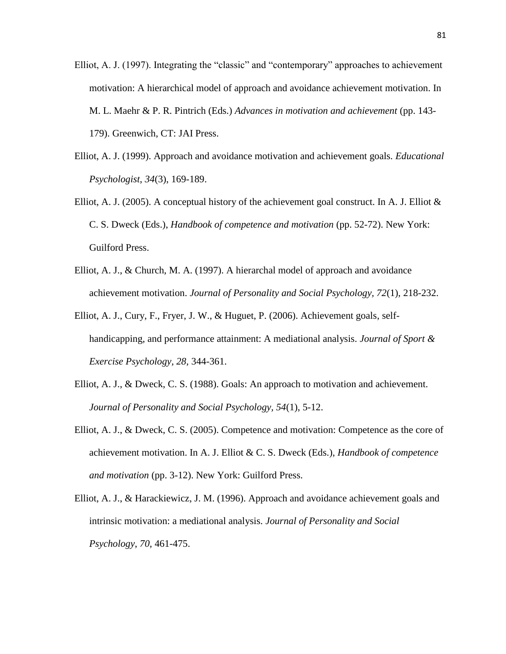- Elliot, A. J. (1997). Integrating the "classic" and "contemporary" approaches to achievement motivation: A hierarchical model of approach and avoidance achievement motivation. In M. L. Maehr & P. R. Pintrich (Eds.) *Advances in motivation and achievement* (pp. 143- 179). Greenwich, CT: JAI Press.
- Elliot, A. J. (1999). Approach and avoidance motivation and achievement goals. *Educational Psychologist*, *34*(3), 169-189.
- Elliot, A. J. (2005). A conceptual history of the achievement goal construct. In A. J. Elliot & C. S. Dweck (Eds.), *Handbook of competence and motivation* (pp. 52-72). New York: Guilford Press.
- Elliot, A. J., & Church, M. A. (1997). A hierarchal model of approach and avoidance achievement motivation. *Journal of Personality and Social Psychology, 72*(1), 218-232.
- Elliot, A. J., Cury, F., Fryer, J. W., & Huguet, P. (2006). Achievement goals, selfhandicapping, and performance attainment: A mediational analysis. *Journal of Sport & Exercise Psychology, 28,* 344-361.
- Elliot, A. J., & Dweck, C. S. (1988). Goals: An approach to motivation and achievement. *Journal of Personality and Social Psychology, 54*(1), 5-12.
- Elliot, A. J., & Dweck, C. S. (2005). Competence and motivation: Competence as the core of achievement motivation. In A. J. Elliot & C. S. Dweck (Eds.), *Handbook of competence and motivation* (pp. 3-12). New York: Guilford Press.
- Elliot, A. J., & Harackiewicz, J. M. (1996). Approach and avoidance achievement goals and intrinsic motivation: a mediational analysis. *Journal of Personality and Social Psychology*, *70*, 461-475.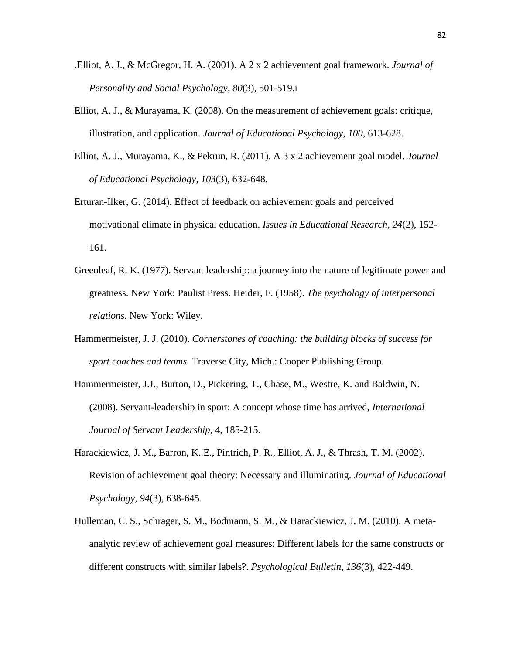- .Elliot, A. J., & McGregor, H. A. (2001). A 2 x 2 achievement goal framework. *Journal of Personality and Social Psychology, 80*(3), 501-519.i
- Elliot, A. J., & Murayama, K. (2008). On the measurement of achievement goals: critique, illustration, and application. *Journal of Educational Psychology, 100,* 613-628.
- Elliot, A. J., Murayama, K., & Pekrun, R. (2011). A 3 x 2 achievement goal model. *Journal of Educational Psychology, 103*(3), 632-648.
- Erturan-Ilker, G. (2014). Effect of feedback on achievement goals and perceived motivational climate in physical education. *Issues in Educational Research, 24*(2), 152- 161.
- Greenleaf, R. K. (1977). Servant leadership: a journey into the nature of legitimate power and greatness. New York: Paulist Press. Heider, F. (1958). *The psychology of interpersonal relations*. New York: Wiley.
- Hammermeister, J. J. (2010). *Cornerstones of coaching: the building blocks of success for sport coaches and teams.* Traverse City, Mich.: Cooper Publishing Group.
- Hammermeister, J.J., Burton, D., Pickering, T., Chase, M., Westre, K. and Baldwin, N. (2008). Servant-leadership in sport: A concept whose time has arrived, *International Journal of Servant Leadership*, 4, 185-215.
- Harackiewicz, J. M., Barron, K. E., Pintrich, P. R., Elliot, A. J., & Thrash, T. M. (2002). Revision of achievement goal theory: Necessary and illuminating. *Journal of Educational Psychology, 94*(3), 638-645.
- Hulleman, C. S., Schrager, S. M., Bodmann, S. M., & Harackiewicz, J. M. (2010). A metaanalytic review of achievement goal measures: Different labels for the same constructs or different constructs with similar labels?. *Psychological Bulletin*, *136*(3), 422-449.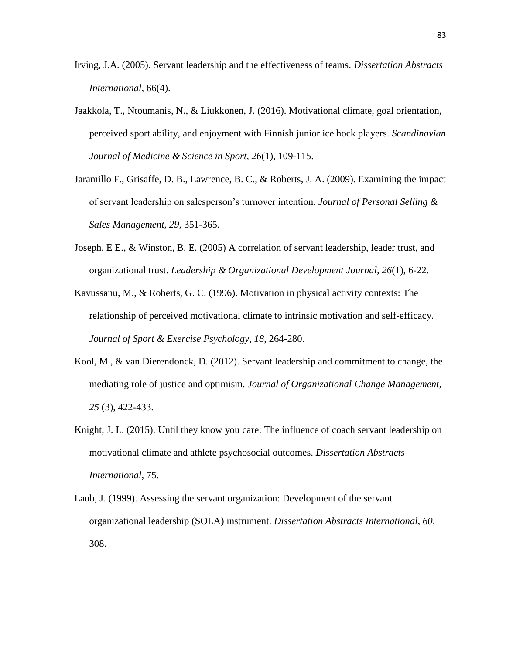- Irving, J.A. (2005). Servant leadership and the effectiveness of teams. *Dissertation Abstracts International,* 66(4).
- Jaakkola, T., Ntoumanis, N., & Liukkonen, J. (2016). Motivational climate, goal orientation, perceived sport ability, and enjoyment with Finnish junior ice hock players. *Scandinavian Journal of Medicine & Science in Sport, 26*(1), 109-115.
- Jaramillo F., Grisaffe, D. B., Lawrence, B. C., & Roberts, J. A. (2009). Examining the impact of servant leadership on salesperson's turnover intention. *Journal of Personal Selling & Sales Management, 29,* 351-365.
- Joseph, E E., & Winston, B. E. (2005) A correlation of servant leadership, leader trust, and organizational trust. *Leadership & Organizational Development Journal, 26*(1), 6-22.
- Kavussanu, M., & Roberts, G. C. (1996). Motivation in physical activity contexts: The relationship of perceived motivational climate to intrinsic motivation and self-efficacy. *Journal of Sport & Exercise Psychology, 18*, 264-280.
- Kool, M., & van Dierendonck, D. (2012). Servant leadership and commitment to change, the mediating role of justice and optimism. *Journal of Organizational Change Management, 25* (3), 422-433.
- Knight, J. L. (2015). Until they know you care: The influence of coach servant leadership on motivational climate and athlete psychosocial outcomes. *Dissertation Abstracts International,* 75.
- Laub, J. (1999). Assessing the servant organization: Development of the servant organizational leadership (SOLA) instrument. *Dissertation Abstracts International, 60,* 308.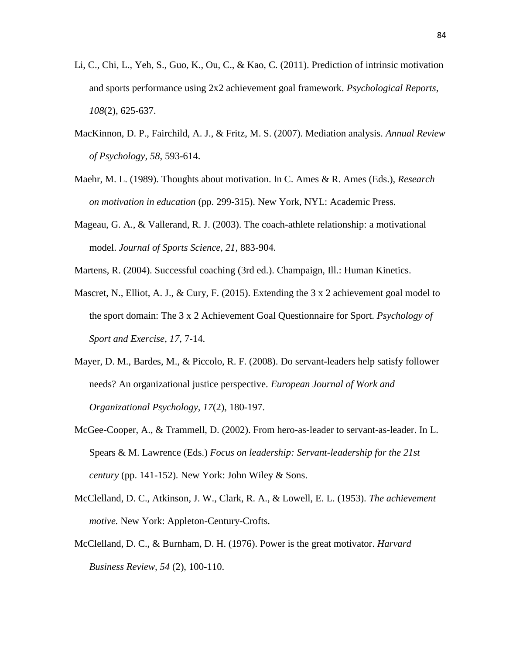- Li, C., Chi, L., Yeh, S., Guo, K., Ou, C., & Kao, C. (2011). Prediction of intrinsic motivation and sports performance using 2x2 achievement goal framework. *Psychological Reports, 108*(2), 625-637.
- MacKinnon, D. P., Fairchild, A. J., & Fritz, M. S. (2007). Mediation analysis. *Annual Review of Psychology, 58,* 593-614.
- Maehr, M. L. (1989). Thoughts about motivation. In C. Ames & R. Ames (Eds.), *Research on motivation in education* (pp. 299-315). New York, NYL: Academic Press.
- Mageau, G. A., & Vallerand, R. J. (2003). The coach-athlete relationship: a motivational model. *Journal of Sports Science, 21,* 883-904.
- Martens, R. (2004). Successful coaching (3rd ed.). Champaign, Ill.: Human Kinetics.
- Mascret, N., Elliot, A. J., & Cury, F. (2015). Extending the 3 x 2 achievement goal model to the sport domain: The 3 x 2 Achievement Goal Questionnaire for Sport. *Psychology of Sport and Exercise, 17*, 7-14.
- Mayer, D. M., Bardes, M., & Piccolo, R. F. (2008). Do servant-leaders help satisfy follower needs? An organizational justice perspective. *European Journal of Work and Organizational Psychology, 17*(2), 180-197.
- McGee-Cooper, A., & Trammell, D. (2002). From hero-as-leader to servant-as-leader. In L. Spears & M. Lawrence (Eds.) *Focus on leadership: Servant-leadership for the 21st century* (pp. 141-152)*.* New York: John Wiley & Sons.
- McClelland, D. C., Atkinson, J. W., Clark, R. A., & Lowell, E. L. (1953). *The achievement motive.* New York: Appleton-Century-Crofts.
- McClelland, D. C., & Burnham, D. H. (1976). Power is the great motivator. *Harvard Business Review, 54* (2), 100-110.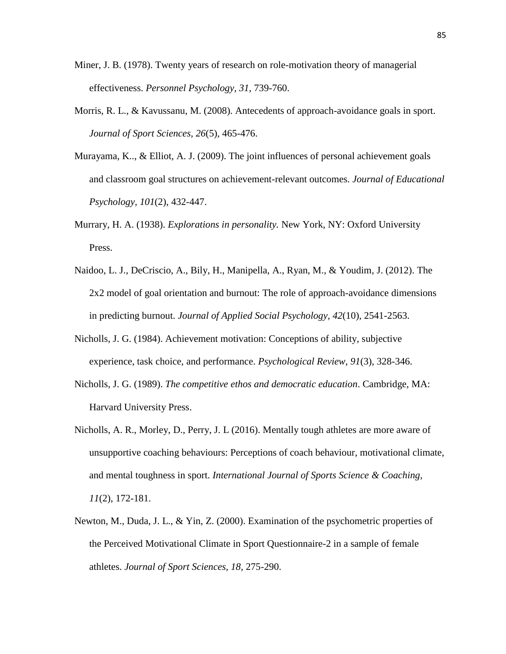- Miner, J. B. (1978). Twenty years of research on role-motivation theory of managerial effectiveness. *Personnel Psychology, 31,* 739-760.
- Morris, R. L., & Kavussanu, M. (2008). Antecedents of approach-avoidance goals in sport. *Journal of Sport Sciences, 26*(5), 465-476.
- Murayama, K.., & Elliot, A. J. (2009). The joint influences of personal achievement goals and classroom goal structures on achievement-relevant outcomes. *Journal of Educational Psychology, 101*(2), 432-447.
- Murrary, H. A. (1938). *Explorations in personality.* New York, NY: Oxford University Press.
- Naidoo, L. J., DeCriscio, A., Bily, H., Manipella, A., Ryan, M., & Youdim, J. (2012). The 2x2 model of goal orientation and burnout: The role of approach-avoidance dimensions in predicting burnout. *Journal of Applied Social Psychology, 42*(10), 2541-2563.
- Nicholls, J. G. (1984). Achievement motivation: Conceptions of ability, subjective experience, task choice, and performance. *Psychological Review*, *91*(3), 328-346.
- Nicholls, J. G. (1989). *The competitive ethos and democratic education*. Cambridge, MA: Harvard University Press.
- Nicholls, A. R., Morley, D., Perry, J. L (2016). Mentally tough athletes are more aware of unsupportive coaching behaviours: Perceptions of coach behaviour, motivational climate, and mental toughness in sport. *International Journal of Sports Science & Coaching, 11*(2), 172-181.
- Newton, M., Duda, J. L., & Yin, Z. (2000). Examination of the psychometric properties of the Perceived Motivational Climate in Sport Questionnaire-2 in a sample of female athletes. *Journal of Sport Sciences, 18,* 275-290.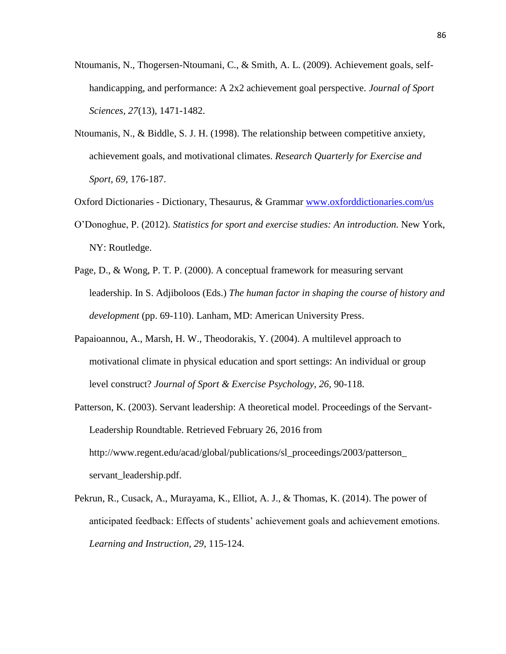- Ntoumanis, N., Thogersen-Ntoumani, C., & Smith, A. L. (2009). Achievement goals, selfhandicapping, and performance: A 2x2 achievement goal perspective. *Journal of Sport Sciences, 27*(13), 1471-1482.
- Ntoumanis, N., & Biddle, S. J. H. (1998). The relationship between competitive anxiety, achievement goals, and motivational climates. *Research Quarterly for Exercise and Sport, 69,* 176-187.
- Oxford Dictionaries Dictionary, Thesaurus, & Grammar [www.oxforddictionaries.com/us](http://www.oxforddictionaries.com/us)
- O'Donoghue, P. (2012). *Statistics for sport and exercise studies: An introduction.* New York, NY: Routledge.
- Page, D., & Wong, P. T. P. (2000). A conceptual framework for measuring servant leadership. In S. Adjiboloos (Eds.) *The human factor in shaping the course of history and development* (pp. 69-110). Lanham, MD: American University Press.
- Papaioannou, A., Marsh, H. W., Theodorakis, Y. (2004). A multilevel approach to motivational climate in physical education and sport settings: An individual or group level construct? *Journal of Sport & Exercise Psychology, 26,* 90-118.
- Patterson, K. (2003). Servant leadership: A theoretical model. Proceedings of the Servant-Leadership Roundtable. Retrieved February 26, 2016 from http://www.regent.edu/acad/global/publications/sl\_proceedings/2003/patterson\_ servant\_leadership.pdf.
- Pekrun, R., Cusack, A., Murayama, K., Elliot, A. J., & Thomas, K. (2014). The power of anticipated feedback: Effects of students' achievement goals and achievement emotions. *Learning and Instruction, 29*, 115-124.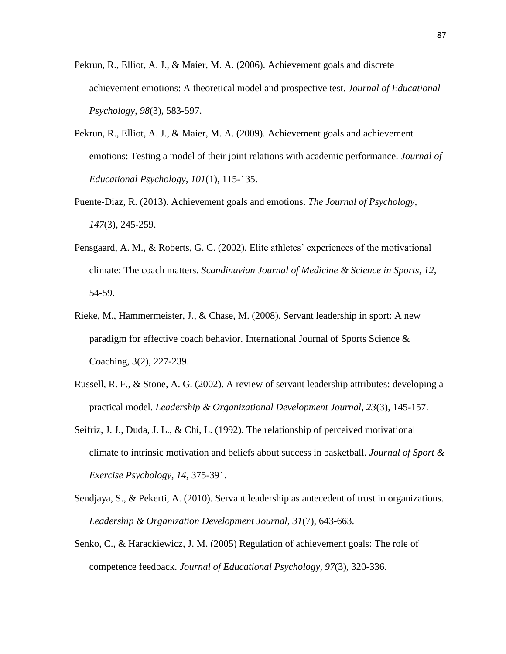- Pekrun, R., Elliot, A. J., & Maier, M. A. (2006). Achievement goals and discrete achievement emotions: A theoretical model and prospective test. *Journal of Educational Psychology, 98*(3), 583-597.
- Pekrun, R., Elliot, A. J., & Maier, M. A. (2009). Achievement goals and achievement emotions: Testing a model of their joint relations with academic performance. *Journal of Educational Psychology, 101*(1), 115-135.
- Puente-Diaz, R. (2013). Achievement goals and emotions. *The Journal of Psychology, 147*(3), 245-259.
- Pensgaard, A. M., & Roberts, G. C. (2002). Elite athletes' experiences of the motivational climate: The coach matters. *Scandinavian Journal of Medicine & Science in Sports, 12,*  54-59.
- Rieke, M., Hammermeister, J., & Chase, M. (2008). Servant leadership in sport: A new paradigm for effective coach behavior. International Journal of Sports Science & Coaching, 3(2), 227-239.
- Russell, R. F., & Stone, A. G. (2002). A review of servant leadership attributes: developing a practical model. *Leadership & Organizational Development Journal, 23*(3), 145-157.
- Seifriz, J. J., Duda, J. L., & Chi, L. (1992). The relationship of perceived motivational climate to intrinsic motivation and beliefs about success in basketball. *Journal of Sport & Exercise Psychology, 14,* 375-391.
- Sendjaya, S., & Pekerti, A. (2010). Servant leadership as antecedent of trust in organizations. *Leadership & Organization Development Journal, 31*(7), 643-663.
- Senko, C., & Harackiewicz, J. M. (2005) Regulation of achievement goals: The role of competence feedback. *Journal of Educational Psychology, 97*(3), 320-336.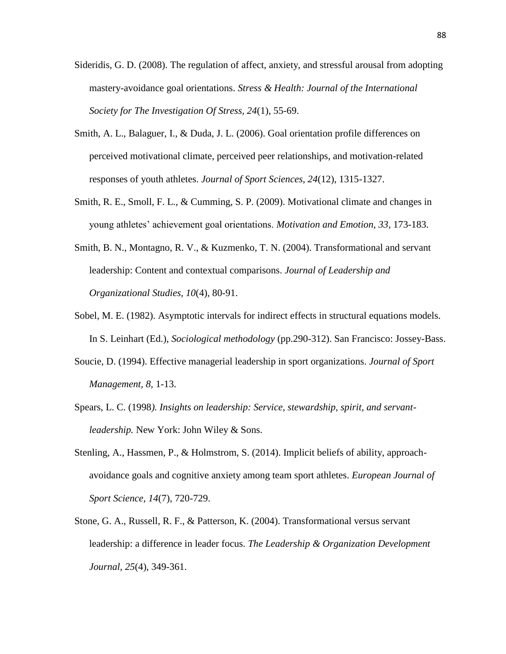- Sideridis, G. D. (2008). The regulation of affect, anxiety, and stressful arousal from adopting mastery-avoidance goal orientations. *Stress & Health: Journal of the International Society for The Investigation Of Stress, 24*(1), 55-69.
- Smith, A. L., Balaguer, I., & Duda, J. L. (2006). Goal orientation profile differences on perceived motivational climate, perceived peer relationships, and motivation-related responses of youth athletes. *Journal of Sport Sciences, 24*(12), 1315-1327.
- Smith, R. E., Smoll, F. L., & Cumming, S. P. (2009). Motivational climate and changes in young athletes' achievement goal orientations. *Motivation and Emotion, 33,* 173-183.
- Smith, B. N., Montagno, R. V., & Kuzmenko, T. N. (2004). Transformational and servant leadership: Content and contextual comparisons. *Journal of Leadership and Organizational Studies, 10*(4), 80-91.
- Sobel, M. E. (1982). Asymptotic intervals for indirect effects in structural equations models. In S. Leinhart (Ed.), *Sociological methodology* (pp.290-312). San Francisco: Jossey-Bass.
- Soucie, D. (1994). Effective managerial leadership in sport organizations. *Journal of Sport Management, 8,* 1-13.
- Spears, L. C. (1998*). Insights on leadership: Service, stewardship, spirit, and servantleadership.* New York: John Wiley & Sons.
- Stenling, A., Hassmen, P., & Holmstrom, S. (2014). Implicit beliefs of ability, approachavoidance goals and cognitive anxiety among team sport athletes. *European Journal of Sport Science, 14*(7), 720-729.
- Stone, G. A., Russell, R. F., & Patterson, K. (2004). Transformational versus servant leadership: a difference in leader focus. *The Leadership & Organization Development Journal, 25*(4), 349-361.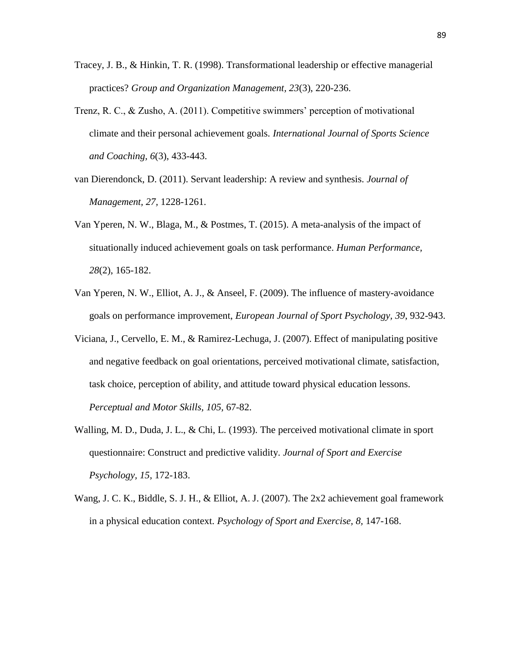- Tracey, J. B., & Hinkin, T. R. (1998). Transformational leadership or effective managerial practices? *Group and Organization Management, 23*(3), 220-236.
- Trenz, R. C., & Zusho, A. (2011). Competitive swimmers' perception of motivational climate and their personal achievement goals. *International Journal of Sports Science and Coaching, 6*(3), 433-443.
- van Dierendonck, D. (2011). Servant leadership: A review and synthesis. *Journal of Management, 27,* 1228-1261.
- Van Yperen, N. W., Blaga, M., & Postmes, T. (2015). A meta-analysis of the impact of situationally induced achievement goals on task performance. *Human Performance, 28*(2), 165-182.
- Van Yperen, N. W., Elliot, A. J., & Anseel, F. (2009). The influence of mastery-avoidance goals on performance improvement, *European Journal of Sport Psychology, 39*, 932-943.
- Viciana, J., Cervello, E. M., & Ramirez-Lechuga, J. (2007). Effect of manipulating positive and negative feedback on goal orientations, perceived motivational climate, satisfaction, task choice, perception of ability, and attitude toward physical education lessons. *Perceptual and Motor Skills, 105,* 67-82.
- Walling, M. D., Duda, J. L., & Chi, L. (1993). The perceived motivational climate in sport questionnaire: Construct and predictive validity. *Journal of Sport and Exercise Psychology, 15,* 172-183.
- Wang, J. C. K., Biddle, S. J. H., & Elliot, A. J. (2007). The 2x2 achievement goal framework in a physical education context. *Psychology of Sport and Exercise, 8,* 147-168.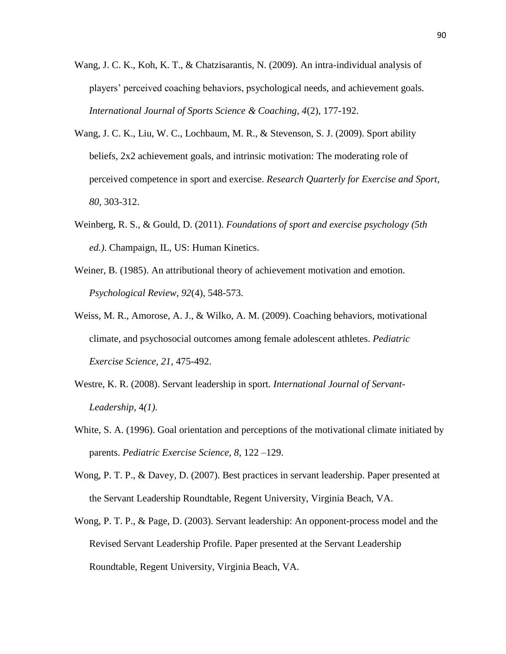- Wang, J. C. K., Koh, K. T., & Chatzisarantis, N. (2009). An intra-individual analysis of players' perceived coaching behaviors, psychological needs, and achievement goals. *International Journal of Sports Science & Coaching, 4*(2), 177-192.
- Wang, J. C. K., Liu, W. C., Lochbaum, M. R., & Stevenson, S. J. (2009). Sport ability beliefs, 2x2 achievement goals, and intrinsic motivation: The moderating role of perceived competence in sport and exercise. *Research Quarterly for Exercise and Sport, 80,* 303-312.
- Weinberg, R. S., & Gould, D. (2011). *Foundations of sport and exercise psychology (5th ed.)*. Champaign, IL, US: Human Kinetics.
- Weiner, B. (1985). An attributional theory of achievement motivation and emotion. *Psychological Review, 92*(4), 548-573.
- Weiss, M. R., Amorose, A. J., & Wilko, A. M. (2009). Coaching behaviors, motivational climate, and psychosocial outcomes among female adolescent athletes. *Pediatric Exercise Science, 21,* 475-492.
- Westre, K. R. (2008). Servant leadership in sport. *International Journal of Servant-Leadership*, 4*(1).*
- White, S. A. (1996). Goal orientation and perceptions of the motivational climate initiated by parents. *Pediatric Exercise Science, 8*, 122 –129.
- Wong, P. T. P., & Davey, D. (2007). Best practices in servant leadership. Paper presented at the Servant Leadership Roundtable, Regent University, Virginia Beach, VA.
- Wong, P. T. P., & Page, D. (2003). Servant leadership: An opponent-process model and the Revised Servant Leadership Profile. Paper presented at the Servant Leadership Roundtable, Regent University, Virginia Beach, VA.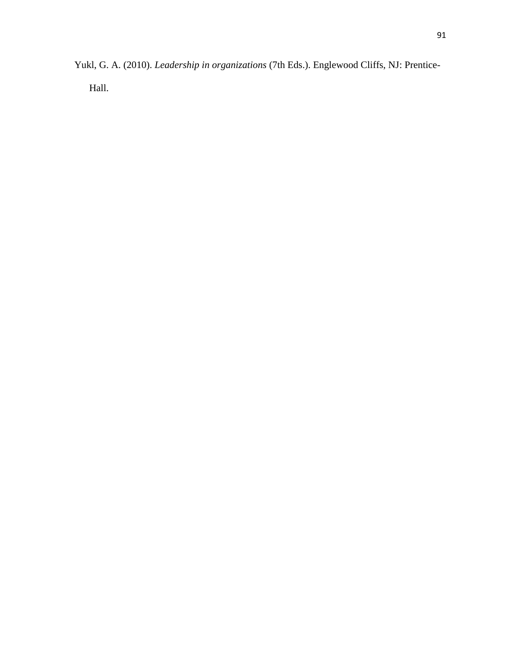Yukl, G. A. (2010). *Leadership in organizations* (7th Eds.). Englewood Cliffs, NJ: Prentice-Hall.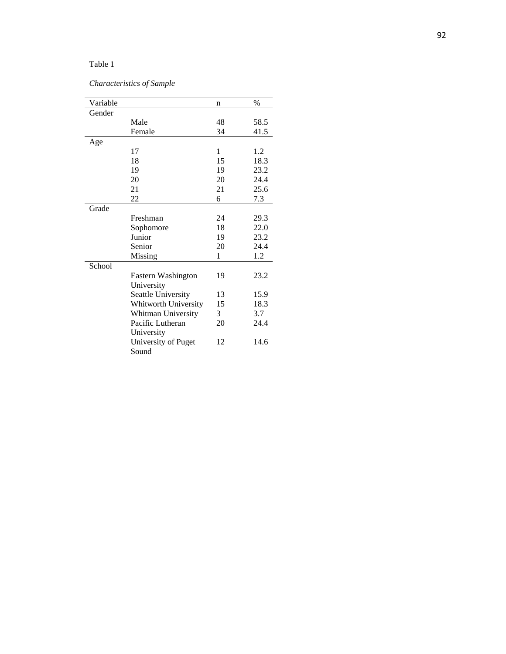# *Characteristics of Sample*

| Variable |                      | n  | $\%$ |
|----------|----------------------|----|------|
| Gender   |                      |    |      |
|          | Male                 | 48 | 58.5 |
|          | Female               | 34 | 41.5 |
| Age      |                      |    |      |
|          | 17                   | 1  | 1.2  |
|          | 18                   | 15 | 18.3 |
|          | 19                   | 19 | 23.2 |
|          | 20                   | 20 | 24.4 |
|          | 21                   | 21 | 25.6 |
|          | 22                   | 6  | 7.3  |
| Grade    |                      |    |      |
|          | Freshman             | 24 | 29.3 |
|          | Sophomore            | 18 | 22.0 |
|          | Junior               | 19 | 23.2 |
|          | Senior               | 20 | 24.4 |
|          | Missing              | 1  | 1.2  |
| School   |                      |    |      |
|          | Eastern Washington   | 19 | 23.2 |
|          | University           |    |      |
|          | Seattle University   | 13 | 15.9 |
|          | Whitworth University | 15 | 18.3 |
|          | Whitman University   | 3  | 3.7  |
|          | Pacific Lutheran     | 20 | 24.4 |
|          | University           |    |      |
|          | University of Puget  | 12 | 14.6 |
|          | Sound                |    |      |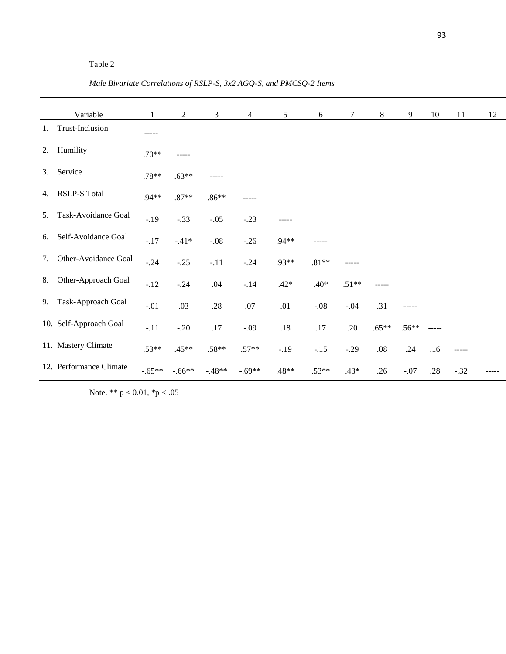*Male Bivariate Correlations of RSLP-S, 3x2 AGQ-S, and PMCSQ-2 Items*

|    | Variable                | $\mathbf{1}$ | $\overline{2}$ | $\mathfrak{Z}$ | $\overline{4}$ | 5 <sup>5</sup> | 6       | $\tau$  | 8       | 9       | 10                     | 11     | 12 |
|----|-------------------------|--------------|----------------|----------------|----------------|----------------|---------|---------|---------|---------|------------------------|--------|----|
| 1. | Trust-Inclusion         | -----        |                |                |                |                |         |         |         |         |                        |        |    |
| 2. | Humility                | $.70**$      | -----          |                |                |                |         |         |         |         |                        |        |    |
| 3. | Service                 | $.78**$      | $.63**$        | -----          |                |                |         |         |         |         |                        |        |    |
| 4. | RSLP-S Total            | $.94**$      | $.87**$        | $.86**$        |                |                |         |         |         |         |                        |        |    |
| 5. | Task-Avoidance Goal     | $-.19$       | $-.33$         | $-.05$         | $-.23$         | -----          |         |         |         |         |                        |        |    |
| 6. | Self-Avoidance Goal     | $-.17$       | $-.41*$        | $-.08$         | $-.26$         | $.94**$        |         |         |         |         |                        |        |    |
| 7. | Other-Avoidance Goal    | $-.24$       | $-.25$         | $-.11$         | $-.24$         | .93**          | $.81**$ |         |         |         |                        |        |    |
| 8. | Other-Approach Goal     | $-.12$       | $-.24$         | .04            | $-.14$         | $.42*$         | $.40*$  | $.51**$ |         |         |                        |        |    |
| 9. | Task-Approach Goal      | $-.01$       | .03            | $.28\,$        | $.07$          | $.01\,$        | $-.08$  | $-.04$  | .31     | -----   |                        |        |    |
|    | 10. Self-Approach Goal  | $-.11$       | $-.20$         | $.17\,$        | $-.09$         | $.18\,$        | $.17$   | .20     | $.65**$ | $.56**$ | $\cdots \cdots \cdots$ |        |    |
|    | 11. Mastery Climate     | $.53**$      | $.45**$        | $.58**$        | $.57**$        | $-.19$         | $-.15$  | $-.29$  | $.08\,$ | .24     | .16                    | -----  |    |
|    | 12. Performance Climate | $-.65**$     | $-.66**$       | $-.48**$       | $-.69**$       | $.48**$        | $.53**$ | $.43*$  | .26     | $-.07$  | .28                    | $-.32$ |    |

Note. \*\* p < 0.01, \*p < .05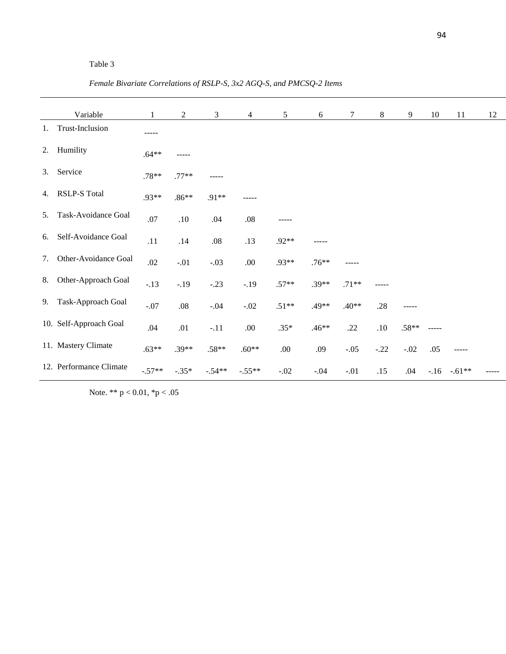*Female Bivariate Correlations of RSLP-S, 3x2 AGQ-S, and PMCSQ-2 Items*

|    | Variable                | $\mathbf{1}$ | $\overline{2}$ | $\mathfrak{Z}$ | $\overline{4}$ | 5 <sup>5</sup> | 6       | $\tau$  | 8      | 9       | 10       | 11       | 12 |
|----|-------------------------|--------------|----------------|----------------|----------------|----------------|---------|---------|--------|---------|----------|----------|----|
| 1. | Trust-Inclusion         | -----        |                |                |                |                |         |         |        |         |          |          |    |
| 2. | Humility                | $.64**$      | -----          |                |                |                |         |         |        |         |          |          |    |
| 3. | Service                 | $.78**$      | $.77**$        | -----          |                |                |         |         |        |         |          |          |    |
| 4. | RSLP-S Total            | .93**        | $.86**$        | .91**          |                |                |         |         |        |         |          |          |    |
| 5. | Task-Avoidance Goal     | .07          | $.10\,$        | .04            | $.08\,$        |                |         |         |        |         |          |          |    |
| 6. | Self-Avoidance Goal     | .11          | .14            | $.08\,$        | .13            | $.92**$        | -----   |         |        |         |          |          |    |
| 7. | Other-Avoidance Goal    | $.02\,$      | $-.01$         | $-.03$         | .00.           | .93**          | $.76**$ |         |        |         |          |          |    |
| 8. | Other-Approach Goal     | $-.13$       | $-.19$         | $-.23$         | $-.19$         | $.57**$        | $.39**$ | $.71**$ |        |         |          |          |    |
| 9. | Task-Approach Goal      | $-.07$       | $.08\,$        | $-.04$         | $-.02$         | $.51**$        | .49**   | $.40**$ | .28    | -----   |          |          |    |
|    | 10. Self-Approach Goal  | .04          | .01            | $-.11$         | .00.           | $.35*$         | $.46**$ | .22     | .10    | $.58**$ | $-----1$ |          |    |
|    | 11. Mastery Climate     | $.63**$      | $.39**$        | $.58**$        | $.60**$        | .00.           | .09     | $-.05$  | $-.22$ | $-.02$  | .05      | -----    |    |
|    | 12. Performance Climate | $-.57**$     | $-.35*$        | $-.54**$       | $-.55**$       | $-.02$         | $-.04$  | $-.01$  | .15    | .04     | $-16$    | $-.61**$ |    |

Note. \*\* p < 0.01, \*p < .05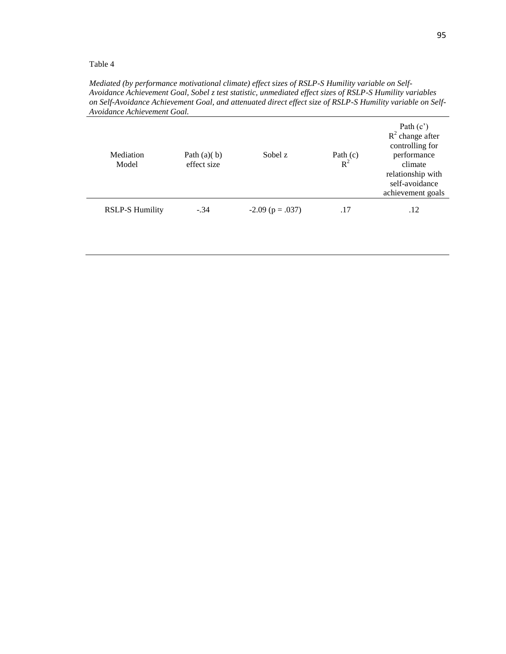*Mediated (by performance motivational climate) effect sizes of RSLP-S Humility variable on Self-Avoidance Achievement Goal, Sobel z test statistic, unmediated effect sizes of RSLP-S Humility variables on Self-Avoidance Achievement Goal, and attenuated direct effect size of RSLP-S Humility variable on Self-Avoidance Achievement Goal.*

| Mediation<br>Model     | Path $(a)(b)$<br>effect size | Sobel z                | Path $(c)$<br>$R^2$ | Path $(c')$<br>$R^2$ change after<br>controlling for<br>performance<br>climate<br>relationship with<br>self-avoidance<br>achievement goals |
|------------------------|------------------------------|------------------------|---------------------|--------------------------------------------------------------------------------------------------------------------------------------------|
| <b>RSLP-S Humility</b> | $-.34$                       | $-2.09$ ( $p = .037$ ) | .17                 | .12                                                                                                                                        |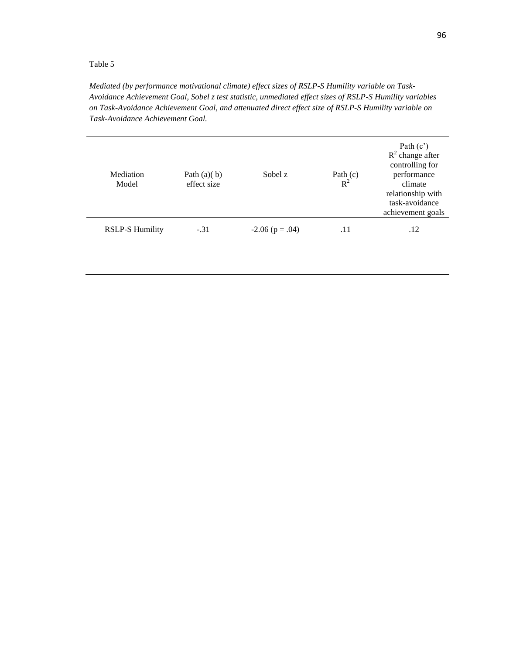*Mediated (by performance motivational climate) effect sizes of RSLP-S Humility variable on Task-Avoidance Achievement Goal, Sobel z test statistic, unmediated effect sizes of RSLP-S Humility variables on Task-Avoidance Achievement Goal, and attenuated direct effect size of RSLP-S Humility variable on Task-Avoidance Achievement Goal.*

| Mediation<br>Model     | Path $(a)(b)$<br>effect size | Sobel z               | Path $(c)$<br>$R^2$ | Path $(c')$<br>$R^2$ change after<br>controlling for<br>performance<br>climate<br>relationship with<br>task-avoidance<br>achievement goals |
|------------------------|------------------------------|-----------------------|---------------------|--------------------------------------------------------------------------------------------------------------------------------------------|
| <b>RSLP-S Humility</b> | $-.31$                       | $-2.06$ ( $p = .04$ ) | .11                 | .12                                                                                                                                        |
|                        |                              |                       |                     |                                                                                                                                            |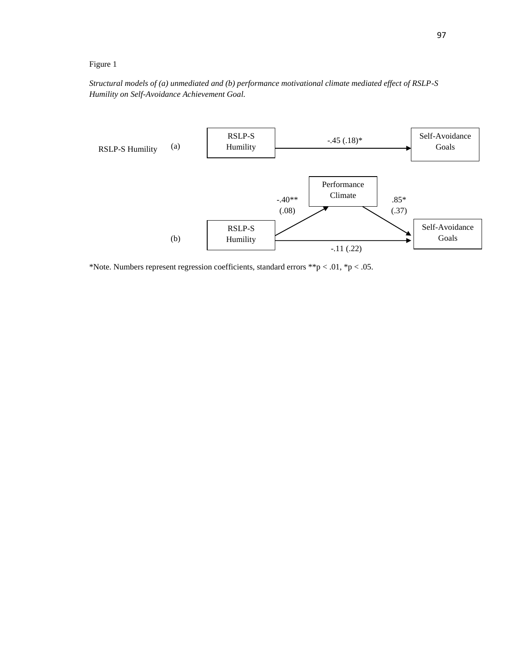## Figure 1

*Structural models of (a) unmediated and (b) performance motivational climate mediated effect of RSLP-S Humility on Self-Avoidance Achievement Goal.*



\*Note. Numbers represent regression coefficients, standard errors \*\*p < .01, \*p < .05.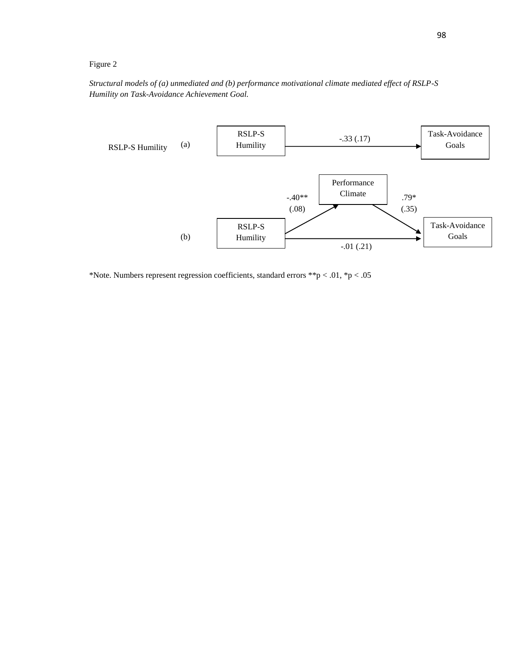## Figure 2

*Structural models of (a) unmediated and (b) performance motivational climate mediated effect of RSLP-S Humility on Task-Avoidance Achievement Goal.*



\*Note. Numbers represent regression coefficients, standard errors \*\*p < .01, \*p < .05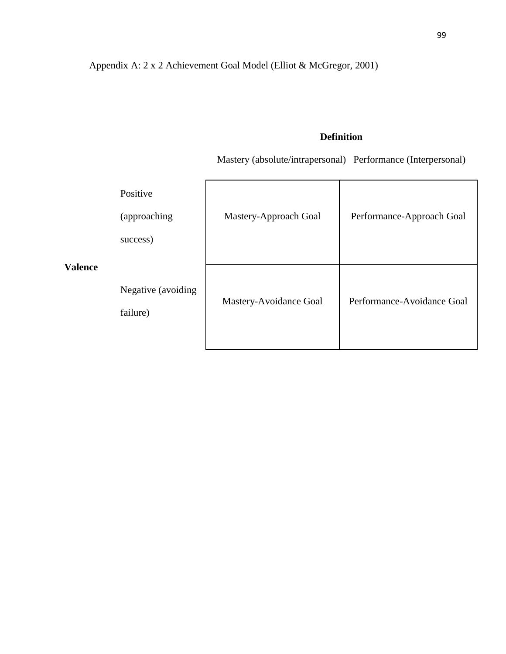Appendix A: 2 x 2 Achievement Goal Model (Elliot & McGregor, 2001)

# **Definition**

Mastery (absolute/intrapersonal) Performance (Interpersonal)

|                | Positive<br>(approaching<br>success) | Mastery-Approach Goal  | Performance-Approach Goal  |
|----------------|--------------------------------------|------------------------|----------------------------|
| <b>Valence</b> | Negative (avoiding<br>failure)       | Mastery-Avoidance Goal | Performance-Avoidance Goal |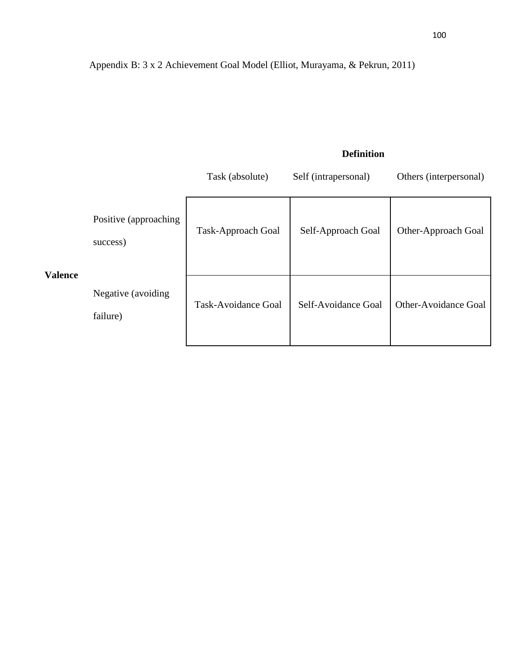# **Definition**

|                |                                    | Task (absolute)     | Self (intrapersonal) | Others (interpersonal) |
|----------------|------------------------------------|---------------------|----------------------|------------------------|
| <b>Valence</b> | Positive (approaching)<br>success) | Task-Approach Goal  | Self-Approach Goal   | Other-Approach Goal    |
|                | Negative (avoiding)<br>failure)    | Task-Avoidance Goal | Self-Avoidance Goal  | Other-Avoidance Goal   |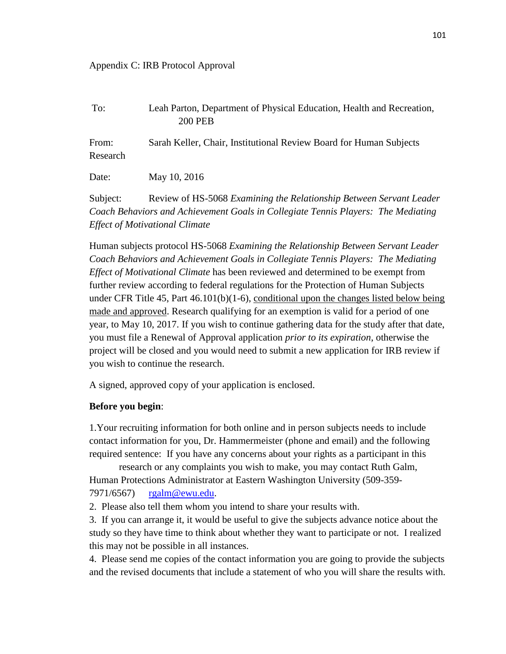#### Appendix C: IRB Protocol Approval

| To:               | Leah Parton, Department of Physical Education, Health and Recreation,<br><b>200 PEB</b> |
|-------------------|-----------------------------------------------------------------------------------------|
| From:<br>Research | Sarah Keller, Chair, Institutional Review Board for Human Subjects                      |
| Date:             | May 10, 2016                                                                            |
| Subject:          | Review of HS-5068 Examining the Relationship Between Servant Leader                     |
|                   | Coach Behaviors and Achievement Goals in Collegiate Tennis Players: The Mediating       |
|                   | <b>Effect of Motivational Climate</b>                                                   |

Human subjects protocol HS-5068 *Examining the Relationship Between Servant Leader Coach Behaviors and Achievement Goals in Collegiate Tennis Players: The Mediating Effect of Motivational Climate* has been reviewed and determined to be exempt from further review according to federal regulations for the Protection of Human Subjects under CFR Title 45, Part  $46.101(b)(1-6)$ , conditional upon the changes listed below being made and approved. Research qualifying for an exemption is valid for a period of one year, to May 10, 2017. If you wish to continue gathering data for the study after that date, you must file a Renewal of Approval application *prior to its expiration*, otherwise the project will be closed and you would need to submit a new application for IRB review if you wish to continue the research.

A signed, approved copy of your application is enclosed.

### **Before you begin**:

1.Your recruiting information for both online and in person subjects needs to include contact information for you, Dr. Hammermeister (phone and email) and the following required sentence: If you have any concerns about your rights as a participant in this

research or any complaints you wish to make, you may contact Ruth Galm, Human Protections Administrator at Eastern Washington University (509-359- 7971/6567) [rgalm@ewu.edu.](mailto:rgalm@ewu.edu)

2. Please also tell them whom you intend to share your results with.

3. If you can arrange it, it would be useful to give the subjects advance notice about the study so they have time to think about whether they want to participate or not. I realized this may not be possible in all instances.

4. Please send me copies of the contact information you are going to provide the subjects and the revised documents that include a statement of who you will share the results with.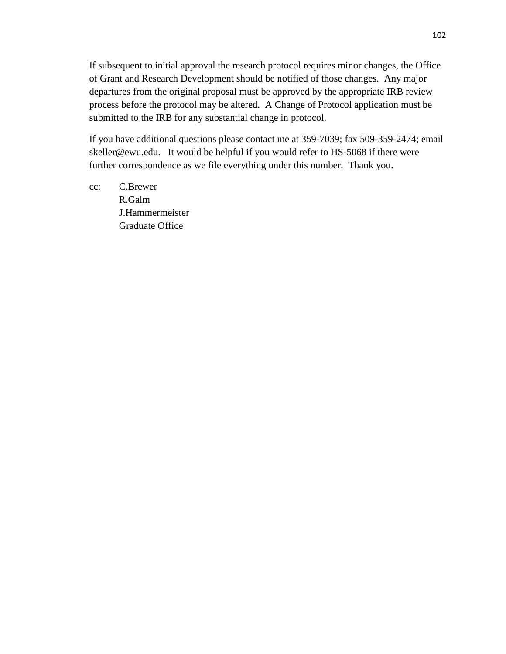If subsequent to initial approval the research protocol requires minor changes, the Office of Grant and Research Development should be notified of those changes. Any major departures from the original proposal must be approved by the appropriate IRB review process before the protocol may be altered. A Change of Protocol application must be submitted to the IRB for any substantial change in protocol.

If you have additional questions please contact me at 359-7039; fax 509-359-2474; email skeller@ewu.edu. It would be helpful if you would refer to HS-5068 if there were further correspondence as we file everything under this number. Thank you.

cc: C.Brewer R.Galm J.Hammermeister Graduate Office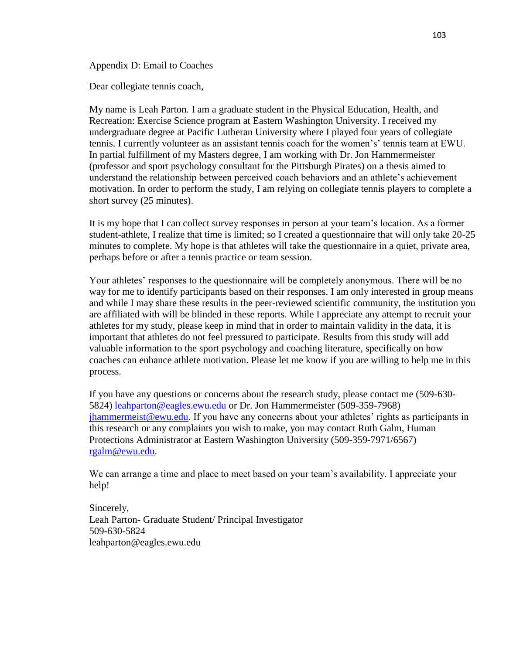Appendix D: Email to Coaches

Dear collegiate tennis coach,

My name is Leah Parton. I am a graduate student in the Physical Education, Health, and Recreation: Exercise Science program at Eastern Washington University. I received my undergraduate degree at Pacific Lutheran University where I played four years of collegiate tennis. I currently volunteer as an assistant tennis coach for the women's' tennis team at EWU. In partial fulfillment of my Masters degree, I am working with Dr. Jon Hammermeister (professor and sport psychology consultant for the Pittsburgh Pirates) on a thesis aimed to understand the relationship between perceived coach behaviors and an athlete's achievement motivation. In order to perform the study, I am relying on collegiate tennis players to complete a short survey (25 minutes).

It is my hope that I can collect survey responses in person at your team's location. As a former student-athlete, I realize that time is limited; so I created a questionnaire that will only take 20-25 minutes to complete. My hope is that athletes will take the questionnaire in a quiet, private area, perhaps before or after a tennis practice or team session.

Your athletes' responses to the questionnaire will be completely anonymous. There will be no way for me to identify participants based on their responses. I am only interested in group means and while I may share these results in the peer-reviewed scientific community, the institution you are affiliated with will be blinded in these reports. While I appreciate any attempt to recruit your athletes for my study, please keep in mind that in order to maintain validity in the data, it is important that athletes do not feel pressured to participate. Results from this study will add valuable information to the sport psychology and coaching literature, specifically on how coaches can enhance athlete motivation. Please let me know if you are willing to help me in this process.

If you have any questions or concerns about the research study, please contact me (509-630- 5824) [leahparton@eagles.ewu.edu](mailto:leahparton@eagles.ewu.edu) or Dr. Jon Hammermeister (509-359-7968) [jhammermeist@ewu.edu.](mailto:jhammermeist@ewu.edu) If you have any concerns about your athletes' rights as participants in this research or any complaints you wish to make, you may contact Ruth Galm, Human Protections Administrator at Eastern Washington University (509-359-7971/6567) [rgalm@ewu.edu.](mailto:rgalm@ewu.edu)

We can arrange a time and place to meet based on your team's availability. I appreciate your help!

Sincerely, Leah Parton- Graduate Student/ Principal Investigator 509-630-5824 leahparton@eagles.ewu.edu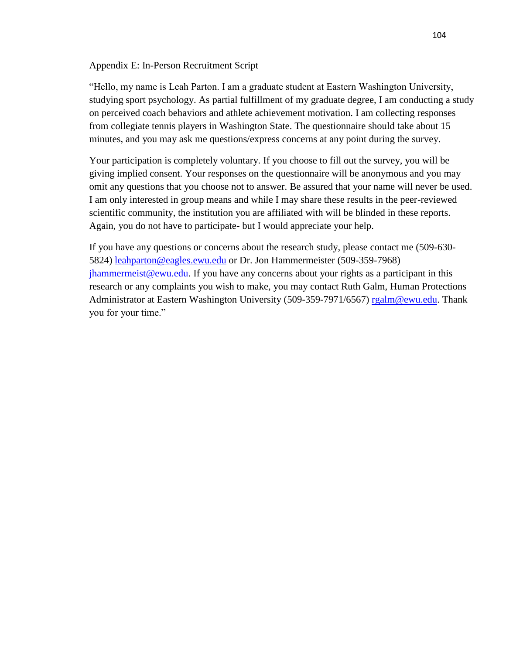Appendix E: In-Person Recruitment Script

"Hello, my name is Leah Parton. I am a graduate student at Eastern Washington University, studying sport psychology. As partial fulfillment of my graduate degree, I am conducting a study on perceived coach behaviors and athlete achievement motivation. I am collecting responses from collegiate tennis players in Washington State. The questionnaire should take about 15 minutes, and you may ask me questions/express concerns at any point during the survey.

Your participation is completely voluntary. If you choose to fill out the survey, you will be giving implied consent. Your responses on the questionnaire will be anonymous and you may omit any questions that you choose not to answer. Be assured that your name will never be used. I am only interested in group means and while I may share these results in the peer-reviewed scientific community, the institution you are affiliated with will be blinded in these reports. Again, you do not have to participate- but I would appreciate your help.

If you have any questions or concerns about the research study, please contact me (509-630- 5824) [leahparton@eagles.ewu.edu](mailto:leahparton@eagles.ewu.edu) or Dr. Jon Hammermeister (509-359-7968) [jhammermeist@ewu.edu.](mailto:jhammermeist@ewu.edu) If you have any concerns about your rights as a participant in this research or any complaints you wish to make, you may contact Ruth Galm, Human Protections Administrator at Eastern Washington University (509-359-7971/6567) [rgalm@ewu.edu.](mailto:rgalm@ewu.edu) Thank you for your time."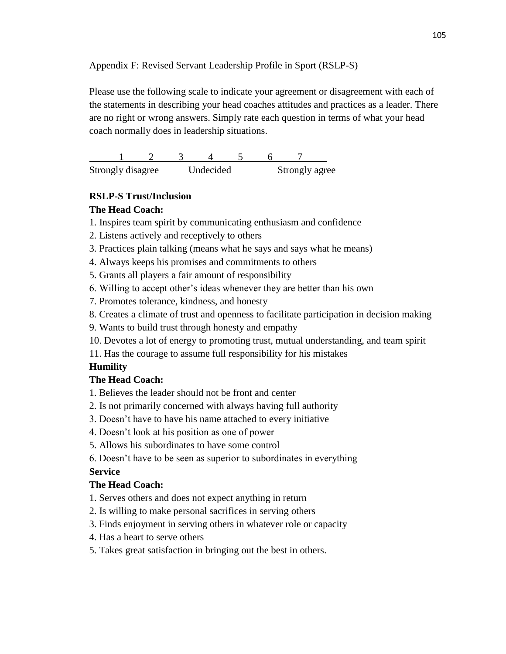Appendix F: Revised Servant Leadership Profile in Sport (RSLP-S)

Please use the following scale to indicate your agreement or disagreement with each of the statements in describing your head coaches attitudes and practices as a leader. There are no right or wrong answers. Simply rate each question in terms of what your head coach normally does in leadership situations.

1 2 3 4 5 6 7 Strongly disagree Undecided Strongly agree

## **RSLP-S Trust/Inclusion**

## **The Head Coach:**

- 1. Inspires team spirit by communicating enthusiasm and confidence
- 2. Listens actively and receptively to others
- 3. Practices plain talking (means what he says and says what he means)
- 4. Always keeps his promises and commitments to others
- 5. Grants all players a fair amount of responsibility
- 6. Willing to accept other's ideas whenever they are better than his own
- 7. Promotes tolerance, kindness, and honesty
- 8. Creates a climate of trust and openness to facilitate participation in decision making
- 9. Wants to build trust through honesty and empathy
- 10. Devotes a lot of energy to promoting trust, mutual understanding, and team spirit
- 11. Has the courage to assume full responsibility for his mistakes

# **Humility**

## **The Head Coach:**

- 1. Believes the leader should not be front and center
- 2. Is not primarily concerned with always having full authority
- 3. Doesn't have to have his name attached to every initiative
- 4. Doesn't look at his position as one of power
- 5. Allows his subordinates to have some control
- 6. Doesn't have to be seen as superior to subordinates in everything

## **Service**

## **The Head Coach:**

- 1. Serves others and does not expect anything in return
- 2. Is willing to make personal sacrifices in serving others
- 3. Finds enjoyment in serving others in whatever role or capacity
- 4. Has a heart to serve others
- 5. Takes great satisfaction in bringing out the best in others.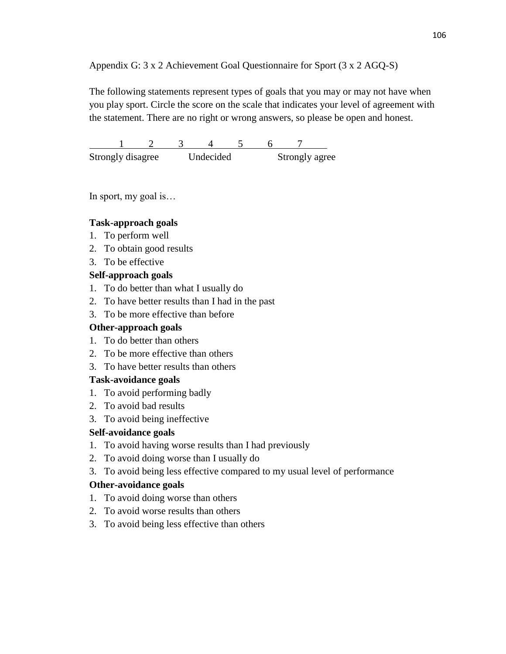## Appendix G: 3 x 2 Achievement Goal Questionnaire for Sport (3 x 2 AGQ-S)

The following statements represent types of goals that you may or may not have when you play sport. Circle the score on the scale that indicates your level of agreement with the statement. There are no right or wrong answers, so please be open and honest.

1 2 3 4 5 6 7 Strongly disagree Undecided Strongly agree

In sport, my goal is…

### **Task-approach goals**

- 1. To perform well
- 2. To obtain good results
- 3. To be effective

### **Self-approach goals**

- 1. To do better than what I usually do
- 2. To have better results than I had in the past
- 3. To be more effective than before

### **Other-approach goals**

- 1. To do better than others
- 2. To be more effective than others
- 3. To have better results than others

## **Task-avoidance goals**

- 1. To avoid performing badly
- 2. To avoid bad results
- 3. To avoid being ineffective

## **Self-avoidance goals**

- 1. To avoid having worse results than I had previously
- 2. To avoid doing worse than I usually do
- 3. To avoid being less effective compared to my usual level of performance

### **Other-avoidance goals**

- 1. To avoid doing worse than others
- 2. To avoid worse results than others
- 3. To avoid being less effective than others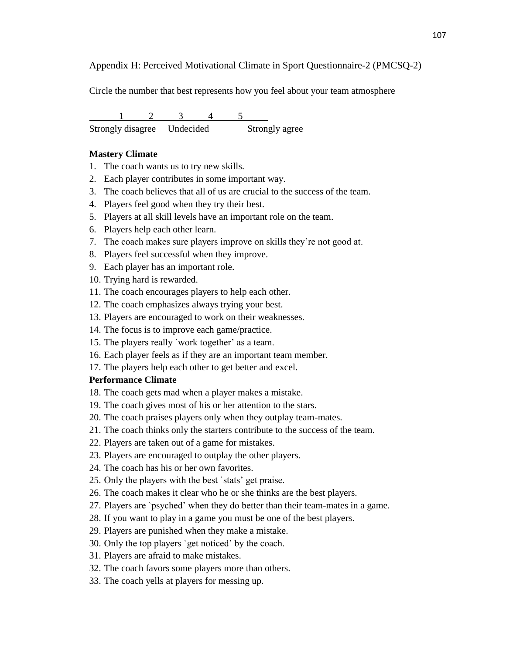Appendix H: Perceived Motivational Climate in Sport Questionnaire-2 (PMCSQ-2)

Circle the number that best represents how you feel about your team atmosphere

 $1 \t 2 \t 3 \t 4$ Strongly disagree Undecided Strongly agree

#### **Mastery Climate**

- 1. The coach wants us to try new skills.
- 2. Each player contributes in some important way.
- 3. The coach believes that all of us are crucial to the success of the team.
- 4. Players feel good when they try their best.
- 5. Players at all skill levels have an important role on the team.
- 6. Players help each other learn.
- 7. The coach makes sure players improve on skills they're not good at.
- 8. Players feel successful when they improve.
- 9. Each player has an important role.
- 10. Trying hard is rewarded.
- 11. The coach encourages players to help each other.
- 12. The coach emphasizes always trying your best.
- 13. Players are encouraged to work on their weaknesses.
- 14. The focus is to improve each game/practice.
- 15. The players really `work together' as a team.
- 16. Each player feels as if they are an important team member.
- 17. The players help each other to get better and excel.

#### **Performance Climate**

- 18. The coach gets mad when a player makes a mistake.
- 19. The coach gives most of his or her attention to the stars.
- 20. The coach praises players only when they outplay team-mates.
- 21. The coach thinks only the starters contribute to the success of the team.
- 22. Players are taken out of a game for mistakes.
- 23. Players are encouraged to outplay the other players.
- 24. The coach has his or her own favorites.
- 25. Only the players with the best `stats' get praise.
- 26. The coach makes it clear who he or she thinks are the best players.
- 27. Players are `psyched' when they do better than their team-mates in a game.
- 28. If you want to play in a game you must be one of the best players.
- 29. Players are punished when they make a mistake.
- 30. Only the top players `get noticed' by the coach.
- 31. Players are afraid to make mistakes.
- 32. The coach favors some players more than others.
- 33. The coach yells at players for messing up.